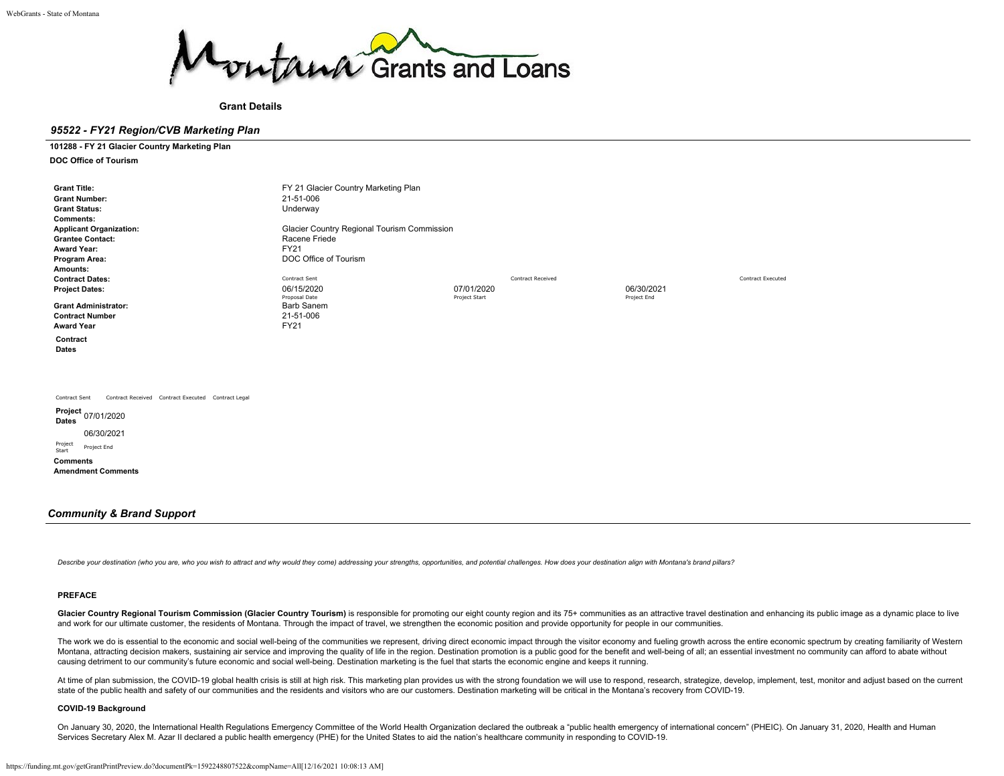

**Grant Details**

## *95522 - FY21 Region/CVB Marketing Plan*

**101288 - FY 21 Glacier Country Marketing Plan**

**DOC Office of Tourism**

| <b>Grant Title:</b><br><b>Grant Number:</b><br><b>Grant Status:</b><br><b>Comments:</b><br><b>Applicant Organization:</b><br><b>Grantee Contact:</b><br><b>Award Year:</b><br>Program Area:<br>Amounts: | FY 21 Glacier Country Marketing Plan<br>21-51-006<br>Underway<br>Glacier Country Regional Tourism Commission<br>Racene Friede<br><b>FY21</b><br>DOC Office of Tourism |               |                          |             |                          |
|---------------------------------------------------------------------------------------------------------------------------------------------------------------------------------------------------------|-----------------------------------------------------------------------------------------------------------------------------------------------------------------------|---------------|--------------------------|-------------|--------------------------|
| <b>Contract Dates:</b>                                                                                                                                                                                  | Contract Sent                                                                                                                                                         |               | <b>Contract Received</b> |             | <b>Contract Executed</b> |
| <b>Project Dates:</b>                                                                                                                                                                                   | 06/15/2020                                                                                                                                                            | 07/01/2020    |                          | 06/30/2021  |                          |
|                                                                                                                                                                                                         | Proposal Date                                                                                                                                                         | Project Start |                          | Project End |                          |
| <b>Grant Administrator:</b>                                                                                                                                                                             | <b>Barb Sanem</b>                                                                                                                                                     |               |                          |             |                          |
| <b>Contract Number</b>                                                                                                                                                                                  | 21-51-006                                                                                                                                                             |               |                          |             |                          |
| <b>Award Year</b>                                                                                                                                                                                       | FY21                                                                                                                                                                  |               |                          |             |                          |
| Contract<br><b>Dates</b>                                                                                                                                                                                |                                                                                                                                                                       |               |                          |             |                          |
| Contract Received Contract Executed Contract Legal<br>Contract Sent                                                                                                                                     |                                                                                                                                                                       |               |                          |             |                          |
| Project 07/01/2020<br><b>Dates</b>                                                                                                                                                                      |                                                                                                                                                                       |               |                          |             |                          |
| 06/30/2021                                                                                                                                                                                              |                                                                                                                                                                       |               |                          |             |                          |
| Project<br>Project End<br>Start                                                                                                                                                                         |                                                                                                                                                                       |               |                          |             |                          |
| <b>Comments</b><br><b>Amendment Comments</b>                                                                                                                                                            |                                                                                                                                                                       |               |                          |             |                          |
|                                                                                                                                                                                                         |                                                                                                                                                                       |               |                          |             |                          |

*Community & Brand Support*

Describe your destination (who you are, who you wish to attract and why would they come) addressing your strengths, opportunities, and potential challenges. How does your destination align with Montana's brand pillars?

#### **PREFACE**

Glacier Country Regional Tourism Commission (Glacier Country Tourism) is responsible for promoting our eight county region and its 75+ communities as an attractive travel destination and enhancing its public image as a dyn and work for our ultimate customer, the residents of Montana. Through the impact of travel, we strengthen the economic position and provide opportunity for people in our communities.

The work we do is essential to the economic and social well-being of the communities we represent, driving direct economic impact through the visitor economy and fueling growth across the entire economic spectrum by creati Montana, attracting decision makers, sustaining air service and improving the quality of life in the region. Destination promotion is a public good for the benefit and well-being of all; an essential investment no communit causing detriment to our community's future economic and social well-being. Destination marketing is the fuel that starts the economic engine and keeps it running.

At time of plan submission, the COVID-19 global health crisis is still at high risk. This marketing plan provides us with the strong foundation we will use to respond, research, strategize, develop, implement, test, monito state of the public health and safety of our communities and the residents and visitors who are our customers. Destination marketing will be critical in the Montana's recovery from COVID-19.

## **COVID-19 Background**

On January 30, 2020, the International Health Regulations Emergency Committee of the World Health Organization declared the outbreak a ["public health emergency of international concern](https://www.who.int/news-room/detail/30-01-2020-statement-on-the-second-meeting-of-the-international-health-regulations-%282005%29-emergency-committee-regarding-the-outbreak-of-novel-coronavirus-%282019-ncov%29)" (PHEIC). On January 31, 2020, Health Services Secretary Alex M. Azar II declared a public health emergency (PHE) for the United States to aid the nation's healthcare community in responding to COVID-19.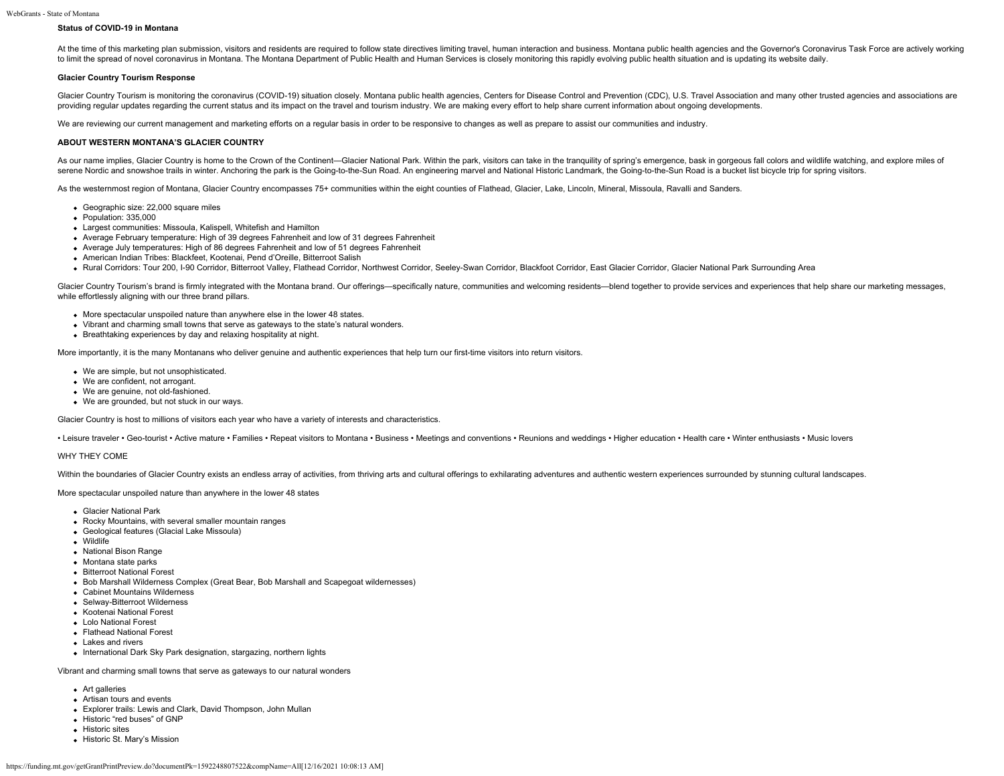## **Status of COVID-19 in Montana**

At the time of this marketing plan submission, visitors and residents are required to follow state directives limiting travel, human interaction and business. Montana public health agencies and the Governor's Coronavirus T to limit the spread of novel coronavirus in Montana. The Montana Department of Public Health and Human Services is closely monitoring this rapidly evolving public health situation and is [updating its website daily.](https://dphhs.mt.gov/publichealth/cdepi/diseases/coronavirusmt)

#### **Glacier Country Tourism Response**

Glacier Country Tourism is monitoring the coronavirus (COVID-19) situation closely. Montana public health agencies, [Centers for Disease Control and Prevention](https://www.cdc.gov/coronavirus/2019-ncov/cases-updates/cases-in-us.html) (CDC), [U.S. Travel Association](https://www.ustravel.org/toolkit/emergency-preparedness-and-response-coronavirus-covid-19?utm_source=MagnetMail&utm_medium=email&utm_content=3%2E10%2E20%20COVID%20WEEKLY%20&utm_campaign=ust) and many other trusted agencies providing regular [updates](https://montana.maps.arcgis.com/apps/MapSeries/index.html?appid=7c34f3412536439491adcc2103421d4b) regarding the current status and its impact on the travel and tourism industry. We are making every effort to help share current information about ongoing developments.

We are reviewing our current management and marketing efforts on a regular basis in order to be responsive to changes as well as prepare to assist our communities and industry.

### **ABOUT WESTERN MONTANA'S GLACIER COUNTRY**

As our name implies, Glacier Country is home to the Crown of the Continent-Glacier National Park. Within the park, visitors can take in the tranquility of spring's emergence, bask in gorgeous fall colors and wildlife watch serene Nordic and snowshoe trails in winter. Anchoring the park is the Going-to-the-Sun Road. An engineering marvel and National Historic Landmark, the Going-to-the-Sun Road is a bucket list bicycle trip for spring visitor

As the westernmost region of Montana, Glacier Country encompasses 75+ communities within the eight counties of Flathead, Glacier, Lake, Lincoln, Mineral, Missoula, Ravalli and Sanders

- Geographic size: 22,000 square miles
- Population: 335,000
- Largest communities: Missoula, Kalispell, Whitefish and Hamilton
- Average February temperature: High of 39 degrees Fahrenheit and low of 31 degrees Fahrenheit
- Average July temperatures: High of 86 degrees Fahrenheit and low of 51 degrees Fahrenheit
- American Indian Tribes: Blackfeet, Kootenai, Pend d'Oreille, Bitterroot Salish
- Rural Corridors: Tour 200, I-90 Corridor, Bitterroot Valley, Flathead Corridor, Northwest Corridor, Seeley-Swan Corridor, Blackfoot Corridor, East Glacier Corridor, Glacier National Park Surrounding Area

Glacier Country Tourism's brand is firmly integrated with the Montana brand. Our offerings-specifically nature, communities and welcoming residents-blend together to provide services and experiences that help share our mar while effortlessly aligning with our three brand pillars.

- More spectacular unspoiled nature than anywhere else in the lower 48 states.
- Vibrant and charming small towns that serve as gateways to the state's natural wonders.
- Breathtaking experiences by day and relaxing hospitality at night.

More importantly, it is the many Montanans who deliver genuine and authentic experiences that help turn our first-time visitors into return visitors.

- We are simple, but not unsophisticated.
- We are confident, not arrogant.
- We are genuine, not old-fashioned.
- We are grounded, but not stuck in our ways.

Glacier Country is host to millions of visitors each year who have a variety of interests and characteristics.

• Leisure traveler • Geo-tourist • Active mature • Families • Repeat visitors to Montana • Business • Meetings and conventions • Reunions and weddings • Higher education • Health care • Winter enthusiasts • Music lovers

#### WHY THEY COME

Within the boundaries of Glacier Country exists an endless array of activities, from thriving arts and cultural offerings to exhilarating adventures and authentic western experiences surrounded by stunning cultural landsca

More spectacular unspoiled nature than anywhere in the lower 48 states

- Glacier National Park
- Rocky Mountains, with several smaller mountain ranges
- Geological features (Glacial Lake Missoula)
- Wildlife
- National Bison Range
- Montana state parks
- Bitterroot National Forest
- Bob Marshall Wilderness Complex (Great Bear, Bob Marshall and Scapegoat wildernesses)
- Cabinet Mountains Wilderness
- Selway-Bitterroot Wilderness
- Kootenai National Forest
- **Lolo National Forest**
- Flathead National Forest
- **Lakes and rivers**
- International Dark Sky Park designation, stargazing, northern lights

Vibrant and charming small towns that serve as gateways to our natural wonders

- Art galleries
- Artisan tours and events
- Explorer trails: Lewis and Clark, David Thompson, John Mullan
- Historic "red buses" of GNP
- Historic sites
- Historic St. Mary's Mission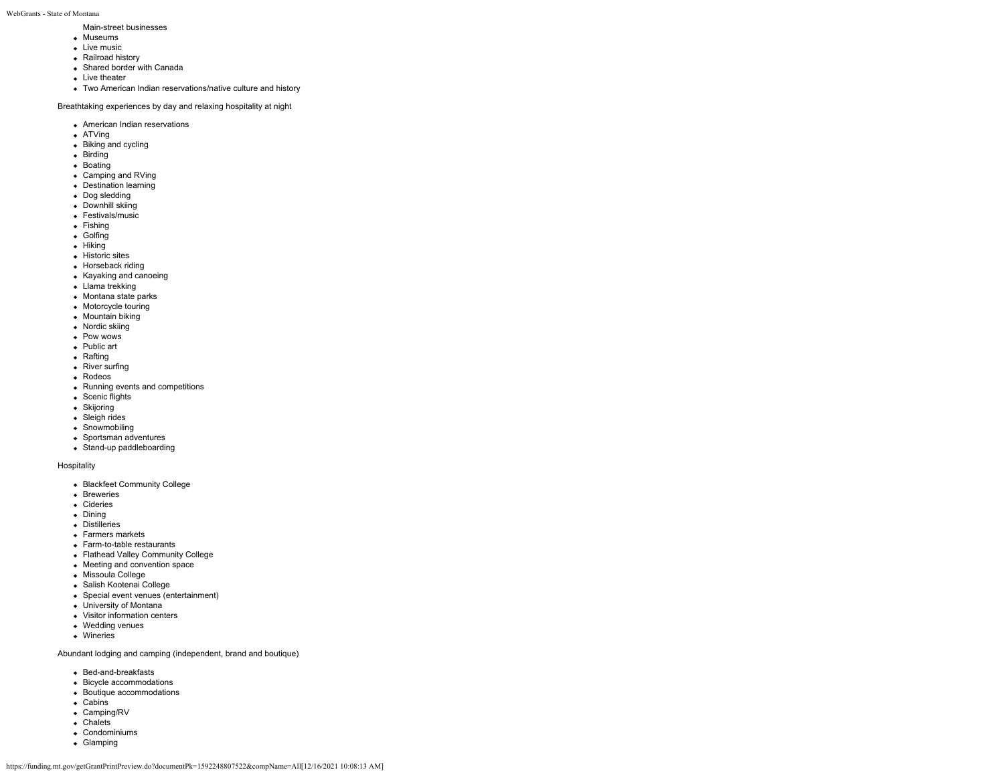Main-street businesses

- Museums
- Live music
- Railroad history
- Shared border with Canada
- Live theater
- Two American Indian reservations/native culture and history

Breathtaking experiences by day and relaxing hospitality at night

- American Indian reservations
- ATVing
- Biking and cycling
- Birding
- Boating
- Camping and RVing
- Destination learning
- Dog sledding • Downhill skiing
- Festivals/music
- Fishing
- Golfing
- 
- Hiking
- Historic sites
- Horseback riding
- Kayaking and canoeing
- Llama trekking
- Montana state parks
- Motorcycle touring
- Mountain biking
- Nordic skiing
- Pow wows
- Public art
- Rafting
- River surfing
- Rodeos
- Running events and competitions
- Scenic flights
- Skijoring
- Sleigh rides
- Snowmobiling
- Sportsman adventures
- Stand-up paddleboarding

Hospitality

- Blackfeet Community College
- **•** Breweries
- Cideries
- Dining
- **•** Distilleries
- Farmers markets
- Farm-to-table restaurants
- Flathead Valley Community College
- Meeting and convention space
- Missoula College
- Salish Kootenai College
- Special event venues (entertainment)
- University of Montana
- 
- Visitor information centers Wedding venues
- Wineries
- 

Abundant lodging and camping (independent, brand and boutique)

- Bed-and-breakfasts
- Bicycle accommodations
- Boutique accommodations
- Cabins
- Camping/RV
- Chalets
- Condominiums
- Glamping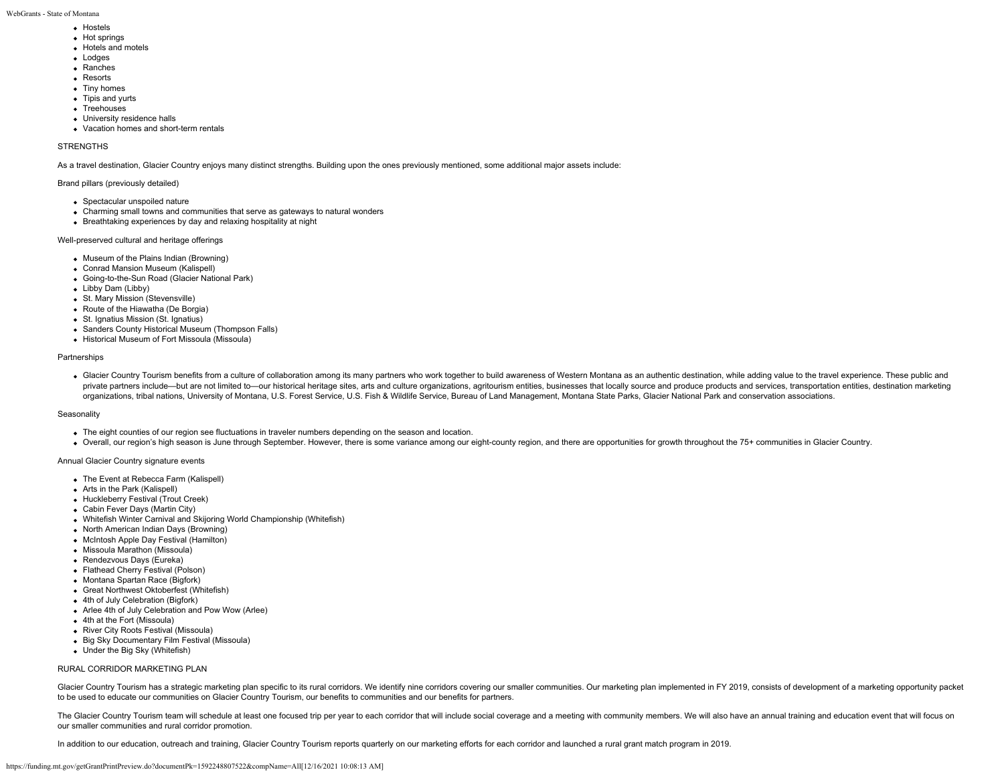- **A** Hostels
- Hot springs
- Hotels and motels
- Lodges
- Ranches
- Resorts
- Tiny homes
- Tipis and yurts
- Treehouses
- University residence halls
- Vacation homes and short-term rentals

## **STRENGTHS**

As a travel destination, Glacier Country enjoys many distinct strengths. Building upon the ones previously mentioned, some additional major assets include:

Brand pillars (previously detailed)

- Spectacular unspoiled nature
- Charming small towns and communities that serve as gateways to natural wonders
- Breathtaking experiences by day and relaxing hospitality at night

## Well-preserved cultural and heritage offerings

- Museum of the Plains Indian (Browning)
- Conrad Mansion Museum (Kalispell)
- Going-to-the-Sun Road (Glacier National Park)
- Libby Dam (Libby)
- St. Mary Mission (Stevensville)
- Route of the Hiawatha (De Borgia)
- St. Ignatius Mission (St. Ignatius)
- Sanders County Historical Museum (Thompson Falls)
- Historical Museum of Fort Missoula (Missoula)

## Partnerships

. Glacier Country Tourism benefits from a culture of collaboration among its many partners who work together to build awareness of Western Montana as an authentic destination, while adding value to the travel experience. T private partners include-but are not limited to-our historical heritage sites, arts and culture organizations, agritourism entities, businesses that locally source and produce products and services, transportation entities organizations, tribal nations, University of Montana, U.S. Forest Service, U.S. Fish & Wildlife Service, Bureau of Land Management, Montana State Parks, Glacier National Park and conservation associations.

## **Seasonality**

- The eight counties of our region see fluctuations in traveler numbers depending on the season and location.
- Overall, our region's high season is June through September. However, there is some variance among our eight-county region, and there are opportunities for growth throughout the 75+ communities in Glacier Country.

## Annual Glacier Country signature events

- The Event at Rebecca Farm (Kalispell)
- Arts in the Park (Kalispell)
- Huckleberry Festival (Trout Creek)
- Cabin Fever Days (Martin City)
- Whitefish Winter Carnival and Skijoring World Championship (Whitefish)
- North American Indian Days (Browning)
- McIntosh Apple Day Festival (Hamilton)
- Missoula Marathon (Missoula)
- Rendezvous Days (Eureka)
- Flathead Cherry Festival (Polson)
- Montana Spartan Race (Bigfork)
- Great Northwest Oktoberfest (Whitefish)
- 4th of July Celebration (Bigfork)
- Arlee 4th of July Celebration and Pow Wow (Arlee)
- 4th at the Fort (Missoula)
- River City Roots Festival (Missoula)
- Big Sky Documentary Film Festival (Missoula)
- Under the Big Sky (Whitefish)

## RURAL CORRIDOR MARKETING PLAN

Glacier Country Tourism has a strategic marketing plan specific to its rural corridors. We identify nine corridors covering our smaller communities. Our marketing plan implemented in FY 2019, consists of development of a m to be used to educate our communities on Glacier Country Tourism, our benefits to communities and our benefits for partners.

The Glacier Country Tourism team will schedule at least one focused trip per year to each corridor that will include social coverage and a meeting with community members. We will also have an annual training and education our smaller communities and rural corridor promotion.

In addition to our education, outreach and training, Glacier Country Tourism reports quarterly on our marketing efforts for each corridor and launched a rural grant match program in 2019.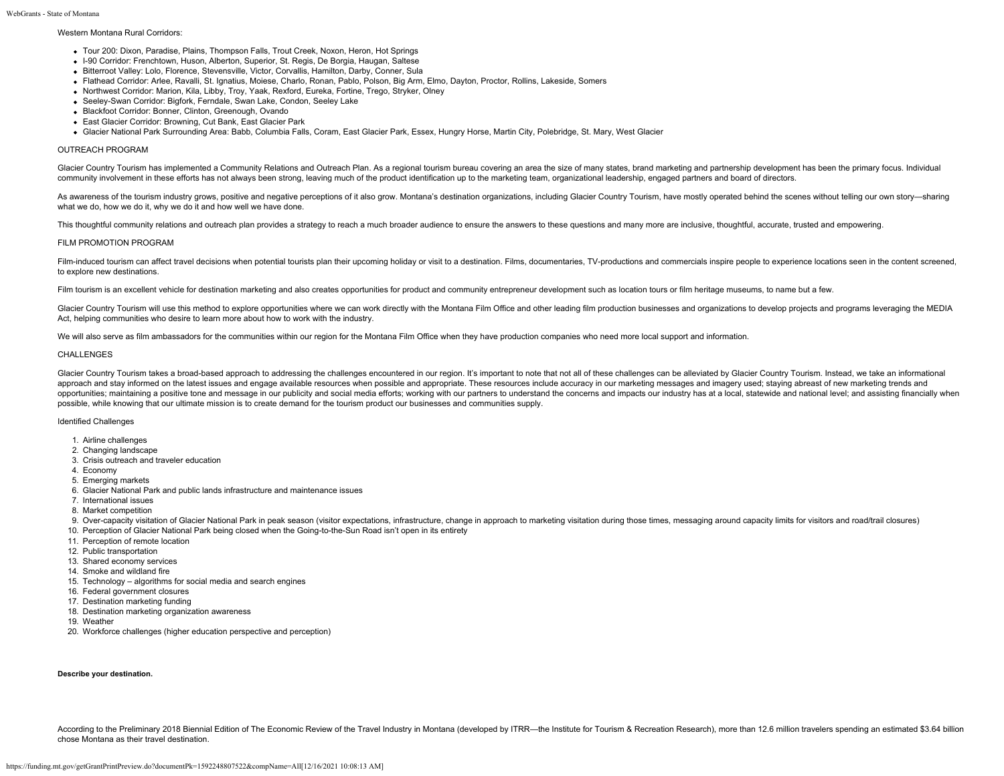## Western Montana Rural Corridors:

- Tour 200: Dixon, Paradise, Plains, Thompson Falls, Trout Creek, Noxon, Heron, Hot Springs
- I-90 Corridor: Frenchtown, Huson, Alberton, Superior, St. Regis, De Borgia, Haugan, Saltese
- Bitterroot Valley: Lolo, Florence, Stevensville, Victor, Corvallis, Hamilton, Darby, Conner, Sula
- Flathead Corridor: Arlee, Ravalli, St. Ignatius, Moiese, Charlo, Ronan, Pablo, Polson, Big Arm, Elmo, Dayton, Proctor, Rollins, Lakeside, Somers
- Northwest Corridor: Marion, Kila, Libby, Troy, Yaak, Rexford, Eureka, Fortine, Trego, Stryker, Olney
- Seeley-Swan Corridor: Bigfork, Ferndale, Swan Lake, Condon, Seeley Lake
- Blackfoot Corridor: Bonner, Clinton, Greenough, Ovando
- East Glacier Corridor: Browning, Cut Bank, East Glacier Park
- Glacier National Park Surrounding Area: Babb, Columbia Falls, Coram, East Glacier Park, Essex, Hungry Horse, Martin City, Polebridge, St. Mary, West Glacier

#### OUTREACH PROGRAM

Glacier Country Tourism has implemented a Community Relations and Outreach Plan. As a regional tourism bureau covering an area the size of many states, brand marketing and partnership development has been the primary focus community involvement in these efforts has not always been strong, leaving much of the product identification up to the marketing team, organizational leadership, engaged partners and board of directors.

As awareness of the tourism industry grows, positive and negative perceptions of it also grow. Montana's destination organizations, including Glacier Country Tourism, have mostly operated behind the scenes without telling what we do, how we do it, why we do it and how well we have done.

This thoughtful community relations and outreach plan provides a strategy to reach a much broader audience to ensure the answers to these questions and many more are inclusive, thoughtful, accurate, trusted and empowering.

#### FILM PROMOTION PROGRAM

Film-induced tourism can affect travel decisions when potential tourists plan their upcoming holiday or yisit to a destination. Films, documentaries, TV-productions and commercials inspire people to experience locations se to explore new destinations.

Film tourism is an excellent vehicle for destination marketing and also creates opportunities for product and community entrepreneur development such as location tours or film heritage museums, to name but a few.

Glacier Country Tourism will use this method to explore opportunities where we can work directly with the Montana Film Office and other leading film production businesses and organizations to develop projects and programs Act, helping communities who desire to learn more about how to work with the industry.

We will also serve as film ambassadors for the communities within our region for the Montana Film Office when they have production companies who need more local support and information.

### CHALLENGES

Glacier Country Tourism takes a broad-based approach to addressing the challenges encountered in our region. It's important to note that not all of these challenges can be alleviated by Glacier Country Tourism. Instead, we approach and stay informed on the latest issues and engage available resources when possible and appropriate. These resources include accuracy in our marketing messages and imagery used; staying abreast of new marketing tr opportunities; maintaining a positive tone and message in our publicity and social media efforts; working with our partners to understand the concerns and impacts our industry has at a local, statewide and national level; possible, while knowing that our ultimate mission is to create demand for the tourism product our businesses and communities supply.

## Identified Challenges

- 1. Airline challenges
- 2. Changing landscape
- 3. Crisis outreach and traveler education
- 4. Economy
- 5. Emerging markets
- 6. Glacier National Park and public lands infrastructure and maintenance issues
- 7. International issues
- 8. Market competition
- 9. Over-capacity visitation of Glacier National Park in peak season (visitor expectations, infrastructure, change in approach to marketing visitation during those times, messaging around capacity limits for visitors and ro
- 10. Perception of Glacier National Park being closed when the Going-to-the-Sun Road isn't open in its entirety
- 11. Perception of remote location
- 12. Public transportation
- 13. Shared economy services
- 14. Smoke and wildland fire
- 15. Technology algorithms for social media and search engines
- 16. Federal government closures
- 17. Destination marketing funding
- 18. Destination marketing organization awareness
- 19. Weather
- 20. Workforce challenges (higher education perspective and perception)

#### **Describe your destination.**

According to the Preliminary 2018 Biennial Edition of The Economic Review of the Travel Industry in Montana (developed by ITRR-the Institute for Tourism & Recreation Research), more than 12.6 million travelers spending an chose Montana as their travel destination.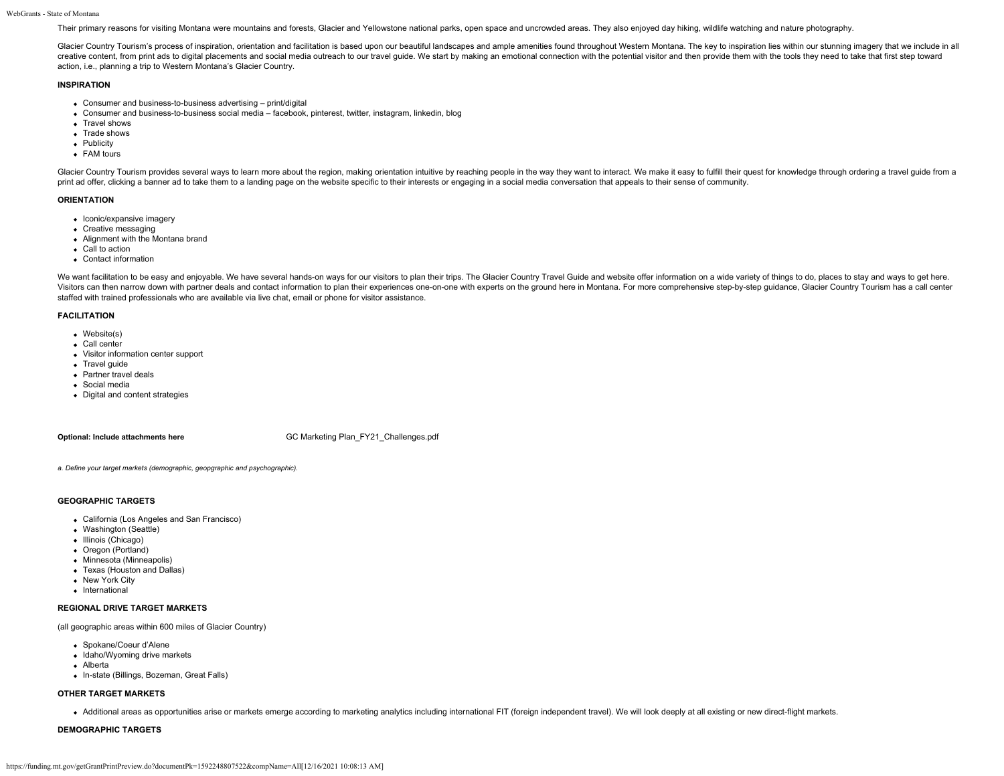Their primary reasons for visiting Montana were mountains and forests, Glacier and Yellowstone national parks, open space and uncrowded areas. They also enjoyed day hiking, wildlife watching and nature photography.

Glacier Country Tourism's process of inspiration, orientation and facilitation is based upon our beautiful landscapes and ample amenities found throughout Western Montana. The key to inspiration lies within our stunning im creative content, from print ads to digital placements and social media outreach to our travel quide. We start by making an emotional connection with the potential visitor and then provide them with the tools they need to action, i.e., planning a trip to Western Montana's Glacier Country.

#### **INSPIRATION**

- Consumer and business-to-business advertising print/digital
- Consumer and business-to-business social media facebook, pinterest, twitter, instagram, linkedin, blog
- Travel shows
- Trade shows
- Publicity
- FAM tours

Glacier Country Tourism provides several ways to learn more about the region, making orientation intuitive by reaching people in the way they want to interact. We make it easy to fulfill their quest for knowledge through o print ad offer, clicking a banner ad to take them to a landing page on the website specific to their interests or engaging in a social media conversation that appeals to their sense of community.

#### **ORIENTATION**

- Iconic/expansive imagery
- Creative messaging
- Alignment with the Montana brand
- Call to action
- Contact information

We want facilitation to be easy and enjoyable. We have several hands-on ways for our visitors to plan their trips. The Glacier Country Travel Guide and website offer information on a wide variety of things to do, places to Visitors can then narrow down with partner deals and contact information to plan their experiences one-on-one with experts on the ground here in Montana. For more comprehensive step-by-step guidance, Glacier Country Touris staffed with trained professionals who are available via live chat, email or phone for visitor assistance.

#### **FACILITATION**

- Website(s)
- Call center
- Visitor information center support
- Travel guide
- Partner travel deals
- Social media
- Digital and content strategies

**Optional: Include attachments here GC Marketing Plan FY21 Challenges.pdf** 

*a. Define your target markets (demographic, geopgraphic and psychographic).*

#### **GEOGRAPHIC TARGETS**

- California (Los Angeles and San Francisco)
- Washington (Seattle)
- Illinois (Chicago)
- Oregon (Portland)
- Minnesota (Minneapolis)
- Texas (Houston and Dallas)
- New York City • International
- 

## **REGIONAL DRIVE TARGET MARKETS**

(all geographic areas within 600 miles of Glacier Country)

- Spokane/Coeur d'Alene
- Idaho/Wyoming drive markets
- Alberta
- In-state (Billings, Bozeman, Great Falls)

## **OTHER TARGET MARKETS**

• Additional areas as opportunities arise or markets emerge according to marketing analytics including international FIT (foreign independent travel). We will look deeply at all existing or new direct-flight markets.

## **DEMOGRAPHIC TARGETS**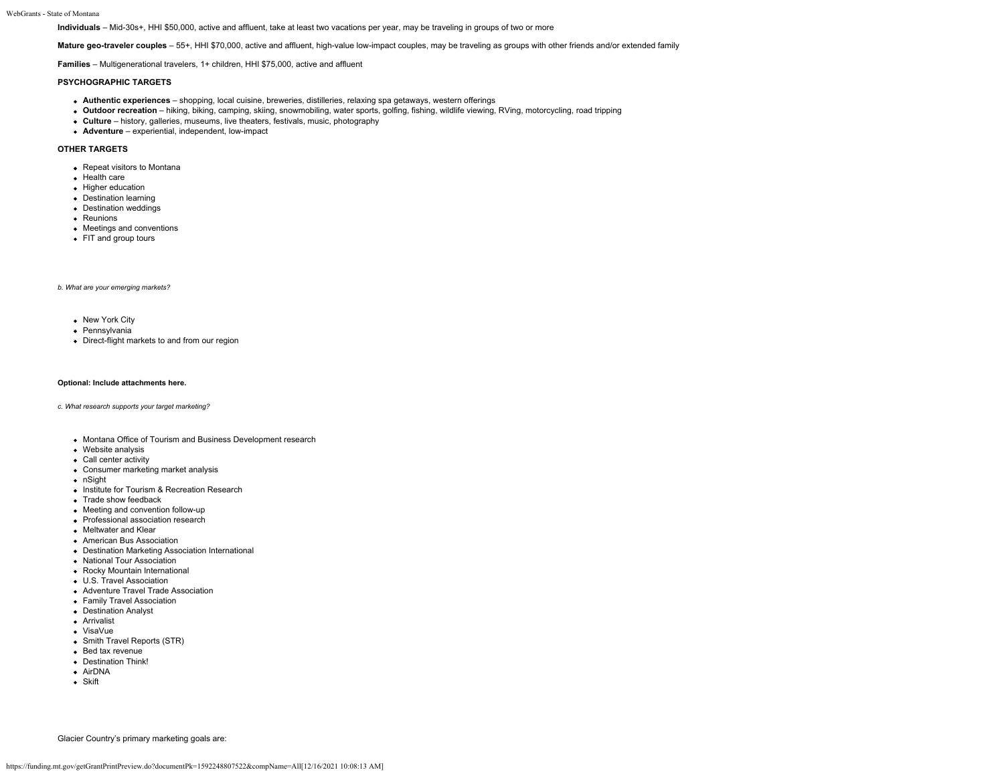**Individuals** – Mid-30s+, HHI \$50,000, active and affluent, take at least two vacations per year, may be traveling in groups of two or more

**Mature geo-traveler couples** – 55+, HHI \$70,000, active and affluent, high-value low-impact couples, may be traveling as groups with other friends and/or extended family

**Families** – Multigenerational travelers, 1+ children, HHI \$75,000, active and affluent

#### **PSYCHOGRAPHIC TARGETS**

- **Authentic experiences** shopping, local cuisine, breweries, distilleries, relaxing spa getaways, western offerings
- **Outdoor recreation** hiking, biking, camping, skiing, snowmobiling, water sports, golfing, fishing, wildlife viewing, RVing, motorcycling, road tripping
- **Culture** history, galleries, museums, live theaters, festivals, music, photography
- **Adventure** experiential, independent, low-impact

## **OTHER TARGETS**

- Repeat visitors to Montana
- Health care
- Higher education
- Destination learning
- Destination weddings
- Reunions
- Meetings and conventions
- FIT and group tours
- *b. What are your emerging markets?*
	- New York City
	- Pennsylvania
	- Direct-flight markets to and from our region

#### **Optional: Include attachments here.**

*c. What research supports your target marketing?*

- Montana Office of Tourism and Business Development research
- Website analysis
- Call center activity
- Consumer marketing market analysis
- nSight
- Institute for Tourism & Recreation Research
- Trade show feedback
- Meeting and convention follow-up
- Professional association research
- Meltwater and Klear
- American Bus Association
- Destination Marketing Association International
- National Tour Association
- Rocky Mountain International
- U.S. Travel Association
- Adventure Travel Trade Association
- Family Travel Association
- Destination Analyst
- Arrivalist
- VisaVue
- Smith Travel Reports (STR)
- Bed tax revenue
- Destination Think!
- AirDNA
- Skift

Glacier Country's primary marketing goals are: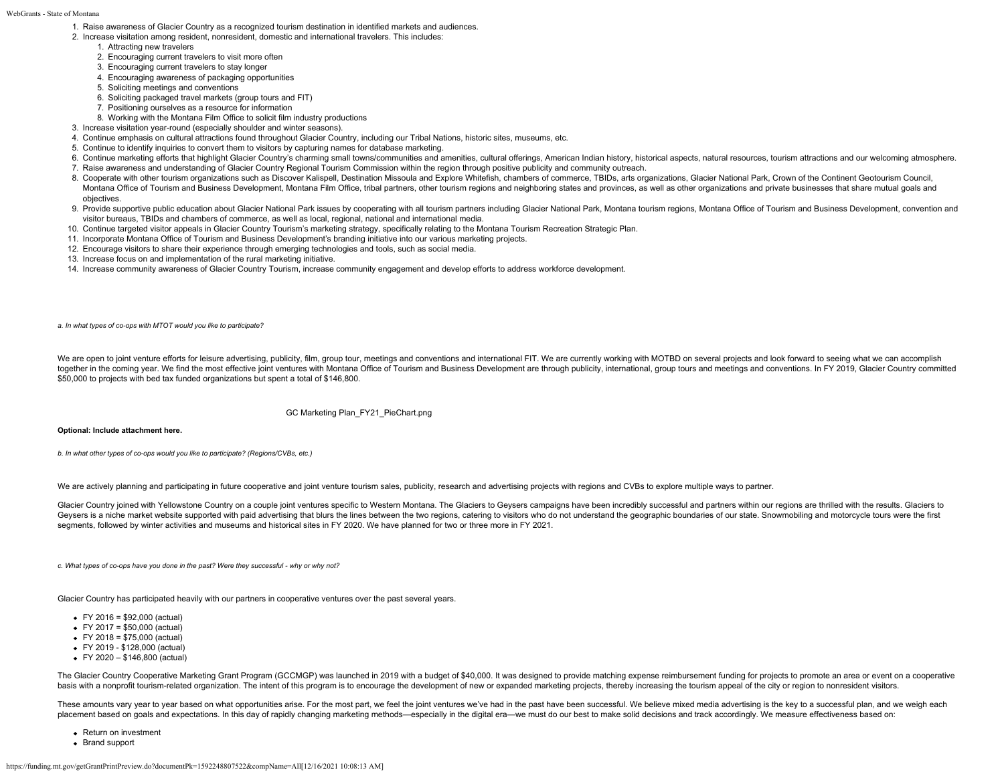- 1. Raise awareness of Glacier Country as a recognized tourism destination in identified markets and audiences.
- 2. Increase visitation among resident, nonresident, domestic and international travelers. This includes:
	- 1. Attracting new travelers
	- 2. Encouraging current travelers to visit more often
	- 3. Encouraging current travelers to stay longer
	- 4. Encouraging awareness of packaging opportunities
	- 5. Soliciting meetings and conventions
	- 6. Soliciting packaged travel markets (group tours and FIT)
	- 7. Positioning ourselves as a resource for information
	- 8. Working with the Montana Film Office to solicit film industry productions
- 3. Increase visitation year-round (especially shoulder and winter seasons).
- 4. Continue emphasis on cultural attractions found throughout Glacier Country, including our Tribal Nations, historic sites, museums, etc.
- 5. Continue to identify inquiries to convert them to visitors by capturing names for database marketing.
- 6. Continue marketing efforts that highlight Glacier Country's charming small towns/communities and amenities, cultural offerings, American Indian history, historical aspects, natural resources, tourism attractions and our
- 7. Raise awareness and understanding of Glacier Country Regional Tourism Commission within the region through positive publicity and community outreach.
- 8. Cooperate with other tourism organizations such as Discover Kalispell, Destination Missoula and Explore Whitefish, chambers of commerce, TBIDs, arts organizations, Glacier National Park, Crown of the Continent Geotouris Montana Office of Tourism and Business Development, Montana Film Office, tribal partners, other tourism regions and neighboring states and provinces, as well as other organizations and private businesses that share mutual objectives.
- 9. Provide supportive public education about Glacier National Park issues by cooperating with all tourism partners including Glacier National Park, Montana tourism regions, Montana Office of Tourism and Business Developmen visitor bureaus, TBIDs and chambers of commerce, as well as local, regional, national and international media.
- 10. Continue targeted visitor appeals in Glacier Country Tourism's marketing strategy, specifically relating to the Montana Tourism Recreation Strategic Plan.
- 11. Incorporate Montana Office of Tourism and Business Development's branding initiative into our various marketing projects.
- 12. Encourage visitors to share their experience through emerging technologies and tools, such as social media.
- 13. Increase focus on and implementation of the rural marketing initiative.
- 14. Increase community awareness of Glacier Country Tourism, increase community engagement and develop efforts to address workforce development.

*a. In what types of co-ops with MTOT would you like to participate?*

We are open to joint venture efforts for leisure advertising, publicity, film, group tour, meetings and conventions and international FIT. We are currently working with MOTBD on several projects and look forward to seeing together in the coming year. We find the most effective joint ventures with Montana Office of Tourism and Business Development are through publicity, international, group tours and meetings and conventions. In FY 2019, Gla \$50,000 to projects with bed tax funded organizations but spent a total of \$146,800.

#### [GC Marketing Plan\\_FY21\\_PieChart.png](https://funding.mt.gov/fileDownload.jsp?filename=1588626826207_GC+Marketing+Plan_FY21_PieChart.png)

#### **Optional: Include attachment here.**

*b. In what other types of co-ops would you like to participate? (Regions/CVBs, etc.)*

We are actively planning and participating in future cooperative and joint venture tourism sales, publicity, research and advertising projects with regions and CVBs to explore multiple ways to partner.

Glacier Country joined with Yellowstone Country on a couple joint ventures specific to Western Montana. The Glaciers to Geysers campaigns have been incredibly successful and partners within our regions are thrilled with th Geysers is a niche market website supported with paid advertising that blurs the lines between the two regions, catering to visitors who do not understand the geographic boundaries of our state. Snowmobiling and motorcycle segments, followed by winter activities and museums and historical sites in FY 2020. We have planned for two or three more in FY 2021.

*c. What types of co-ops have you done in the past? Were they successful - why or why not?*

Glacier Country has participated heavily with our partners in cooperative ventures over the past several years.

- FY 2016 = \$92,000 (actual)
- $\bullet$  FY 2017 = \$50,000 (actual)
- $\bullet$  FY 2018 = \$75,000 (actual)
- FY 2019 \$128,000 (actual)
- FY 2020 \$146,800 (actual)

The Glacier Country Cooperative Marketing Grant Program (GCCMGP) was launched in 2019 with a budget of \$40,000. It was designed to provide matching expense reimbursement funding for projects to promote an area or event on basis with a nonprofit tourism-related organization. The intent of this program is to encourage the development of new or expanded marketing projects, thereby increasing the tourism appeal of the city or region to nonresid

These amounts vary year to year based on what opportunities arise. For the most part, we feel the joint ventures we've had in the past have been successful. We believe mixed media advertising is the key to a successful pla placement based on goals and expectations. In this day of rapidly changing marketing methods—especially in the digital era—we must do our best to make solid decisions and track accordingly. We measure effectiveness based o

- Return on investment
- Brand support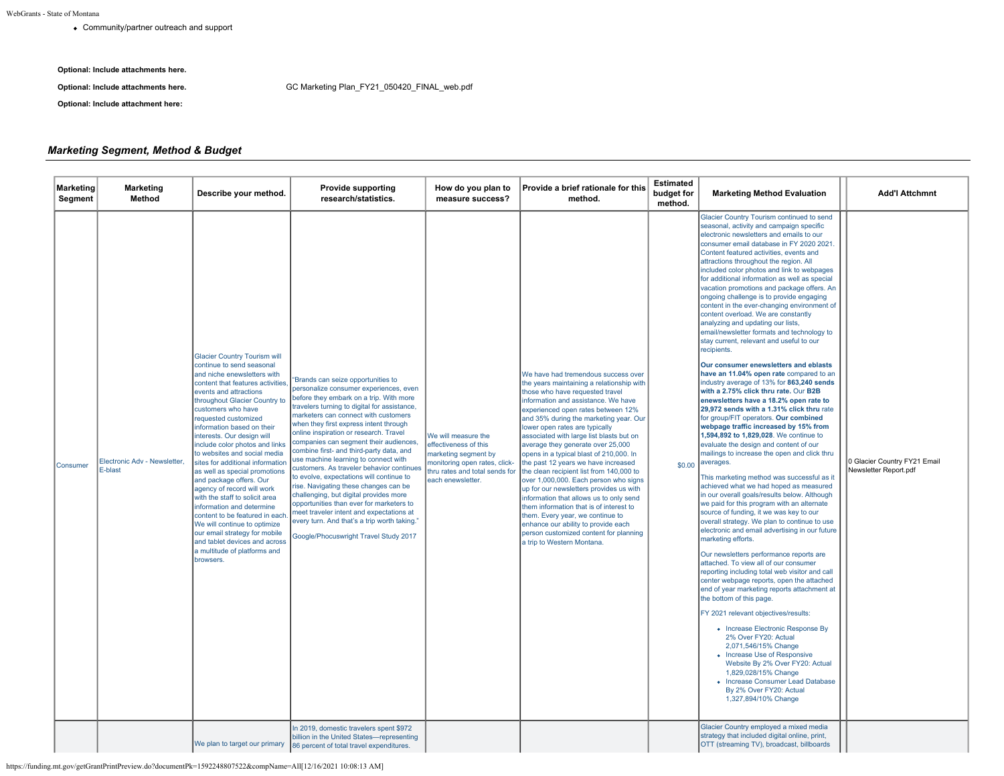Community/partner outreach and support

**Optional: Include attachments here.**

**Optional: Include attachments here.** [GC Marketing Plan\\_FY21\\_050420\\_FINAL\\_web.pdf](https://funding.mt.gov/fileDownload.jsp?filename=1588626826186_GC+Marketing+Plan_FY21_050420_FINAL_web.pdf)

**Optional: Include attachment here:**

## *Marketing Segment, Method & Budget*

| <b>Marketing</b><br>Segment | <b>Marketing</b><br>Method              | Describe your method.                                                                                                                                                                                                                                                                                                                                                                                                                                                                                                                                                                                                                                                                                                                                     | <b>Provide supporting</b><br>research/statistics.                                                                                                                                                                                                                                                                                                                                                                                                                                                                                                                                                                                                                                                                                                                                                                                         | How do you plan to<br>measure success?                                                                                                                       | Provide a brief rationale for this<br>method.                                                                                                                                                                                                                                                                                                                                                                                                                                                                                                                                                                                                                                                                                                                                                                            | <b>Estimated</b><br>budget for<br>method. | <b>Marketing Method Evaluation</b>                                                                                                                                                                                                                                                                                                                                                                                                                                                                                                                                                                                                                                                                                                                                                                                                                                                                                                                                                                                                                                                                                                                                                                                                                                                                                                                                                                                                                                                                                                                                                                                                                                                                                                                                                                                                                                                                                                                                                                                                                                                                                                                                                   | <b>Add'l Attchmnt</b>                                 |
|-----------------------------|-----------------------------------------|-----------------------------------------------------------------------------------------------------------------------------------------------------------------------------------------------------------------------------------------------------------------------------------------------------------------------------------------------------------------------------------------------------------------------------------------------------------------------------------------------------------------------------------------------------------------------------------------------------------------------------------------------------------------------------------------------------------------------------------------------------------|-------------------------------------------------------------------------------------------------------------------------------------------------------------------------------------------------------------------------------------------------------------------------------------------------------------------------------------------------------------------------------------------------------------------------------------------------------------------------------------------------------------------------------------------------------------------------------------------------------------------------------------------------------------------------------------------------------------------------------------------------------------------------------------------------------------------------------------------|--------------------------------------------------------------------------------------------------------------------------------------------------------------|--------------------------------------------------------------------------------------------------------------------------------------------------------------------------------------------------------------------------------------------------------------------------------------------------------------------------------------------------------------------------------------------------------------------------------------------------------------------------------------------------------------------------------------------------------------------------------------------------------------------------------------------------------------------------------------------------------------------------------------------------------------------------------------------------------------------------|-------------------------------------------|--------------------------------------------------------------------------------------------------------------------------------------------------------------------------------------------------------------------------------------------------------------------------------------------------------------------------------------------------------------------------------------------------------------------------------------------------------------------------------------------------------------------------------------------------------------------------------------------------------------------------------------------------------------------------------------------------------------------------------------------------------------------------------------------------------------------------------------------------------------------------------------------------------------------------------------------------------------------------------------------------------------------------------------------------------------------------------------------------------------------------------------------------------------------------------------------------------------------------------------------------------------------------------------------------------------------------------------------------------------------------------------------------------------------------------------------------------------------------------------------------------------------------------------------------------------------------------------------------------------------------------------------------------------------------------------------------------------------------------------------------------------------------------------------------------------------------------------------------------------------------------------------------------------------------------------------------------------------------------------------------------------------------------------------------------------------------------------------------------------------------------------------------------------------------------------|-------------------------------------------------------|
| Consumer                    | Electronic Adv - Newsletter,<br>E-blast | <b>Glacier Country Tourism will</b><br>continue to send seasonal<br>and niche enewsletters with<br>content that features activities.<br>events and attractions<br>throughout Glacier Country to<br>customers who have<br>requested customized<br>information based on their<br>interests. Our design will<br>include color photos and links<br>to websites and social media<br>sites for additional information<br>as well as special promotions<br>and package offers. Our<br>agency of record will work<br>with the staff to solicit area<br>information and determine<br>content to be featured in each<br>We will continue to optimize<br>our email strategy for mobile<br>and tablet devices and across<br>a multitude of platforms and<br>browsers. | "Brands can seize opportunities to<br>personalize consumer experiences, even<br>before they embark on a trip. With more<br>travelers turning to digital for assistance.<br>marketers can connect with customers<br>when they first express intent through<br>online inspiration or research. Travel<br>companies can segment their audiences,<br>combine first- and third-party data, and<br>use machine learning to connect with<br>customers. As traveler behavior continues<br>to evolve, expectations will continue to<br>rise. Navigating these changes can be<br>challenging, but digital provides more<br>opportunities than ever for marketers to<br>meet traveler intent and expectations at<br>every turn. And that's a trip worth taking."<br>Google/Phocuswright Travel Study 2017<br>In 2019, domestic travelers spent \$972 | We will measure the<br>effectiveness of this<br>marketing segment by<br>monitoring open rates, click-<br>thru rates and total sends for<br>each enewsletter. | We have had tremendous success over<br>the years maintaining a relationship with<br>those who have requested travel<br>information and assistance. We have<br>experienced open rates between 12%<br>and 35% during the marketing year. Our<br>lower open rates are typically<br>associated with large list blasts but on<br>average they generate over 25,000<br>opens in a typical blast of 210,000. In<br>the past 12 years we have increased<br>the clean recipient list from 140,000 to<br>over 1,000,000. Each person who signs<br>up for our newsletters provides us with<br>information that allows us to only send<br>them information that is of interest to<br>them. Every year, we continue to<br>enhance our ability to provide each<br>person customized content for planning<br>a trip to Western Montana. | \$0.00                                    | Glacier Country Tourism continued to send<br>seasonal, activity and campaign specific<br>electronic newsletters and emails to our<br>consumer email database in FY 2020 2021.<br>Content featured activities, events and<br>attractions throughout the region. All<br>included color photos and link to webpages<br>for additional information as well as special<br>vacation promotions and package offers. An<br>ongoing challenge is to provide engaging<br>content in the ever-changing environment of<br>content overload. We are constantly<br>analyzing and updating our lists,<br>email/newsletter formats and technology to<br>stay current, relevant and useful to our<br>recipients.<br>Our consumer enewsletters and eblasts<br>have an 11.04% open rate compared to an<br>industry average of 13% for 863,240 sends<br>with a 2.75% click thru rate. Our B2B<br>enewsletters have a 18.2% open rate to<br>29,972 sends with a 1.31% click thru rate<br>for group/FIT operators. Our combined<br>webpage traffic increased by 15% from<br>1,594,892 to 1,829,028. We continue to<br>evaluate the design and content of our<br>mailings to increase the open and click thru<br>averages.<br>This marketing method was successful as it<br>achieved what we had hoped as measured<br>in our overall goals/results below. Although<br>we paid for this program with an alternate<br>source of funding, it we was key to our<br>overall strategy. We plan to continue to use<br>electronic and email advertising in our future<br>marketing efforts.<br>Our newsletters performance reports are<br>attached. To view all of our consumer<br>reporting including total web visitor and call<br>center webpage reports, open the attached<br>end of year marketing reports attachment at<br>the bottom of this page.<br>FY 2021 relevant objectives/results:<br>• Increase Electronic Response By<br>2% Over FY20: Actual<br>2,071,546/15% Change<br>• Increase Use of Responsive<br>Website By 2% Over FY20: Actual<br>1,829,028/15% Change<br>• Increase Consumer Lead Database<br>By 2% Over FY20: Actual<br>1,327,894/10% Change<br>Glacier Country employed a mixed media | 0 Glacier Country FY21 Email<br>Newsletter Report.pdf |
|                             |                                         | We plan to target our primary                                                                                                                                                                                                                                                                                                                                                                                                                                                                                                                                                                                                                                                                                                                             | billion in the United States-representing<br>86 percent of total travel expenditures.                                                                                                                                                                                                                                                                                                                                                                                                                                                                                                                                                                                                                                                                                                                                                     |                                                                                                                                                              |                                                                                                                                                                                                                                                                                                                                                                                                                                                                                                                                                                                                                                                                                                                                                                                                                          |                                           | strategy that included digital online, print,<br>OTT (streaming TV), broadcast, billboards                                                                                                                                                                                                                                                                                                                                                                                                                                                                                                                                                                                                                                                                                                                                                                                                                                                                                                                                                                                                                                                                                                                                                                                                                                                                                                                                                                                                                                                                                                                                                                                                                                                                                                                                                                                                                                                                                                                                                                                                                                                                                           |                                                       |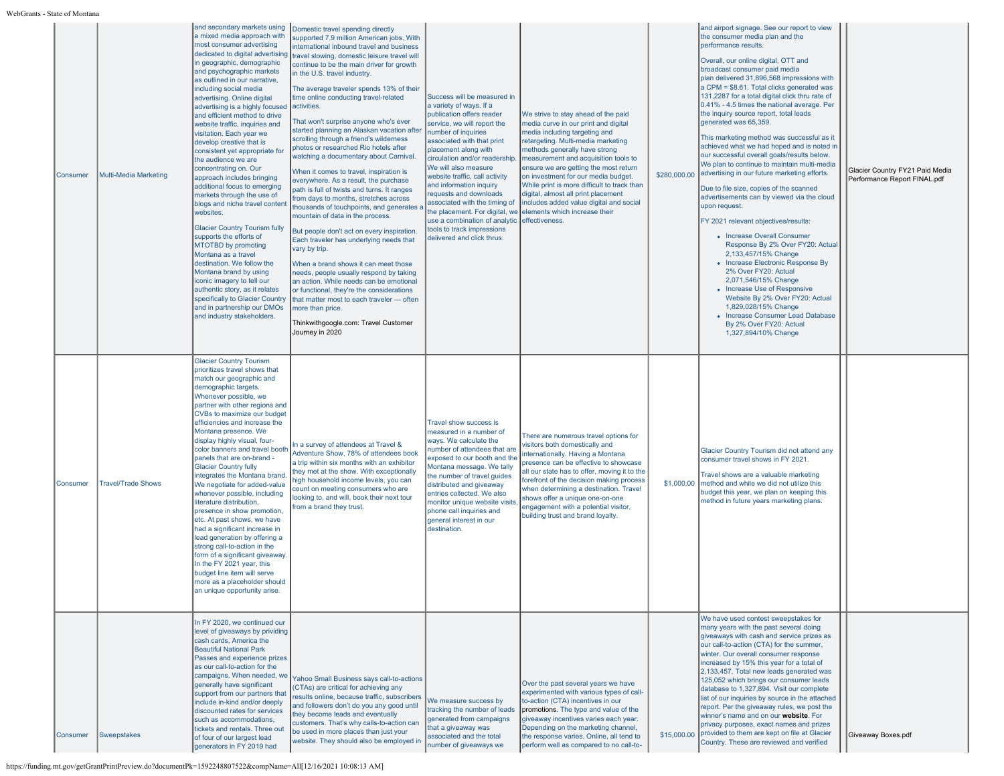| - State of Montana |                           |                                                                                                                                                                                                                                                                                                                                                                                                                                                                                                                                                                                                                                                                                                                                                                                                                                                                                                                                                                                                                            |                                                                                                                                                                                                                                                                                                                                                                                                                                                                                                                                                                                                                                                                                                                                                                                                                                                                                                                                                                                                                                                                                                                                                                                                                                                                 |                                                                                                                                                                                                                                                                                                                                                                                                                                                                                                                  |                                                                                                                                                                                                                                                                                                                                                                                                                                                                                                 |              |                                                                                                                                                                                                                                                                                                                                                                                                                                                                                                                                                                                                                                                                                                                                                                                                                                                                                                                                                                                                                                                                                                                                                                                                                 |                                                                 |
|--------------------|---------------------------|----------------------------------------------------------------------------------------------------------------------------------------------------------------------------------------------------------------------------------------------------------------------------------------------------------------------------------------------------------------------------------------------------------------------------------------------------------------------------------------------------------------------------------------------------------------------------------------------------------------------------------------------------------------------------------------------------------------------------------------------------------------------------------------------------------------------------------------------------------------------------------------------------------------------------------------------------------------------------------------------------------------------------|-----------------------------------------------------------------------------------------------------------------------------------------------------------------------------------------------------------------------------------------------------------------------------------------------------------------------------------------------------------------------------------------------------------------------------------------------------------------------------------------------------------------------------------------------------------------------------------------------------------------------------------------------------------------------------------------------------------------------------------------------------------------------------------------------------------------------------------------------------------------------------------------------------------------------------------------------------------------------------------------------------------------------------------------------------------------------------------------------------------------------------------------------------------------------------------------------------------------------------------------------------------------|------------------------------------------------------------------------------------------------------------------------------------------------------------------------------------------------------------------------------------------------------------------------------------------------------------------------------------------------------------------------------------------------------------------------------------------------------------------------------------------------------------------|-------------------------------------------------------------------------------------------------------------------------------------------------------------------------------------------------------------------------------------------------------------------------------------------------------------------------------------------------------------------------------------------------------------------------------------------------------------------------------------------------|--------------|-----------------------------------------------------------------------------------------------------------------------------------------------------------------------------------------------------------------------------------------------------------------------------------------------------------------------------------------------------------------------------------------------------------------------------------------------------------------------------------------------------------------------------------------------------------------------------------------------------------------------------------------------------------------------------------------------------------------------------------------------------------------------------------------------------------------------------------------------------------------------------------------------------------------------------------------------------------------------------------------------------------------------------------------------------------------------------------------------------------------------------------------------------------------------------------------------------------------|-----------------------------------------------------------------|
| Consumer           | Multi-Media Marketing     | and secondary markets using<br>a mixed media approach with<br>most consumer advertising<br>dedicated to digital advertisin<br>in geographic, demographic<br>and psychographic markets<br>as outlined in our narrative.<br>including social media<br>advertising. Online digital<br>advertising is a highly focused<br>and efficient method to drive<br>website traffic, inquiries and<br>visitation. Each year we<br>develop creative that is<br>consistent yet appropriate for<br>the audience we are<br>concentrating on. Our<br>approach includes bringing<br>additional focus to emerging<br>markets through the use of<br>blogs and niche travel content<br>websites.<br><b>Glacier Country Tourism fully</b><br>supports the efforts of<br><b>MTOTBD by promoting</b><br>Montana as a travel<br>destination. We follow the<br>Montana brand by using<br>iconic imagery to tell our<br>authentic story, as it relates<br>specifically to Glacier Country<br>and in partnership our DMOs<br>and industry stakeholders. | Domestic travel spending directly<br>supported 7.9 million American jobs. With<br>international inbound travel and business<br>travel slowing, domestic leisure travel will<br>continue to be the main driver for growth<br>in the U.S. travel industry.<br>The average traveler spends 13% of their<br>time online conducting travel-related<br>activities.<br>That won't surprise anyone who's ever<br>started planning an Alaskan vacation after<br>scrolling through a friend's wilderness<br>photos or researched Rio hotels after<br>watching a documentary about Carnival.<br>When it comes to travel, inspiration is<br>everywhere. As a result, the purchase<br>path is full of twists and turns. It ranges<br>from days to months, stretches across<br>thousands of touchpoints, and generates a<br>mountain of data in the process.<br>But people don't act on every inspiration.<br>Each traveler has underlying needs that<br>vary by trip.<br>When a brand shows it can meet those<br>needs, people usually respond by taking<br>an action. While needs can be emotional<br>or functional, they're the considerations<br>that matter most to each traveler - often<br>more than price.<br>Thinkwithgoogle.com: Travel Customer<br>Journey in 2020 | Success will be measured in<br>a variety of ways. If a<br>publication offers reader<br>service, we will report the<br>number of inquiries<br>associated with that print<br>placement along with<br>circulation and/or readership.<br>We will also measure<br>website traffic, call activity<br>and information inquiry<br>requests and downloads<br>associated with the timing of<br>the placement. For digital, we<br>use a combination of analytic<br>tools to track impressions<br>delivered and click thrus. | We strive to stay ahead of the paid<br>media curve in our print and digital<br>media including targeting and<br>retargeting. Multi-media marketing<br>methods generally have strong<br>measurement and acquisition tools to<br>ensure we are getting the most return<br>on investment for our media budget.<br>While print is more difficult to track than<br>digital, almost all print placement<br>includes added value digital and social<br>elements which increase their<br>effectiveness. | \$280,000.00 | and airport signage. See our report to view<br>the consumer media plan and the<br>performance results.<br>Overall, our online digital, OTT and<br>broadcast consumer paid media<br>plan delivered 31,896,568 impressions with<br>a CPM = \$8.61. Total clicks generated was<br>131,2287 for a total digital click thru rate of<br>0.41% - 4.5 times the national average. Per<br>the inquiry source report, total leads<br>generated was 65,359.<br>This marketing method was successful as it<br>achieved what we had hoped and is noted in<br>our successful overall goals/results below.<br>We plan to continue to maintain multi-media<br>advertising in our future marketing efforts.<br>Due to file size, copies of the scanned<br>advertisements can by viewed via the cloud<br>upon request.<br>FY 2021 relevant objectives/results:<br>• Increase Overall Consumer<br>Response By 2% Over FY20: Actual<br>2,133,457/15% Change<br>• Increase Electronic Response By<br>2% Over FY20: Actual<br>2,071,546/15% Change<br>• Increase Use of Responsive<br>Website By 2% Over FY20: Actual<br>1,829,028/15% Change<br>• Increase Consumer Lead Database<br>By 2% Over FY20: Actual<br>1,327,894/10% Change | Glacier Country FY21 Paid Media<br>Performance Report FINAL.pdf |
| Consumer           | <b>Travel/Trade Shows</b> | <b>Glacier Country Tourism</b><br>prioritizes travel shows that<br>match our geographic and<br>demographic targets.<br>Whenever possible, we<br>partner with other regions and<br>CVBs to maximize our budget<br>efficiencies and increase the<br>Montana presence. We<br>display highly visual, four-<br>color banners and travel bootl<br>panels that are on-brand -<br><b>Glacier Country fully</b><br>integrates the Montana brand<br>We negotiate for added-value<br>whenever possible, including<br>literature distribution,<br>presence in show promotion,<br>etc. At past shows, we have<br>had a significant increase in<br>lead generation by offering a<br>strong call-to-action in the<br>form of a significant giveaway.<br>In the FY 2021 year, this<br>budget line item will serve<br>more as a placeholder should<br>an unique opportunity arise.                                                                                                                                                          | In a survey of attendees at Travel &<br>Adventure Show, 78% of attendees book<br>a trip within six months with an exhibitor<br>they met at the show. With exceptionally<br>high household income levels, you can<br>count on meeting consumers who are<br>looking to, and will, book their next tour<br>from a brand they trust.                                                                                                                                                                                                                                                                                                                                                                                                                                                                                                                                                                                                                                                                                                                                                                                                                                                                                                                                | Travel show success is<br>measured in a number of<br>ways. We calculate the<br>number of attendees that are<br>exposed to our booth and the<br>Montana message. We tally<br>the number of travel guides<br>distributed and giveaway<br>entries collected. We also<br>monitor unique website visits<br>phone call inquiries and<br>general interest in our<br>destination.                                                                                                                                        | There are numerous travel options for<br>visitors both domestically and<br>nternationally. Having a Montana<br>presence can be effective to showcase<br>all our state has to offer, moving it to the<br>forefront of the decision making process<br>when determining a destination. Travel<br>shows offer a unique one-on-one<br>engagement with a potential visitor,<br>building trust and brand loyalty.                                                                                      |              | Glacier Country Tourism did not attend any<br>consumer travel shows in FY 2021.<br>Travel shows are a valuable marketing<br>\$1,000.00 method and while we did not utilize this<br>budget this year, we plan on keeping this<br>method in future years marketing plans.                                                                                                                                                                                                                                                                                                                                                                                                                                                                                                                                                                                                                                                                                                                                                                                                                                                                                                                                         |                                                                 |
| Consumer           | <b>Sweepstakes</b>        | In FY 2020, we continued our<br>level of giveaways by prividing<br>cash cards, America the<br><b>Beautiful National Park</b><br>Passes and experience prizes<br>as our call-to-action for the<br>campaigns. When needed, we<br>generally have significant<br>support from our partners that<br>include in-kind and/or deeply<br>discounted rates for services<br>such as accommodations,<br>tickets and rentals. Three out<br>of four of our largest lead<br>generators in FY 2019 had                                                                                                                                                                                                                                                                                                                                                                                                                                                                                                                                     | Yahoo Small Business says call-to-actions<br>(CTAs) are critical for achieving any<br>results online, because traffic, subscribers<br>and followers don't do you any good until<br>they become leads and eventually<br>customers. That's why calls-to-action can<br>be used in more places than just your<br>website. They should also be employed in                                                                                                                                                                                                                                                                                                                                                                                                                                                                                                                                                                                                                                                                                                                                                                                                                                                                                                           | We measure success by<br>tracking the number of leads<br>generated from campaigns<br>that a giveaway was<br>associated and the total<br>number of giveaways we                                                                                                                                                                                                                                                                                                                                                   | Over the past several years we have<br>experimented with various types of call-<br>to-action (CTA) incentives in our<br>promotions. The type and value of the<br>giveaway incentives varies each year.<br>Depending on the marketing channel,<br>the response varies. Online, all tend to<br>perform well as compared to no call-to-                                                                                                                                                            | \$15,000.00  | We have used contest sweepstakes for<br>many years with the past several doing<br>giveaways with cash and service prizes as<br>our call-to-action (CTA) for the summer,<br>winter. Our overall consumer response<br>increased by 15% this year for a total of<br>2,133,457. Total new leads generated was<br>125,052 which brings our consumer leads<br>database to 1,327,894. Visit our complete<br>list of our inquiries by source in the attached<br>report. Per the giveaway rules, we post the<br>winner's name and on our website. For<br>privacy purposes, exact names and prizes<br>provided to them are kept on file at Glacier<br>Country. These are reviewed and verified                                                                                                                                                                                                                                                                                                                                                                                                                                                                                                                            | Giveaway Boxes.pdf                                              |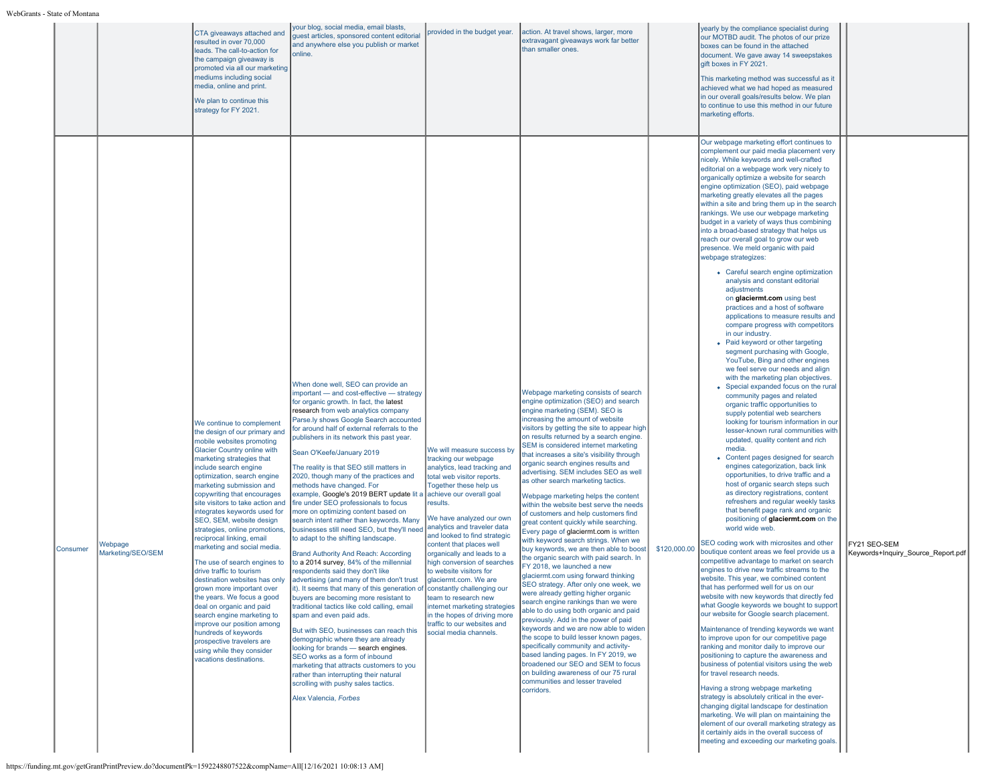|                 |                              | CTA giveaways attached and<br>resulted in over 70,000<br>leads. The call-to-action for<br>the campaign giveaway is<br>promoted via all our marketing<br>mediums including social<br>media, online and print.<br>We plan to continue this<br>strategy for FY 2021.                                                                                                                                                                                                                                                                                                                                                                                                                                                                                                                                                                 | your blog, social media, email blasts,<br>quest articles, sponsored content editorial<br>and anywhere else you publish or market<br>online.                                                                                                                                                                                                                                                                                                                                                                                                                                                                                                                                                                                                                                                                                                                                                                                                                                                                                                                                                                                                                                                                                                                                                                                                                                                                      | provided in the budget year.                                                                                                                                                                                                                                                                                                                                                                                                                                                                                                                                                 | action. At travel shows, larger, more<br>extravagant giveaways work far better<br>than smaller ones.                                                                                                                                                                                                                                                                                                                                                                                                                                                                                                                                                                                                                                                                                                                                                                                                                                                                                                                                                                                                                                                                                                                                                                                                                                                                                 |              | vearly by the compliance specialist during<br>our MOTBD audit. The photos of our prize<br>boxes can be found in the attached<br>document. We gave away 14 sweepstakes<br>gift boxes in FY 2021.<br>This marketing method was successful as it<br>achieved what we had hoped as measured<br>in our overall goals/results below. We plan<br>to continue to use this method in our future<br>marketing efforts.                                                                                                                                                                                                                                                                                                                                                                                                                                                                                                                                                                                                                                                                                                                                                                                                                                                                                                                                                                                                                                                                                                                                                                                                                                                                                                                                                                                                                                                                                                                                                                                                                                                                                                                                                                                                                                                                                                                                                                                                                                                                                                                                                                                                                                                                                                |                                                    |
|-----------------|------------------------------|-----------------------------------------------------------------------------------------------------------------------------------------------------------------------------------------------------------------------------------------------------------------------------------------------------------------------------------------------------------------------------------------------------------------------------------------------------------------------------------------------------------------------------------------------------------------------------------------------------------------------------------------------------------------------------------------------------------------------------------------------------------------------------------------------------------------------------------|------------------------------------------------------------------------------------------------------------------------------------------------------------------------------------------------------------------------------------------------------------------------------------------------------------------------------------------------------------------------------------------------------------------------------------------------------------------------------------------------------------------------------------------------------------------------------------------------------------------------------------------------------------------------------------------------------------------------------------------------------------------------------------------------------------------------------------------------------------------------------------------------------------------------------------------------------------------------------------------------------------------------------------------------------------------------------------------------------------------------------------------------------------------------------------------------------------------------------------------------------------------------------------------------------------------------------------------------------------------------------------------------------------------|------------------------------------------------------------------------------------------------------------------------------------------------------------------------------------------------------------------------------------------------------------------------------------------------------------------------------------------------------------------------------------------------------------------------------------------------------------------------------------------------------------------------------------------------------------------------------|--------------------------------------------------------------------------------------------------------------------------------------------------------------------------------------------------------------------------------------------------------------------------------------------------------------------------------------------------------------------------------------------------------------------------------------------------------------------------------------------------------------------------------------------------------------------------------------------------------------------------------------------------------------------------------------------------------------------------------------------------------------------------------------------------------------------------------------------------------------------------------------------------------------------------------------------------------------------------------------------------------------------------------------------------------------------------------------------------------------------------------------------------------------------------------------------------------------------------------------------------------------------------------------------------------------------------------------------------------------------------------------|--------------|-------------------------------------------------------------------------------------------------------------------------------------------------------------------------------------------------------------------------------------------------------------------------------------------------------------------------------------------------------------------------------------------------------------------------------------------------------------------------------------------------------------------------------------------------------------------------------------------------------------------------------------------------------------------------------------------------------------------------------------------------------------------------------------------------------------------------------------------------------------------------------------------------------------------------------------------------------------------------------------------------------------------------------------------------------------------------------------------------------------------------------------------------------------------------------------------------------------------------------------------------------------------------------------------------------------------------------------------------------------------------------------------------------------------------------------------------------------------------------------------------------------------------------------------------------------------------------------------------------------------------------------------------------------------------------------------------------------------------------------------------------------------------------------------------------------------------------------------------------------------------------------------------------------------------------------------------------------------------------------------------------------------------------------------------------------------------------------------------------------------------------------------------------------------------------------------------------------------------------------------------------------------------------------------------------------------------------------------------------------------------------------------------------------------------------------------------------------------------------------------------------------------------------------------------------------------------------------------------------------------------------------------------------------------------------------------------------------|----------------------------------------------------|
| <b>Consumer</b> | Webpage<br>Marketing/SEO/SEM | We continue to complement<br>the design of our primary and<br>mobile websites promoting<br>Glacier Country online with<br>marketing strategies that<br>include search engine<br>optimization, search engine<br>marketing submission and<br>copywriting that encourages<br>site visitors to take action and<br>integrates keywords used for<br>SEO, SEM, website design<br>strategies, online promotions,<br>reciprocal linking, email<br>marketing and social media.<br>The use of search engines to<br>drive traffic to tourism<br>destination websites has only<br>grown more important over<br>the years. We focus a good<br>deal on organic and paid<br>search engine marketing to<br>improve our position among<br>hundreds of keywords<br>prospective travelers are<br>using while they consider<br>vacations destinations. | When done well, SEO can provide an<br>important - and cost-effective - strategy<br>for organic growth. In fact, the latest<br>research from web analytics company<br>Parse.ly shows Google Search accounted<br>for around half of external referrals to the<br>publishers in its network this past year.<br>Sean O'Keefe/January 2019<br>The reality is that SEO still matters in<br>2020, though many of the practices and<br>methods have changed. For<br>example, Google's 2019 BERT update lit<br>fire under SEO professionals to focus<br>more on optimizing content based on<br>search intent rather than keywords. Many<br>businesses still need SEO, but they'll need<br>to adapt to the shifting landscape.<br><b>Brand Authority And Reach: According</b><br>to a 2014 survey, 84% of the millennial<br>respondents said they don't like<br>advertising (and many of them don't trust<br>it). It seems that many of this generation of constantly challenging our<br>buyers are becoming more resistant to<br>traditional tactics like cold calling, email<br>spam and even paid ads.<br>But with SEO, businesses can reach this<br>demographic where they are already<br>looking for brands - search engines.<br>SEO works as a form of inbound<br>marketing that attracts customers to you<br>rather than interrupting their natural<br>scrolling with pushy sales tactics.<br>Alex Valencia, Forbes | We will measure success by<br>tracking our webpage<br>analytics, lead tracking and<br>total web visitor reports.<br>Together these help us<br>achieve our overall goal<br>results.<br>We have analyzed our own<br>analytics and traveler data<br>and looked to find strategic<br>content that places well<br>organically and leads to a<br>high conversion of searches<br>to website visitors for<br>glaciermt.com. We are<br>team to research new<br>internet marketing strategies<br>in the hopes of driving more<br>traffic to our websites and<br>social media channels. | Webpage marketing consists of search<br>engine optimization (SEO) and search<br>engine marketing (SEM). SEO is<br>increasing the amount of website<br>visitors by getting the site to appear high<br>on results returned by a search engine.<br>SEM is considered internet marketing<br>that increases a site's visibility through<br>organic search engines results and<br>advertising. SEM includes SEO as well<br>as other search marketing tactics.<br>Webpage marketing helps the content<br>within the website best serve the needs<br>of customers and help customers find<br>great content quickly while searching.<br>Every page of glaciermt.com is written<br>with keyword search strings. When we<br>buy keywords, we are then able to boost<br>the organic search with paid search. In<br>FY 2018, we launched a new<br>glaciermt.com using forward thinking<br>SEO strategy. After only one week, we<br>were already getting higher organic<br>search engine rankings than we were<br>able to do using both organic and paid<br>previously. Add in the power of paid<br>keywords and we are now able to widen<br>the scope to build lesser known pages,<br>specifically community and activity-<br>based landing pages. In FY 2019, we<br>broadened our SEO and SEM to focus<br>on building awareness of our 75 rural<br>communities and lesser traveled<br>corridors. | \$120,000,00 | Our webpage marketing effort continues to<br>complement our paid media placement very<br>nicely. While keywords and well-crafted<br>editorial on a webpage work very nicely to<br>organically optimize a website for search<br>engine optimization (SEO), paid webpage<br>marketing greatly elevates all the pages<br>within a site and bring them up in the search<br>rankings. We use our webpage marketing<br>budget in a variety of ways thus combining<br>into a broad-based strategy that helps us<br>reach our overall goal to grow our web<br>presence. We meld organic with paid<br>webpage strategizes:<br>• Careful search engine optimization<br>analysis and constant editorial<br>adjustments<br>on glaciermt.com using best<br>practices and a host of software<br>applications to measure results and<br>compare progress with competitors<br>in our industry.<br>• Paid keyword or other targeting<br>segment purchasing with Google,<br>YouTube, Bing and other engines<br>we feel serve our needs and align<br>with the marketing plan objectives.<br>• Special expanded focus on the rural<br>community pages and related<br>organic traffic opportunities to<br>supply potential web searchers<br>looking for tourism information in our<br>lesser-known rural communities with<br>updated, quality content and rich<br>media.<br>• Content pages designed for search<br>engines categorization, back link<br>opportunities, to drive traffic and a<br>host of organic search steps such<br>as directory registrations, content<br>refreshers and regular weekly tasks<br>that benefit page rank and organic<br>positioning of glaciermt.com on the<br>world wide web.<br>SEO coding work with microsites and other<br>boutique content areas we feel provide us a<br>competitive advantage to market on search<br>engines to drive new traffic streams to the<br>website. This year, we combined content<br>that has performed well for us on our<br>website with new keywords that directly fed<br>what Google keywords we bought to support<br>our website for Google search placement.<br>Maintenance of trending keywords we want<br>to improve upon for our competitive page<br>ranking and monitor daily to improve our<br>positioning to capture the awareness and<br>business of potential visitors using the web<br>for travel research needs.<br>Having a strong webpage marketing<br>strategy is absolutely critical in the ever-<br>changing digital landscape for destination<br>marketing. We will plan on maintaining the<br>element of our overall marketing strategy as<br>it certainly aids in the overall success of<br>meeting and exceeding our marketing goals. | FY21 SEO-SEM<br>Keywords+Inquiry Source Report.pdf |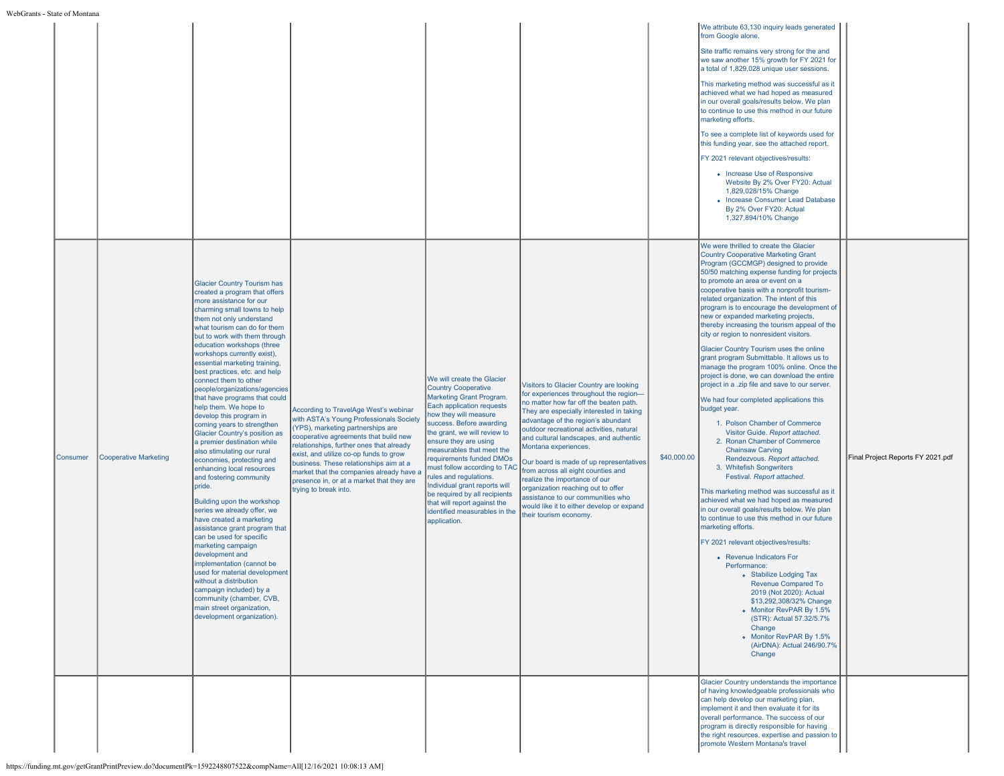|          |                              |                                                                                                                                                                                                                                                                                                                                                                                                                                                                                                                                                                                                                                                                                                                                                                                                                                                                                                                                                                                                                                                                                                                                               |                                                                                                                                                                                                                                                                                                                                                                                                                  |                                                                                                                                                                                                                                                                                                                                                                                                                                                                                                       |                                                                                                                                                                                                                                                                                                                                                                                                                                                                                                                                                                                                 |             | We attribute 63,130 inquiry leads generated<br>from Google alone.<br>Site traffic remains very strong for the and<br>we saw another 15% growth for FY 2021 for<br>a total of 1,829,028 unique user sessions.<br>This marketing method was successful as it<br>achieved what we had hoped as measured<br>in our overall goals/results below. We plan<br>to continue to use this method in our future<br>marketing efforts.<br>To see a complete list of keywords used for<br>this funding year, see the attached report.<br>FY 2021 relevant objectives/results:<br>• Increase Use of Responsive<br>Website By 2% Over FY20: Actual<br>1,829,028/15% Change<br>• Increase Consumer Lead Database<br>By 2% Over FY20: Actual<br>1,327,894/10% Change                                                                                                                                                                                                                                                                                                                                                                                                                                                                                                                                                                                                                                                                                                                                                                                                                         |                                   |
|----------|------------------------------|-----------------------------------------------------------------------------------------------------------------------------------------------------------------------------------------------------------------------------------------------------------------------------------------------------------------------------------------------------------------------------------------------------------------------------------------------------------------------------------------------------------------------------------------------------------------------------------------------------------------------------------------------------------------------------------------------------------------------------------------------------------------------------------------------------------------------------------------------------------------------------------------------------------------------------------------------------------------------------------------------------------------------------------------------------------------------------------------------------------------------------------------------|------------------------------------------------------------------------------------------------------------------------------------------------------------------------------------------------------------------------------------------------------------------------------------------------------------------------------------------------------------------------------------------------------------------|-------------------------------------------------------------------------------------------------------------------------------------------------------------------------------------------------------------------------------------------------------------------------------------------------------------------------------------------------------------------------------------------------------------------------------------------------------------------------------------------------------|-------------------------------------------------------------------------------------------------------------------------------------------------------------------------------------------------------------------------------------------------------------------------------------------------------------------------------------------------------------------------------------------------------------------------------------------------------------------------------------------------------------------------------------------------------------------------------------------------|-------------|----------------------------------------------------------------------------------------------------------------------------------------------------------------------------------------------------------------------------------------------------------------------------------------------------------------------------------------------------------------------------------------------------------------------------------------------------------------------------------------------------------------------------------------------------------------------------------------------------------------------------------------------------------------------------------------------------------------------------------------------------------------------------------------------------------------------------------------------------------------------------------------------------------------------------------------------------------------------------------------------------------------------------------------------------------------------------------------------------------------------------------------------------------------------------------------------------------------------------------------------------------------------------------------------------------------------------------------------------------------------------------------------------------------------------------------------------------------------------------------------------------------------------------------------------------------------------|-----------------------------------|
| Consumer | <b>Cooperative Marketing</b> | <b>Glacier Country Tourism has</b><br>created a program that offers<br>more assistance for our<br>charming small towns to help<br>them not only understand<br>what tourism can do for them<br>but to work with them through<br>education workshops (three<br>workshops currently exist),<br>essential marketing training,<br>best practices, etc. and help<br>connect them to other<br>people/organizations/agencies<br>that have programs that could<br>help them. We hope to<br>develop this program in<br>coming years to strengthen<br>Glacier Country's position as<br>a premier destination while<br>also stimulating our rural<br>economies, protecting and<br>enhancing local resources<br>and fostering community<br>pride.<br>Building upon the workshop<br>series we already offer, we<br>have created a marketing<br>assistance grant program that<br>can be used for specific<br>marketing campaign<br>development and<br>implementation (cannot be<br>used for material development<br>without a distribution<br>campaign included) by a<br>community (chamber, CVB,<br>main street organization,<br>development organization). | According to TravelAge West's webinar<br>with ASTA's Young Professionals Society<br>(YPS), marketing partnerships are<br>cooperative agreements that build new<br>relationships, further ones that already<br>exist, and utilize co-op funds to grow<br>business. These relationships aim at a<br>market that the companies already have a<br>presence in, or at a market that they are<br>trying to break into. | We will create the Glacier<br><b>Country Cooperative</b><br>Marketing Grant Program.<br>Each application requests<br>how they will measure<br>success. Before awarding<br>the grant, we will review to<br>ensure they are using<br>measurables that meet the<br>requirements funded DMOs<br>must follow according to TAC<br>rules and regulations.<br>Individual grant reports will<br>be required by all recipients<br>that will report against the<br>identified measurables in the<br>application. | Visitors to Glacier Country are looking<br>for experiences throughout the region-<br>no matter how far off the beaten path.<br>They are especially interested in taking<br>advantage of the region's abundant<br>outdoor recreational activities, natural<br>and cultural landscapes, and authentic<br>Montana experiences.<br>Our board is made of up representatives<br>from across all eight counties and<br>realize the importance of our<br>organization reaching out to offer<br>assistance to our communities who<br>would like it to either develop or expand<br>their tourism economy. | \$40,000.00 | We were thrilled to create the Glacier<br><b>Country Cooperative Marketing Grant</b><br>Program (GCCMGP) designed to provide<br>50/50 matching expense funding for projects<br>to promote an area or event on a<br>cooperative basis with a nonprofit tourism-<br>related organization. The intent of this<br>program is to encourage the development of<br>new or expanded marketing projects,<br>thereby increasing the tourism appeal of the<br>city or region to nonresident visitors.<br>Glacier Country Tourism uses the online<br>grant program Submittable. It allows us to<br>manage the program 100% online. Once the<br>project is done, we can download the entire<br>project in a .zip file and save to our server.<br>We had four completed applications this<br>budget year.<br>1. Polson Chamber of Commerce<br>Visitor Guide. Report attached.<br>2. Ronan Chamber of Commerce<br><b>Chainsaw Carving</b><br>Rendezvous. Report attached.<br>3. Whitefish Songwriters<br>Festival. Report attached.<br>This marketing method was successful as it<br>achieved what we had hoped as measured<br>in our overall goals/results below. We plan<br>to continue to use this method in our future<br>marketing efforts.<br>FY 2021 relevant objectives/results:<br>• Revenue Indicators For<br>Performance:<br>• Stabilize Lodging Tax<br><b>Revenue Compared To</b><br>2019 (Not 2020): Actual<br>\$13,292,308/32% Change<br>• Monitor RevPAR By 1.5%<br>(STR): Actual 57.32/5.7%<br>Change<br>o Monitor RevPAR By 1.5%<br>(AirDNA): Actual 246/90.7%<br>Change | Final Project Reports FY 2021.pdf |
|          |                              |                                                                                                                                                                                                                                                                                                                                                                                                                                                                                                                                                                                                                                                                                                                                                                                                                                                                                                                                                                                                                                                                                                                                               |                                                                                                                                                                                                                                                                                                                                                                                                                  |                                                                                                                                                                                                                                                                                                                                                                                                                                                                                                       |                                                                                                                                                                                                                                                                                                                                                                                                                                                                                                                                                                                                 |             | Glacier Country understands the importance<br>of having knowledgeable professionals who<br>can help develop our marketing plan,<br>implement it and then evaluate it for its<br>overall performance. The success of our<br>program is directly responsible for having<br>the right resources, expertise and passion to<br>promote Western Montana's travel                                                                                                                                                                                                                                                                                                                                                                                                                                                                                                                                                                                                                                                                                                                                                                                                                                                                                                                                                                                                                                                                                                                                                                                                                 |                                   |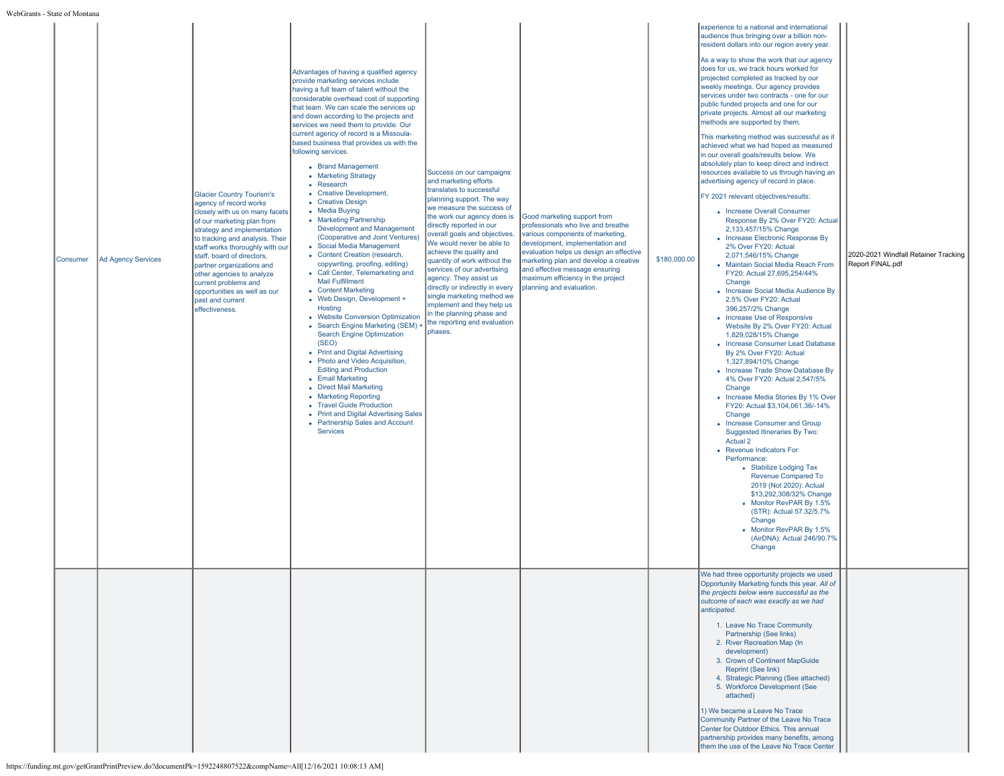| - State of Montana |                           |                                                                                                                                                                                                                                                                                                                                                                                                                       |                                                                                                                                                                                                                                                                                                                                                                                                                                                                                                                                                                                                                                                                                                                                                                                                                                                                                                                                                                                                                                                                                                                                                                                                                                                                                                                  |                                                                                                                                                                                                                                                                                                                                                                                                                                                                                                                                                             |                                                                                                                                                                                                                                                                                                                                 |              |                                                                                                                                                                                                                                                                                                                                                                                                                                                                                                                                                                                                                                                                                                                                                                                                                                                                                                                                                                                                                                                                                                                                                                                                                                                                                                                                                                                                                                                                                                                                                                                                                                                                                                                                                                                                                                                                                                      |                                                          |
|--------------------|---------------------------|-----------------------------------------------------------------------------------------------------------------------------------------------------------------------------------------------------------------------------------------------------------------------------------------------------------------------------------------------------------------------------------------------------------------------|------------------------------------------------------------------------------------------------------------------------------------------------------------------------------------------------------------------------------------------------------------------------------------------------------------------------------------------------------------------------------------------------------------------------------------------------------------------------------------------------------------------------------------------------------------------------------------------------------------------------------------------------------------------------------------------------------------------------------------------------------------------------------------------------------------------------------------------------------------------------------------------------------------------------------------------------------------------------------------------------------------------------------------------------------------------------------------------------------------------------------------------------------------------------------------------------------------------------------------------------------------------------------------------------------------------|-------------------------------------------------------------------------------------------------------------------------------------------------------------------------------------------------------------------------------------------------------------------------------------------------------------------------------------------------------------------------------------------------------------------------------------------------------------------------------------------------------------------------------------------------------------|---------------------------------------------------------------------------------------------------------------------------------------------------------------------------------------------------------------------------------------------------------------------------------------------------------------------------------|--------------|------------------------------------------------------------------------------------------------------------------------------------------------------------------------------------------------------------------------------------------------------------------------------------------------------------------------------------------------------------------------------------------------------------------------------------------------------------------------------------------------------------------------------------------------------------------------------------------------------------------------------------------------------------------------------------------------------------------------------------------------------------------------------------------------------------------------------------------------------------------------------------------------------------------------------------------------------------------------------------------------------------------------------------------------------------------------------------------------------------------------------------------------------------------------------------------------------------------------------------------------------------------------------------------------------------------------------------------------------------------------------------------------------------------------------------------------------------------------------------------------------------------------------------------------------------------------------------------------------------------------------------------------------------------------------------------------------------------------------------------------------------------------------------------------------------------------------------------------------------------------------------------------------|----------------------------------------------------------|
| Consumer           | <b>Ad Agency Services</b> | <b>Glacier Country Tourism's</b><br>agency of record works<br>closely with us on many facets<br>of our marketing plan from<br>strategy and implementation<br>to tracking and analysis. Their<br>staff works thoroughly with our<br>staff, board of directors,<br>partner organizations and<br>other agencies to analyze<br>current problems and<br>opportunities as well as our<br>past and current<br>effectiveness. | Advantages of having a qualified agency<br>provide marketing services include<br>having a full team of talent without the<br>considerable overhead cost of supporting<br>that team. We can scale the services up<br>and down according to the projects and<br>services we need them to provide. Our<br>current agency of record is a Missoula-<br>based business that provides us with the<br>following services.<br>• Brand Management<br>• Marketing Strategy<br>• Research<br>• Creative Development,<br>• Creative Design<br>• Media Buying<br>• Marketing Partnership<br><b>Development and Management</b><br>(Cooperative and Joint Ventures)<br>• Social Media Management<br>• Content Creation (research,<br>copywriting, proofing, editing)<br>• Call Center, Telemarketing and<br><b>Mail Fulfillment</b><br>• Content Marketing<br>• Web Design, Development +<br>Hosting<br>• Website Conversion Optimization<br>• Search Engine Marketing (SEM) +<br><b>Search Engine Optimization</b><br>(SEO)<br>• Print and Digital Advertising<br>• Photo and Video Acquisition,<br><b>Editing and Production</b><br>• Email Marketing<br>• Direct Mail Marketing<br>• Marketing Reporting<br>• Travel Guide Production<br>• Print and Digital Advertising Sales<br>• Partnership Sales and Account<br>Services | Success on our campaigns<br>and marketing efforts<br>translates to successful<br>planning support. The way<br>we measure the success of<br>the work our agency does is<br>directly reported in our<br>overall goals and objectives.<br>We would never be able to<br>achieve the quality and<br>quantity of work without the<br>services of our advertising<br>agency. They assist us<br>directly or indirectly in every<br>single marketing method we<br>implement and they help us<br>in the planning phase and<br>the reporting and evaluation<br>phases. | Good marketing support from<br>professionals who live and breathe<br>various components of marketing,<br>development, implementation and<br>evaluation helps us design an effective<br>marketing plan and develop a creative<br>and effective message ensuring<br>naximum efficiency in the project<br>planning and evaluation. | \$180,000.00 | experience to a national and international<br>audience thus bringing over a billion non-<br>resident dollars into our region every year.<br>As a way to show the work that our agency<br>does for us, we track hours worked for<br>projected completed as tracked by our<br>weekly meetings. Our agency provides<br>services under two contracts - one for our<br>public funded projects and one for our<br>private projects. Almost all our marketing<br>methods are supported by them.<br>This marketing method was successful as it<br>achieved what we had hoped as measured<br>in our overall goals/results below. We<br>absolutely plan to keep direct and indirect<br>resources available to us through having an<br>advertising agency of record in place.<br>FY 2021 relevant objectives/results:<br>• Increase Overall Consumer<br>Response By 2% Over FY20: Actual<br>2,133,457/15% Change<br>• Increase Electronic Response By<br>2% Over FY20: Actual<br>2,071,546/15% Change<br>• Maintain Social Media Reach From<br>FY20: Actual 27,695,254/44%<br>Change<br>• Increase Social Media Audience By<br>2.5% Over FY20: Actual<br>396.257/2% Change<br>• Increase Use of Responsive<br>Website By 2% Over FY20: Actual<br>1,829,028/15% Change<br>• Increase Consumer Lead Database<br>By 2% Over FY20: Actual<br>1,327,894/10% Change<br>• Increase Trade Show Database By<br>4% Over FY20: Actual 2.547/5%<br>Change<br>• Increase Media Stories By 1% Over<br>FY20: Actual \$3,104,061.36/-14%<br>Change<br>• Increase Consumer and Group<br>Suggested Itineraries By Two:<br>Actual 2<br>• Revenue Indicators For<br>Performance:<br>• Stabilize Lodging Tax<br><b>Revenue Compared To</b><br>2019 (Not 2020): Actual<br>\$13,292,308/32% Change<br>o Monitor RevPAR By 1.5%<br>(STR): Actual 57.32/5.7%<br>Change<br>Monitor RevPAR By 1.5%<br>(AirDNA): Actual 246/90.7%<br>Change | 2020-2021 Windfall Retainer Tracking<br>Report FINAL.pdf |
|                    |                           |                                                                                                                                                                                                                                                                                                                                                                                                                       |                                                                                                                                                                                                                                                                                                                                                                                                                                                                                                                                                                                                                                                                                                                                                                                                                                                                                                                                                                                                                                                                                                                                                                                                                                                                                                                  |                                                                                                                                                                                                                                                                                                                                                                                                                                                                                                                                                             |                                                                                                                                                                                                                                                                                                                                 |              | We had three opportunity projects we used<br>Opportunity Marketing funds this year. All of<br>the projects below were successful as the<br>outcome of each was exactly as we had<br>anticipated.<br>1. Leave No Trace Community<br>Partnership (See links)<br>2. River Recreation Map (In<br>development)<br>3. Crown of Continent MapGuide<br><b>Reprint (See link)</b><br>4. Strategic Planning (See attached)<br>5. Workforce Development (See<br>attached)<br>1) We became a Leave No Trace<br>Community Partner of the Leave No Trace<br>Center for Outdoor Ethics. This annual<br>partnership provides many benefits, among<br>them the use of the Leave No Trace Center                                                                                                                                                                                                                                                                                                                                                                                                                                                                                                                                                                                                                                                                                                                                                                                                                                                                                                                                                                                                                                                                                                                                                                                                                       |                                                          |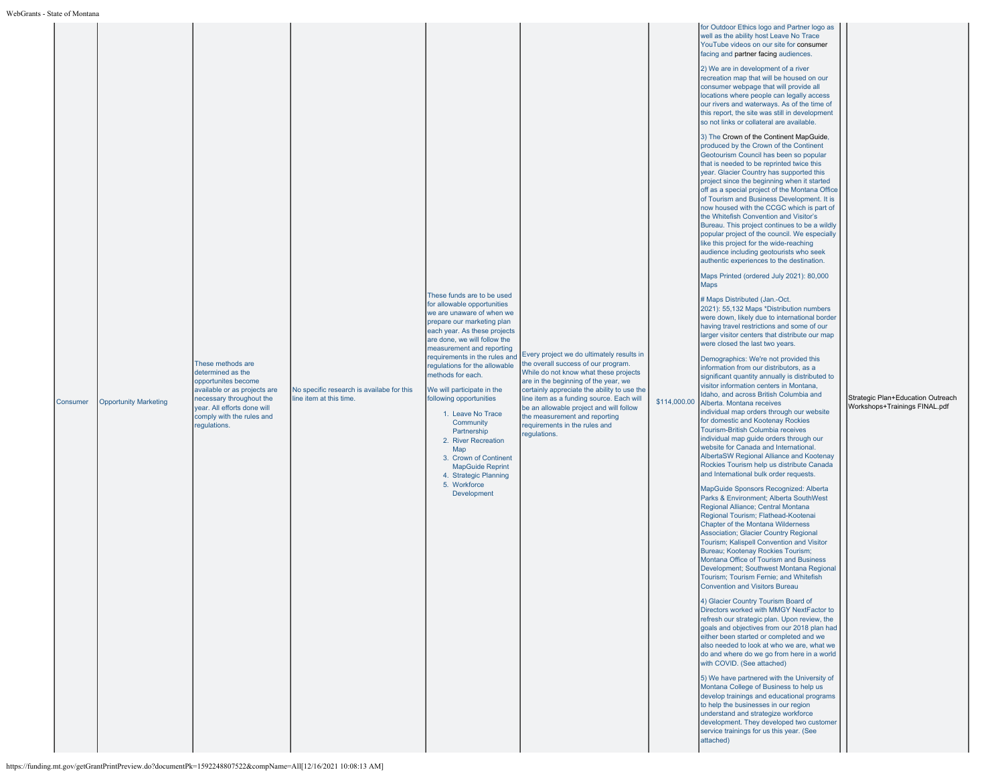| Consumer | <b>Opportunity Marketing</b> | These methods are<br>determined as the<br>opportunites become<br>available or as projects are<br>necessary throughout the<br>year. All efforts done will<br>comply with the rules and<br>regulations. | No specific research is availabe for this<br>line item at this time. | These funds are to be used<br>for allowable opportunities<br>we are unaware of when we<br>prepare our marketing plan<br>each year. As these projects<br>are done, we will follow the<br>measurement and reporting<br>regulations for the allowable<br>methods for each.<br>We will participate in the<br>following opportunities<br>1. Leave No Trace<br>Community<br>Partnership<br>2. River Recreation<br>Map<br>3. Crown of Continent<br><b>MapGuide Reprint</b><br>4. Strategic Planning<br>5. Workforce<br>Development | requirements in the rules and Every project we do ultimately results in<br>the overall success of our program.<br>While do not know what these projects<br>are in the beginning of the year, we<br>certainly appreciate the ability to use the<br>line item as a funding source. Each will<br>be an allowable project and will follow<br>the measurement and reporting<br>requirements in the rules and<br>regulations. | \$114,000.00 | for Outdoor Ethics logo and Partner logo as<br>well as the ability host Leave No Trace<br>YouTube videos on our site for consumer<br>facing and partner facing audiences.<br>2) We are in development of a river<br>recreation map that will be housed on our<br>consumer webpage that will provide all<br>locations where people can legally access<br>our rivers and waterways. As of the time of<br>this report, the site was still in development<br>so not links or collateral are available.<br>3) The Crown of the Continent MapGuide,<br>produced by the Crown of the Continent<br>Geotourism Council has been so popular<br>that is needed to be reprinted twice this<br>year. Glacier Country has supported this<br>project since the beginning when it started<br>off as a special project of the Montana Office<br>of Tourism and Business Development. It is<br>now housed with the CCGC which is part of<br>the Whitefish Convention and Visitor's<br>Bureau. This project continues to be a wildly<br>popular project of the council. We especially<br>like this project for the wide-reaching<br>audience including geotourists who seek<br>authentic experiences to the destination.<br>Maps Printed (ordered July 2021): 80,000<br>Maps<br># Maps Distributed (Jan.-Oct.<br>2021): 55,132 Maps *Distribution numbers<br>were down, likely due to international border<br>having travel restrictions and some of our<br>larger visitor centers that distribute our map<br>were closed the last two years.<br>Demographics: We're not provided this<br>information from our distributors, as a<br>significant quantity annually is distributed to<br>visitor information centers in Montana,<br>Idaho, and across British Columbia and<br>Alberta. Montana receives<br>individual map orders through our website<br>for domestic and Kootenay Rockies<br>Tourism-British Columbia receives<br>individual map guide orders through our<br>website for Canada and International.<br>AlbertaSW Regional Alliance and Kootenay<br>Rockies Tourism help us distribute Canada<br>and International bulk order requests.<br>MapGuide Sponsors Recognized: Alberta<br>Parks & Environment; Alberta SouthWest<br>Regional Alliance; Central Montana<br>Regional Tourism; Flathead-Kootenai<br>Chapter of the Montana Wilderness<br><b>Association; Glacier Country Regional</b><br>Tourism; Kalispell Convention and Visitor<br>Bureau; Kootenay Rockies Tourism;<br>Montana Office of Tourism and Business<br>Development; Southwest Montana Regional<br>Tourism; Tourism Fernie; and Whitefish<br>Convention and Visitors Bureau<br>4) Glacier Country Tourism Board of<br>Directors worked with MMGY NextFactor to<br>refresh our strategic plan. Upon review, the<br>goals and objectives from our 2018 plan had<br>either been started or completed and we<br>also needed to look at who we are, what we<br>do and where do we go from here in a world<br>with COVID. (See attached)<br>5) We have partnered with the University of<br>Montana College of Business to help us<br>develop trainings and educational programs<br>to help the businesses in our region<br>understand and strategize workforce<br>development. They developed two customer<br>service trainings for us this year. (See<br>attached) | Strategic Plan+Education Outreach<br>Workshops+Trainings FINAL.pdf |
|----------|------------------------------|-------------------------------------------------------------------------------------------------------------------------------------------------------------------------------------------------------|----------------------------------------------------------------------|-----------------------------------------------------------------------------------------------------------------------------------------------------------------------------------------------------------------------------------------------------------------------------------------------------------------------------------------------------------------------------------------------------------------------------------------------------------------------------------------------------------------------------|-------------------------------------------------------------------------------------------------------------------------------------------------------------------------------------------------------------------------------------------------------------------------------------------------------------------------------------------------------------------------------------------------------------------------|--------------|-----------------------------------------------------------------------------------------------------------------------------------------------------------------------------------------------------------------------------------------------------------------------------------------------------------------------------------------------------------------------------------------------------------------------------------------------------------------------------------------------------------------------------------------------------------------------------------------------------------------------------------------------------------------------------------------------------------------------------------------------------------------------------------------------------------------------------------------------------------------------------------------------------------------------------------------------------------------------------------------------------------------------------------------------------------------------------------------------------------------------------------------------------------------------------------------------------------------------------------------------------------------------------------------------------------------------------------------------------------------------------------------------------------------------------------------------------------------------------------------------------------------------------------------------------------------------------------------------------------------------------------------------------------------------------------------------------------------------------------------------------------------------------------------------------------------------------------------------------------------------------------------------------------------------------------------------------------------------------------------------------------------------------------------------------------------------------------------------------------------------------------------------------------------------------------------------------------------------------------------------------------------------------------------------------------------------------------------------------------------------------------------------------------------------------------------------------------------------------------------------------------------------------------------------------------------------------------------------------------------------------------------------------------------------------------------------------------------------------------------------------------------------------------------------------------------------------------------------------------------------------------------------------------------------------------------------------------------------------------------------------------------------------------------------------------------------------------------------------------------------------------------------------------------------------------------------------------------------------------------------------------------------------------------------------------------------------|--------------------------------------------------------------------|
|----------|------------------------------|-------------------------------------------------------------------------------------------------------------------------------------------------------------------------------------------------------|----------------------------------------------------------------------|-----------------------------------------------------------------------------------------------------------------------------------------------------------------------------------------------------------------------------------------------------------------------------------------------------------------------------------------------------------------------------------------------------------------------------------------------------------------------------------------------------------------------------|-------------------------------------------------------------------------------------------------------------------------------------------------------------------------------------------------------------------------------------------------------------------------------------------------------------------------------------------------------------------------------------------------------------------------|--------------|-----------------------------------------------------------------------------------------------------------------------------------------------------------------------------------------------------------------------------------------------------------------------------------------------------------------------------------------------------------------------------------------------------------------------------------------------------------------------------------------------------------------------------------------------------------------------------------------------------------------------------------------------------------------------------------------------------------------------------------------------------------------------------------------------------------------------------------------------------------------------------------------------------------------------------------------------------------------------------------------------------------------------------------------------------------------------------------------------------------------------------------------------------------------------------------------------------------------------------------------------------------------------------------------------------------------------------------------------------------------------------------------------------------------------------------------------------------------------------------------------------------------------------------------------------------------------------------------------------------------------------------------------------------------------------------------------------------------------------------------------------------------------------------------------------------------------------------------------------------------------------------------------------------------------------------------------------------------------------------------------------------------------------------------------------------------------------------------------------------------------------------------------------------------------------------------------------------------------------------------------------------------------------------------------------------------------------------------------------------------------------------------------------------------------------------------------------------------------------------------------------------------------------------------------------------------------------------------------------------------------------------------------------------------------------------------------------------------------------------------------------------------------------------------------------------------------------------------------------------------------------------------------------------------------------------------------------------------------------------------------------------------------------------------------------------------------------------------------------------------------------------------------------------------------------------------------------------------------------------------------------------------------------------------------------------------------------|--------------------------------------------------------------------|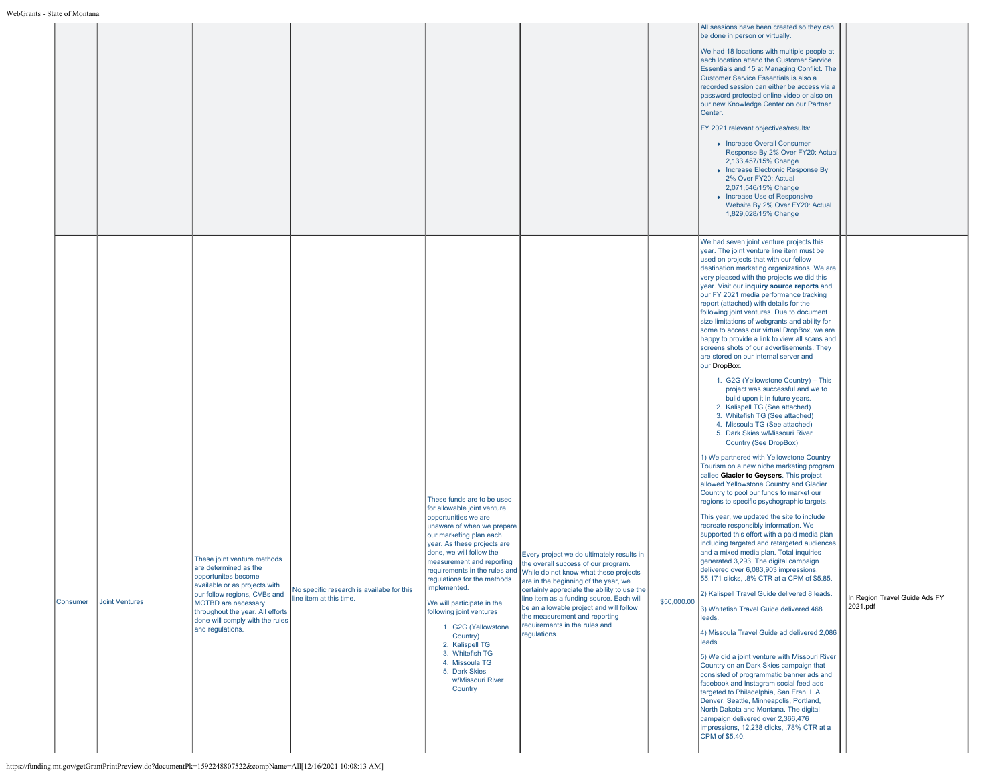|          |                |                                                                                                                                                                                                                                                                                                                                              |                                                                      |                                                                                                                                                                                                                                                                                                                                                                                                                                                                                        |                                                                                                                                                                                                                                                                                                                                                                                                                         |             | All sessions have been created so they can<br>be done in person or virtually.<br>We had 18 locations with multiple people at<br>each location attend the Customer Service<br>Essentials and 15 at Managing Conflict. The<br>Customer Service Essentials is also a<br>recorded session can either be access via a<br>password protected online video or also on<br>our new Knowledge Center on our Partner<br>Center.<br>FY 2021 relevant objectives/results:<br>• Increase Overall Consumer<br>Response By 2% Over FY20: Actual<br>2,133,457/15% Change<br>• Increase Electronic Response By<br>2% Over FY20: Actual<br>2,071,546/15% Change<br>• Increase Use of Responsive<br>Website By 2% Over FY20: Actual<br>1,829,028/15% Change                                                                                                                                                                                                                                                                                                                                                                                                                                                                                                                                                                                                                                                                                                                                                                                                                                                                                                                                                                                                                                                                                                                                                                                                                                                                                                                                                                                                                                |                                           |
|----------|----------------|----------------------------------------------------------------------------------------------------------------------------------------------------------------------------------------------------------------------------------------------------------------------------------------------------------------------------------------------|----------------------------------------------------------------------|----------------------------------------------------------------------------------------------------------------------------------------------------------------------------------------------------------------------------------------------------------------------------------------------------------------------------------------------------------------------------------------------------------------------------------------------------------------------------------------|-------------------------------------------------------------------------------------------------------------------------------------------------------------------------------------------------------------------------------------------------------------------------------------------------------------------------------------------------------------------------------------------------------------------------|-------------|------------------------------------------------------------------------------------------------------------------------------------------------------------------------------------------------------------------------------------------------------------------------------------------------------------------------------------------------------------------------------------------------------------------------------------------------------------------------------------------------------------------------------------------------------------------------------------------------------------------------------------------------------------------------------------------------------------------------------------------------------------------------------------------------------------------------------------------------------------------------------------------------------------------------------------------------------------------------------------------------------------------------------------------------------------------------------------------------------------------------------------------------------------------------------------------------------------------------------------------------------------------------------------------------------------------------------------------------------------------------------------------------------------------------------------------------------------------------------------------------------------------------------------------------------------------------------------------------------------------------------------------------------------------------------------------------------------------------------------------------------------------------------------------------------------------------------------------------------------------------------------------------------------------------------------------------------------------------------------------------------------------------------------------------------------------------------------------------------------------------------------------------------------------------|-------------------------------------------|
| Consumer | Joint Ventures | These joint venture methods<br>are determined as the<br>opportunites become<br>available or as projects with<br>our follow regions, CVBs and<br><b>MOTBD</b> are necessary<br>throughout the year. All efforts<br>done will comply with the rules<br>and regulations.<br>$101 - 15022488075228$ sem Neme $\lambda$ 11512/16/2021 10:08:12 AM | No specific research is availabe for this<br>line item at this time. | These funds are to be used<br>for allowable joint venture<br>opportunities we are<br>unaware of when we prepare<br>our marketing plan each<br>year. As these projects are<br>done, we will follow the<br>measurement and reporting<br>regulations for the methods<br>implemented.<br>We will participate in the<br>following joint ventures<br>1. G2G (Yellowstone<br>Country)<br>2. Kalispell TG<br>3. Whitefish TG<br>4. Missoula TG<br>5. Dark Skies<br>w/Missouri River<br>Country | Every project we do ultimately results in<br>the overall success of our program.<br>requirements in the rules and While do not know what these projects<br>are in the beginning of the year, we<br>certainly appreciate the ability to use the<br>line item as a funding source. Each will<br>be an allowable project and will follow<br>the measurement and reporting<br>requirements in the rules and<br>regulations. | \$50,000.00 | We had seven joint venture projects this<br>year. The joint venture line item must be<br>used on projects that with our fellow<br>destination marketing organizations. We are<br>very pleased with the projects we did this<br>year. Visit our inquiry source reports and<br>our FY 2021 media performance tracking<br>report (attached) with details for the<br>following joint ventures. Due to document<br>size limitations of webgrants and ability for<br>some to access our virtual DropBox, we are<br>happy to provide a link to view all scans and<br>screens shots of our advertisements. They<br>are stored on our internal server and<br>our DropBox.<br>1. G2G (Yellowstone Country) - This<br>project was successful and we to<br>build upon it in future years.<br>2. Kalispell TG (See attached)<br>3. Whitefish TG (See attached)<br>4. Missoula TG (See attached)<br>5. Dark Skies w/Missouri River<br>Country (See DropBox)<br>1) We partnered with Yellowstone Country<br>Tourism on a new niche marketing program<br>called Glacier to Geysers. This project<br>allowed Yellowstone Country and Glacier<br>Country to pool our funds to market our<br>regions to specific psychographic targets.<br>This year, we updated the site to include<br>recreate responsibly information. We<br>supported this effort with a paid media plan<br>including targeted and retargeted audiences<br>and a mixed media plan. Total inquiries<br>generated 3,293. The digital campaign<br>delivered over 6,083,903 impressions,<br>55.171 clicks. .8% CTR at a CPM of \$5.85.<br>2) Kalispell Travel Guide delivered 8 leads.<br>3) Whitefish Travel Guide delivered 468<br>leads.<br>4) Missoula Travel Guide ad delivered 2,086<br>leads.<br>5) We did a joint venture with Missouri River<br>Country on an Dark Skies campaign that<br>consisted of programmatic banner ads and<br>facebook and Instagram social feed ads<br>targeted to Philadelphia, San Fran, L.A.<br>Denver, Seattle, Minneapolis, Portland,<br>North Dakota and Montana. The digital<br>campaign delivered over 2,366,476<br>impressions, 12,238 clicks, .78% CTR at a<br>CPM of \$5.40. | In Region Travel Guide Ads FY<br>2021.pdf |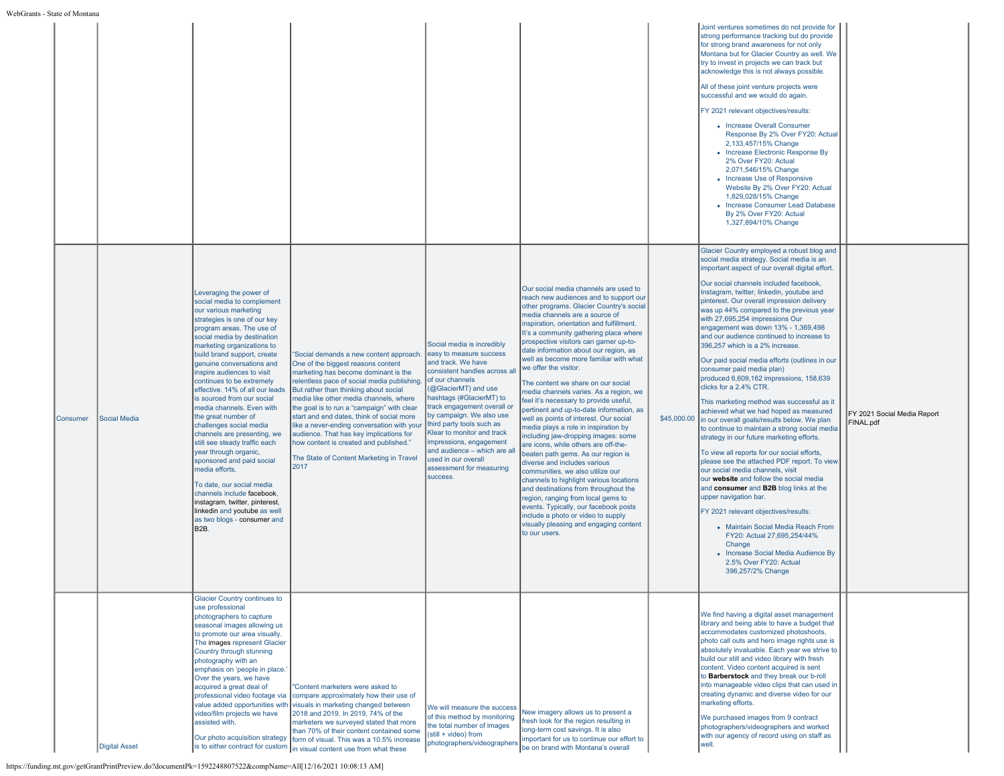|          |                      |                                                                                                                                                                                                                                                                                                                                                                                                                                                                                                                                                                                                                                                                                                                                                                                                          |                                                                                                                                                                                                                                                                                                                                                                                                                                                                                                                                           |                                                                                                                                                                                                                                                                                                                                                                                                                                     |                                                                                                                                                                                                                                                                                                                                                                                                                                                                                                                                                                                                                                                                                                                                                                                                                                                                                                                                                                                                                                                                                                                                | Joint ventures sometimes do not provide for<br>strong performance tracking but do provide<br>for strong brand awareness for not only<br>Montana but for Glacier Country as well. We<br>try to invest in projects we can track but<br>acknowledge this is not always possible.<br>All of these joint venture projects were<br>successful and we would do again.<br>FY 2021 relevant objectives/results:<br>• Increase Overall Consumer<br>Response By 2% Over FY20: Actual<br>2,133,457/15% Change<br>• Increase Electronic Response By<br>2% Over FY20: Actual<br>2,071,546/15% Change<br>• Increase Use of Responsive<br>Website By 2% Over FY20: Actual<br>1,829,028/15% Change<br>• Increase Consumer Lead Database<br>By 2% Over FY20: Actual<br>1,327,894/10% Change                                                                                                                                                                                                                                                                                                                                                                                                                                                                                                                                                                               |                                          |
|----------|----------------------|----------------------------------------------------------------------------------------------------------------------------------------------------------------------------------------------------------------------------------------------------------------------------------------------------------------------------------------------------------------------------------------------------------------------------------------------------------------------------------------------------------------------------------------------------------------------------------------------------------------------------------------------------------------------------------------------------------------------------------------------------------------------------------------------------------|-------------------------------------------------------------------------------------------------------------------------------------------------------------------------------------------------------------------------------------------------------------------------------------------------------------------------------------------------------------------------------------------------------------------------------------------------------------------------------------------------------------------------------------------|-------------------------------------------------------------------------------------------------------------------------------------------------------------------------------------------------------------------------------------------------------------------------------------------------------------------------------------------------------------------------------------------------------------------------------------|--------------------------------------------------------------------------------------------------------------------------------------------------------------------------------------------------------------------------------------------------------------------------------------------------------------------------------------------------------------------------------------------------------------------------------------------------------------------------------------------------------------------------------------------------------------------------------------------------------------------------------------------------------------------------------------------------------------------------------------------------------------------------------------------------------------------------------------------------------------------------------------------------------------------------------------------------------------------------------------------------------------------------------------------------------------------------------------------------------------------------------|---------------------------------------------------------------------------------------------------------------------------------------------------------------------------------------------------------------------------------------------------------------------------------------------------------------------------------------------------------------------------------------------------------------------------------------------------------------------------------------------------------------------------------------------------------------------------------------------------------------------------------------------------------------------------------------------------------------------------------------------------------------------------------------------------------------------------------------------------------------------------------------------------------------------------------------------------------------------------------------------------------------------------------------------------------------------------------------------------------------------------------------------------------------------------------------------------------------------------------------------------------------------------------------------------------------------------------------------------------|------------------------------------------|
| Consumer | <b>Social Media</b>  | Leveraging the power of<br>social media to complement<br>our various marketing<br>strategies is one of our key<br>program areas. The use of<br>social media by destination<br>marketing organizations to<br>build brand support, create<br>genuine conversations and<br>inspire audiences to visit<br>continues to be extremely<br>effective. 14% of all our leads<br>is sourced from our social<br>media channels. Even with<br>the great number of<br>challenges social media<br>channels are presenting, we<br>still see steady traffic each<br>year through organic,<br>sponsored and paid social<br>media efforts.<br>To date, our social media<br>channels include facebook.<br>instagram, twitter, pinterest,<br>linkedin and youtube as well<br>as two blogs - consumer and<br>B <sub>2</sub> B. | "Social demands a new content approach.<br>One of the biggest reasons content<br>marketing has become dominant is the<br>relentless pace of social media publishing.<br>But rather than thinking about social<br>media like other media channels, where<br>the goal is to run a "campaign" with clear<br>start and end dates, think of social more<br>like a never-ending conversation with your<br>audience. That has key implications for<br>how content is created and published."<br>The State of Content Marketing in Travel<br>2017 | Social media is incredibly<br>easy to measure success<br>and track. We have<br>consistent handles across all<br>of our channels<br>(@GlacierMT) and use<br>hashtags (#GlacierMT) to<br>track engagement overall or<br>by campaign. We also use<br>third party tools such as<br>Klear to monitor and track<br>impressions, engagement<br>and audience - which are all<br>used in our overall<br>assessment for measuring<br>success. | Our social media channels are used to<br>reach new audiences and to support our<br>other programs. Glacier Country's social<br>media channels are a source of<br>inspiration, orientation and fulfillment.<br>It's a community gathering place where<br>prospective visitors can garner up-to-<br>date information about our region, as<br>well as become more familiar with what<br>we offer the visitor.<br>The content we share on our social<br>media channels varies. As a region, we<br>feel it's necessary to provide useful,<br>pertinent and up-to-date information, as<br>well as points of interest. Our social<br>media plays a role in inspiration by<br>including jaw-dropping images: some<br>are icons, while others are off-the-<br>beaten path gems. As our region is<br>diverse and includes various<br>communities, we also utilize our<br>channels to highlight various locations<br>and destinations from throughout the<br>region, ranging from local gems to<br>events. Typically, our facebook posts<br>include a photo or video to supply<br>visually pleasing and engaging content<br>to our users. | Glacier Country employed a robust blog and<br>social media strategy. Social media is an<br>important aspect of our overall digital effort.<br>Our social channels included facebook,<br>Instagram, twitter, linkedin, youtube and<br>Dinterest. Our overall impression delivery<br>was up 44% compared to the previous year<br>with 27,695,254 impressions Our<br>engagement was down 13% - 1,369,498<br>and our audience continued to increase to<br>396.257 which is a 2% increase.<br>Our paid social media efforts (outlines in our<br>consumer paid media plan)<br>produced 6.609.162 impressions, 158.639<br>clicks for a 2.4% CTR.<br>This marketing method was successful as it<br>achieved what we had hoped as measured<br>\$45,000.00 in our overall goals/results below. We plan<br>to continue to maintain a strong social media<br>strategy in our future marketing efforts.<br>To view all reports for our social efforts,<br>please see the attached PDF report. To view<br>our social media channels, visit<br>our website and follow the social media<br>and consumer and B2B blog links at the<br>upper navigation bar.<br>FY 2021 relevant objectives/results:<br>• Maintain Social Media Reach From<br>FY20: Actual 27,695,254/44%<br>Change<br>• Increase Social Media Audience By<br>2.5% Over FY20: Actual<br>396,257/2% Change | FY 2021 Social Media Report<br>FINAL.pdf |
|          | <b>Digital Asset</b> | Glacier Country continues to<br>use professional<br>photographers to capture<br>seasonal images allowing us<br>to promote our area visually.<br>The images represent Glacier<br>Country through stunning<br>photography with an<br>emphasis on 'people in place.'<br>Over the years, we have<br>acquired a great deal of<br>video/film projects we have<br>assisted with.<br>Our photo acquisition strategy                                                                                                                                                                                                                                                                                                                                                                                              | "Content marketers were asked to<br>professional video footage via   compare approximately how their use of<br>value added opportunities with visuals in marketing changed between<br>2018 and 2019. In 2019, 74% of the<br>marketers we surveyed stated that more<br>than 70% of their content contained some<br>form of visual. This was a 10.5% increase<br>is to either contract for custom in visual content use from what these                                                                                                     | We will measure the success<br>of this method by monitoring<br>the total number of images<br>(still + video) from<br>photographers/videographers                                                                                                                                                                                                                                                                                    | New imagery allows us to present a<br>fresh look for the region resulting in<br>long-term cost savings. It is also<br>important for us to continue our effort to<br>be on brand with Montana's overall                                                                                                                                                                                                                                                                                                                                                                                                                                                                                                                                                                                                                                                                                                                                                                                                                                                                                                                         | We find having a digital asset management<br>library and being able to have a budget that<br>accommodates customized photoshoots,<br>photo call outs and hero image rights use is<br>absolutely invaluable. Each year we strive to<br>build our still and video library with fresh<br>content. Video content acquired is sent<br>to Barberstock and they break our b-roll<br>into manageable video clips that can used in<br>creating dynamic and diverse video for our<br>marketing efforts.<br>We purchased images from 9 contract<br>photographers/videographers and worked<br>with our agency of record using on staff as<br>well.                                                                                                                                                                                                                                                                                                                                                                                                                                                                                                                                                                                                                                                                                                                  |                                          |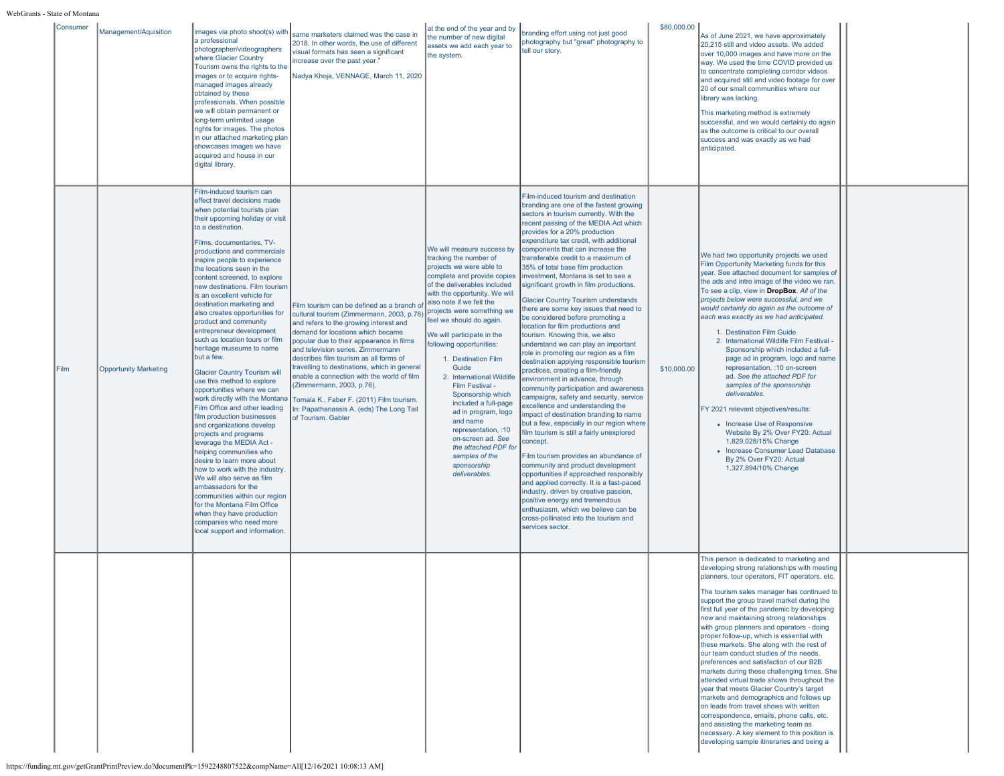| <b>IConsumer</b> | Management/Aquisition        | images via photo shoot(s) with<br>la professional<br>photographer/videographers<br>where Glacier Country<br>Tourism owns the rights to the<br>images or to acquire rights-<br>managed images already<br>obtained by these<br>professionals. When possible<br>we will obtain permanent or<br>long-term unlimited usage<br>rights for images. The photos<br>in our attached marketing plan<br>showcases images we have<br>acquired and house in our<br>digital library.                                                                                                                                                                                                                                                                                                                                                                                                                                                                                                                                                                                                                                                                                                     | same marketers claimed was the case in<br>2018. In other words, the use of different<br>visual formats has seen a significant<br>increase over the past year."<br>Nadya Khoja, VENNAGE, March 11, 2020                                                                                                                                                                                                                                                                                                                                     | at the end of the year and by<br>he number of new digital<br>assets we add each year to<br>the system.                                                                                                                                                                                                                                                                                                                                                                                                                                                                                                                 | branding effort using not just good<br>photography but "great" photography to<br>tell our story.                                                                                                                                                                                                                                                                                                                                                                                                                                                                                                                                                                                                                                                                                                                                                                                                                                                                                                                                                                                                                                                                                                                                                                                                                                                                                                                                                                                       | \$80,000.00 | As of June 2021, we have approximately<br>20,215 still and video assets. We added<br>over 10,000 images and have more on the<br>way. We used the time COVID provided us<br>to concentrate completing corridor videos<br>and acquired still and video footage for over<br>20 of our small communities where our<br>library was lacking.<br>This marketing method is extremely<br>successful, and we would certainly do again<br>as the outcome is critical to our overall<br>success and was exactly as we had<br>anticipated.                                                                                                                                                                                                                                                                                                                                                                                                                                                    |  |
|------------------|------------------------------|---------------------------------------------------------------------------------------------------------------------------------------------------------------------------------------------------------------------------------------------------------------------------------------------------------------------------------------------------------------------------------------------------------------------------------------------------------------------------------------------------------------------------------------------------------------------------------------------------------------------------------------------------------------------------------------------------------------------------------------------------------------------------------------------------------------------------------------------------------------------------------------------------------------------------------------------------------------------------------------------------------------------------------------------------------------------------------------------------------------------------------------------------------------------------|--------------------------------------------------------------------------------------------------------------------------------------------------------------------------------------------------------------------------------------------------------------------------------------------------------------------------------------------------------------------------------------------------------------------------------------------------------------------------------------------------------------------------------------------|------------------------------------------------------------------------------------------------------------------------------------------------------------------------------------------------------------------------------------------------------------------------------------------------------------------------------------------------------------------------------------------------------------------------------------------------------------------------------------------------------------------------------------------------------------------------------------------------------------------------|----------------------------------------------------------------------------------------------------------------------------------------------------------------------------------------------------------------------------------------------------------------------------------------------------------------------------------------------------------------------------------------------------------------------------------------------------------------------------------------------------------------------------------------------------------------------------------------------------------------------------------------------------------------------------------------------------------------------------------------------------------------------------------------------------------------------------------------------------------------------------------------------------------------------------------------------------------------------------------------------------------------------------------------------------------------------------------------------------------------------------------------------------------------------------------------------------------------------------------------------------------------------------------------------------------------------------------------------------------------------------------------------------------------------------------------------------------------------------------------|-------------|----------------------------------------------------------------------------------------------------------------------------------------------------------------------------------------------------------------------------------------------------------------------------------------------------------------------------------------------------------------------------------------------------------------------------------------------------------------------------------------------------------------------------------------------------------------------------------------------------------------------------------------------------------------------------------------------------------------------------------------------------------------------------------------------------------------------------------------------------------------------------------------------------------------------------------------------------------------------------------|--|
| Film             | <b>Opportunity Marketing</b> | Film-induced tourism can<br>effect travel decisions made<br>when potential tourists plan<br>their upcoming holiday or visit<br>to a destination.<br>Films, documentaries, TV-<br>productions and commercials<br>inspire people to experience<br>the locations seen in the<br>content screened, to explore<br>new destinations. Film tourism<br>is an excellent vehicle for<br>destination marketing and<br>also creates opportunities for<br>product and community<br>entrepreneur development<br>such as location tours or film<br>heritage museums to name<br>but a few.<br><b>Glacier Country Tourism will</b><br>use this method to explore<br>opportunities where we can<br>work directly with the Montana<br>Film Office and other leading<br>film production businesses<br>and organizations develop<br>projects and programs<br>leverage the MEDIA Act -<br>helping communities who<br>desire to learn more about<br>how to work with the industry<br>We will also serve as film<br>ambassadors for the<br>communities within our region<br>for the Montana Film Office<br>when they have production<br>companies who need more<br>local support and information. | Film tourism can be defined as a branch of<br>cultural tourism (Zimmermann, 2003, p.76)<br>and refers to the growing interest and<br>demand for locations which became<br>popular due to their appearance in films<br>and television series. Zimmermann<br>describes film tourism as all forms of<br>travelling to destinations, which in general<br>enable a connection with the world of film<br>(Zimmermann, 2003, p.76).<br>Tomala K., Faber F. (2011) Film tourism.<br>In: Papathanassis A. (eds) The Long Tail<br>of Tourism, Gabler | We will measure success by<br>tracking the number of<br>projects we were able to<br>complete and provide copies<br>of the deliverables included<br>with the opportunity. We will<br>also note if we felt the<br>projects were something we<br>feel we should do again.<br>We will participate in the<br>following opportunities:<br>1. Destination Film<br>Guide<br>2. International Wildlife<br>Film Festival -<br>Sponsorship which<br>included a full-page<br>ad in program, logo<br>and name<br>representation, :10<br>on-screen ad. See<br>the attached PDF for<br>samples of the<br>sponsorship<br>deliverables. | Film-induced tourism and destination<br>branding are one of the fastest growing<br>sectors in tourism currently. With the<br>recent passing of the MEDIA Act which<br>provides for a 20% production<br>expenditure tax credit, with additional<br>components that can increase the<br>transferable credit to a maximum of<br>35% of total base film production<br>investment, Montana is set to see a<br>significant growth in film productions.<br><b>Glacier Country Tourism understands</b><br>there are some key issues that need to<br>be considered before promoting a<br>location for film productions and<br>tourism. Knowing this, we also<br>understand we can play an important<br>role in promoting our region as a film<br>destination applying responsible tourism<br>practices, creating a film-friendly<br>environment in advance, through<br>community participation and awareness<br>campaigns, safety and security, service<br>excellence and understanding the<br>mpact of destination branding to name<br>but a few, especially in our region where<br>film tourism is still a fairly unexplored<br>concept.<br>Film tourism provides an abundance of<br>community and product development<br>opportunities if approached responsibly<br>and applied correctly. It is a fast-paced<br>industry, driven by creative passion,<br>positive energy and tremendous<br>enthusiasm, which we believe can be<br>cross-pollinated into the tourism and<br>services sector. | \$10,000.00 | We had two opportunity projects we used<br>Film Opportunity Marketing funds for this<br>year. See attached document for samples of<br>the ads and intro image of the video we ran.<br>To see a clip, view in <b>DropBox</b> . All of the<br>projects below were successful, and we<br>would certainly do again as the outcome of<br>each was exactly as we had anticipated.<br>1. Destination Film Guide<br>2. International Wildlife Film Festival<br>Sponsorship which included a full-<br>page ad in program, logo and name<br>representation, :10 on-screen<br>ad. See the attached PDF for<br>samples of the sponsorship<br>deliverables.<br>FY 2021 relevant objectives/results:<br>• Increase Use of Responsive<br>Website By 2% Over FY20: Actual<br>1,829,028/15% Change<br>• Increase Consumer Lead Database<br>By 2% Over FY20: Actual<br>1,327,894/10% Change                                                                                                        |  |
|                  |                              |                                                                                                                                                                                                                                                                                                                                                                                                                                                                                                                                                                                                                                                                                                                                                                                                                                                                                                                                                                                                                                                                                                                                                                           |                                                                                                                                                                                                                                                                                                                                                                                                                                                                                                                                            |                                                                                                                                                                                                                                                                                                                                                                                                                                                                                                                                                                                                                        |                                                                                                                                                                                                                                                                                                                                                                                                                                                                                                                                                                                                                                                                                                                                                                                                                                                                                                                                                                                                                                                                                                                                                                                                                                                                                                                                                                                                                                                                                        |             | This person is dedicated to marketing and<br>developing strong relationships with meeting<br>planners, tour operators, FIT operators, etc.<br>The tourism sales manager has continued to<br>support the group travel market during the<br>first full year of the pandemic by developing<br>new and maintaining strong relationships<br>with group planners and operators - doing<br>proper follow-up, which is essential with<br>these markets. She along with the rest of<br>our team conduct studies of the needs,<br>preferences and satisfaction of our B2B<br>markets during these challenging times. She<br>attended virtual trade shows throughout the<br>year that meets Glacier Country's target<br>markets and demographics and follows up<br>on leads from travel shows with written<br>correspondence, emails, phone calls, etc.<br>and assisting the marketing team as<br>necessary. A key element to this position is<br>developing sample itineraries and being a |  |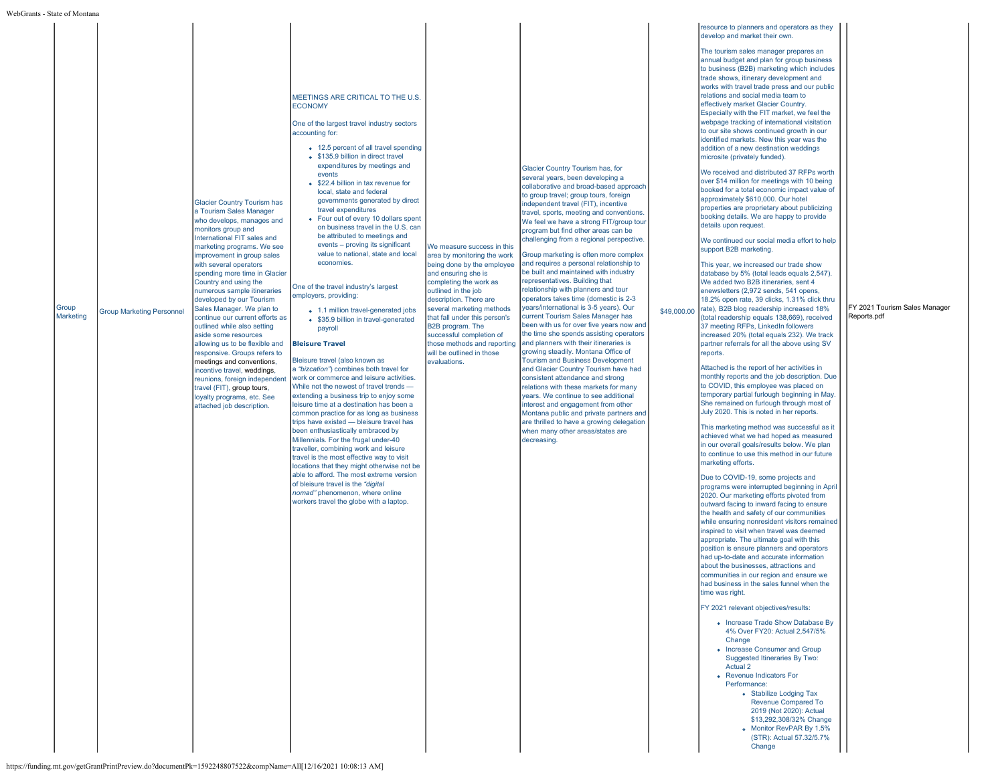|  | Group<br>Marketing | <b>Group Marketing Personnel</b> | <b>Glacier Country Tourism has</b><br>a Tourism Sales Manager<br>who develops, manages and<br>monitors group and<br>International FIT sales and<br>marketing programs. We see<br>improvement in group sales<br>with several operators<br>spending more time in Glacier<br>Country and using the<br>numerous sample itineraries<br>developed by our Tourism<br>Sales Manager. We plan to<br>continue our current efforts as<br>outlined while also setting<br>aside some resources<br>allowing us to be flexible and<br>responsive. Groups refers to<br>meetings and conventions,<br>incentive travel, weddings,<br>reunions, foreign independent<br>travel (FIT), group tours,<br>loyalty programs, etc. See<br>attached job description.<br>https://funding.mt.gov/getGrantPrintPreview.do?documentPk=1592248807522&compName=All[12/16/2021 10:08:13 AM] | MEETINGS ARE CRITICAL TO THE U.S.<br><b>ECONOMY</b><br>One of the largest travel industry sectors<br>accounting for:<br>• 12.5 percent of all travel spending<br>• \$135.9 billion in direct travel<br>expenditures by meetings and<br>events<br>• \$22.4 billion in tax revenue for<br>local, state and federal<br>governments generated by direct<br>travel expenditures<br>• Four out of every 10 dollars spent<br>on business travel in the U.S. can<br>be attributed to meetings and<br>events - proving its significant<br>value to national, state and local<br>economies.<br>One of the travel industry's largest<br>employers, providing:<br>• 1.1 million travel-generated jobs<br>• \$35.9 billion in travel-generated<br>payroll<br><b>Bleisure Travel</b><br>Bleisure travel (also known as<br>a "bizcation") combines both travel for<br>work or commerce and leisure activities.<br>While not the newest of travel trends -<br>extending a business trip to enjoy some<br>leisure time at a destination has been a<br>common practice for as long as business<br>trips have existed - bleisure travel has<br>been enthusiastically embraced by<br>Millennials. For the frugal under-40<br>traveller, combining work and leisure<br>travel is the most effective way to visit<br>locations that they might otherwise not be<br>able to afford. The most extreme version<br>of bleisure travel is the "digital<br>nomad" phenomenon, where online<br>workers travel the globe with a laptop. | We measure success in this<br>area by monitoring the work<br>being done by the employee<br>and ensuring she is<br>completing the work as<br>outlined in the job<br>description. There are<br>several marketing methods<br>that fall under this person's<br>B2B program. The<br>successful completion of<br>those methods and reporting<br>will be outlined in those<br>evaluations. | Glacier Country Tourism has, for<br>several years, been developing a<br>collaborative and broad-based approach<br>to group travel; group tours, foreign<br>independent travel (FIT), incentive<br>travel, sports, meeting and conventions.<br>We feel we have a strong FIT/group tour<br>program but find other areas can be<br>challenging from a regional perspective.<br>Group marketing is often more complex<br>and requires a personal relationship to<br>be built and maintained with industry<br>representatives. Building that<br>relationship with planners and tour<br>operators takes time (domestic is 2-3<br>years/international is 3-5 years). Our<br>current Tourism Sales Manager has<br>been with us for over five years now and<br>the time she spends assisting operators<br>and planners with their itineraries is<br>growing steadily. Montana Office of<br><b>Tourism and Business Development</b><br>and Glacier Country Tourism have had<br>consistent attendance and strong<br>relations with these markets for many<br>years. We continue to see additional<br>interest and engagement from other<br>Montana public and private partners and<br>are thrilled to have a growing delegation<br>when many other areas/states are<br>decreasing. | \$49,000.00 | develop and market their own.<br>The tourism sales manager prepares an<br>annual budget and plan for group business<br>to business (B2B) marketing which includes<br>trade shows, itinerary development and<br>works with travel trade press and our public<br>relations and social media team to<br>effectively market Glacier Country.<br>Especially with the FIT market, we feel the<br>webpage tracking of international visitation<br>to our site shows continued growth in our<br>identified markets. New this year was the<br>addition of a new destination weddings<br>microsite (privately funded).<br>We received and distributed 37 RFPs worth<br>over \$14 million for meetings with 10 being<br>booked for a total economic impact value of<br>approximately \$610,000. Our hotel<br>properties are proprietary about publicizing<br>booking details. We are happy to provide<br>details upon request.<br>We continued our social media effort to help<br>support B2B marketing.<br>This year, we increased our trade show<br>database by 5% (total leads equals 2,547).<br>We added two B2B itineraries, sent 4<br>enewsletters (2,972 sends, 541 opens,<br>18.2% open rate, 39 clicks, 1.31% click thru<br>rate), B2B blog readership increased 18%<br>(total readership equals 138,669), received<br>37 meeting RFPs, LinkedIn followers<br>increased 20% (total equals 232). We track<br>partner referrals for all the above using SV<br>reports.<br>Attached is the report of her activities in<br>monthly reports and the job description. Due<br>to COVID, this employee was placed on<br>temporary partial furlough beginning in May.<br>She remained on furlough through most of<br>July 2020. This is noted in her reports.<br>This marketing method was successful as it<br>achieved what we had hoped as measured<br>in our overall goals/results below. We plan<br>to continue to use this method in our future<br>marketing efforts.<br>Due to COVID-19, some projects and<br>programs were interrupted beginning in April<br>2020. Our marketing efforts pivoted from<br>outward facing to inward facing to ensure<br>the health and safety of our communities<br>while ensuring nonresident visitors remained<br>inspired to visit when travel was deemed<br>appropriate. The ultimate goal with this<br>position is ensure planners and operators<br>had up-to-date and accurate information<br>about the businesses, attractions and<br>communities in our region and ensure we<br>had business in the sales funnel when the<br>time was right.<br>FY 2021 relevant objectives/results:<br>• Increase Trade Show Database By<br>4% Over FY20: Actual 2.547/5%<br>Change<br>• Increase Consumer and Group<br>Suggested Itineraries By Two:<br>Actual 2<br>• Revenue Indicators For<br>Performance:<br>• Stabilize Lodging Tax<br>Revenue Compared To<br>2019 (Not 2020): Actual<br>\$13,292,308/32% Change<br>Monitor RevPAR By 1.5%<br>(STR): Actual 57.32/5.7%<br>Change | FY 2021 Tourism Sales Manager<br>Reports.pdf |
|--|--------------------|----------------------------------|-----------------------------------------------------------------------------------------------------------------------------------------------------------------------------------------------------------------------------------------------------------------------------------------------------------------------------------------------------------------------------------------------------------------------------------------------------------------------------------------------------------------------------------------------------------------------------------------------------------------------------------------------------------------------------------------------------------------------------------------------------------------------------------------------------------------------------------------------------------|-----------------------------------------------------------------------------------------------------------------------------------------------------------------------------------------------------------------------------------------------------------------------------------------------------------------------------------------------------------------------------------------------------------------------------------------------------------------------------------------------------------------------------------------------------------------------------------------------------------------------------------------------------------------------------------------------------------------------------------------------------------------------------------------------------------------------------------------------------------------------------------------------------------------------------------------------------------------------------------------------------------------------------------------------------------------------------------------------------------------------------------------------------------------------------------------------------------------------------------------------------------------------------------------------------------------------------------------------------------------------------------------------------------------------------------------------------------------------------------------------------------|-------------------------------------------------------------------------------------------------------------------------------------------------------------------------------------------------------------------------------------------------------------------------------------------------------------------------------------------------------------------------------------|-------------------------------------------------------------------------------------------------------------------------------------------------------------------------------------------------------------------------------------------------------------------------------------------------------------------------------------------------------------------------------------------------------------------------------------------------------------------------------------------------------------------------------------------------------------------------------------------------------------------------------------------------------------------------------------------------------------------------------------------------------------------------------------------------------------------------------------------------------------------------------------------------------------------------------------------------------------------------------------------------------------------------------------------------------------------------------------------------------------------------------------------------------------------------------------------------------------------------------------------------------------------------|-------------|----------------------------------------------------------------------------------------------------------------------------------------------------------------------------------------------------------------------------------------------------------------------------------------------------------------------------------------------------------------------------------------------------------------------------------------------------------------------------------------------------------------------------------------------------------------------------------------------------------------------------------------------------------------------------------------------------------------------------------------------------------------------------------------------------------------------------------------------------------------------------------------------------------------------------------------------------------------------------------------------------------------------------------------------------------------------------------------------------------------------------------------------------------------------------------------------------------------------------------------------------------------------------------------------------------------------------------------------------------------------------------------------------------------------------------------------------------------------------------------------------------------------------------------------------------------------------------------------------------------------------------------------------------------------------------------------------------------------------------------------------------------------------------------------------------------------------------------------------------------------------------------------------------------------------------------------------------------------------------------------------------------------------------------------------------------------------------------------------------------------------------------------------------------------------------------------------------------------------------------------------------------------------------------------------------------------------------------------------------------------------------------------------------------------------------------------------------------------------------------------------------------------------------------------------------------------------------------------------------------------------------------------------------------------------------------------------------------------------------------------------------------------------------------------------------------------------------------------------------------------------------------------------------------------------------------------------------------------------------------------------------|----------------------------------------------|
|--|--------------------|----------------------------------|-----------------------------------------------------------------------------------------------------------------------------------------------------------------------------------------------------------------------------------------------------------------------------------------------------------------------------------------------------------------------------------------------------------------------------------------------------------------------------------------------------------------------------------------------------------------------------------------------------------------------------------------------------------------------------------------------------------------------------------------------------------------------------------------------------------------------------------------------------------|-----------------------------------------------------------------------------------------------------------------------------------------------------------------------------------------------------------------------------------------------------------------------------------------------------------------------------------------------------------------------------------------------------------------------------------------------------------------------------------------------------------------------------------------------------------------------------------------------------------------------------------------------------------------------------------------------------------------------------------------------------------------------------------------------------------------------------------------------------------------------------------------------------------------------------------------------------------------------------------------------------------------------------------------------------------------------------------------------------------------------------------------------------------------------------------------------------------------------------------------------------------------------------------------------------------------------------------------------------------------------------------------------------------------------------------------------------------------------------------------------------------|-------------------------------------------------------------------------------------------------------------------------------------------------------------------------------------------------------------------------------------------------------------------------------------------------------------------------------------------------------------------------------------|-------------------------------------------------------------------------------------------------------------------------------------------------------------------------------------------------------------------------------------------------------------------------------------------------------------------------------------------------------------------------------------------------------------------------------------------------------------------------------------------------------------------------------------------------------------------------------------------------------------------------------------------------------------------------------------------------------------------------------------------------------------------------------------------------------------------------------------------------------------------------------------------------------------------------------------------------------------------------------------------------------------------------------------------------------------------------------------------------------------------------------------------------------------------------------------------------------------------------------------------------------------------------|-------------|----------------------------------------------------------------------------------------------------------------------------------------------------------------------------------------------------------------------------------------------------------------------------------------------------------------------------------------------------------------------------------------------------------------------------------------------------------------------------------------------------------------------------------------------------------------------------------------------------------------------------------------------------------------------------------------------------------------------------------------------------------------------------------------------------------------------------------------------------------------------------------------------------------------------------------------------------------------------------------------------------------------------------------------------------------------------------------------------------------------------------------------------------------------------------------------------------------------------------------------------------------------------------------------------------------------------------------------------------------------------------------------------------------------------------------------------------------------------------------------------------------------------------------------------------------------------------------------------------------------------------------------------------------------------------------------------------------------------------------------------------------------------------------------------------------------------------------------------------------------------------------------------------------------------------------------------------------------------------------------------------------------------------------------------------------------------------------------------------------------------------------------------------------------------------------------------------------------------------------------------------------------------------------------------------------------------------------------------------------------------------------------------------------------------------------------------------------------------------------------------------------------------------------------------------------------------------------------------------------------------------------------------------------------------------------------------------------------------------------------------------------------------------------------------------------------------------------------------------------------------------------------------------------------------------------------------------------------------------------------------------------|----------------------------------------------|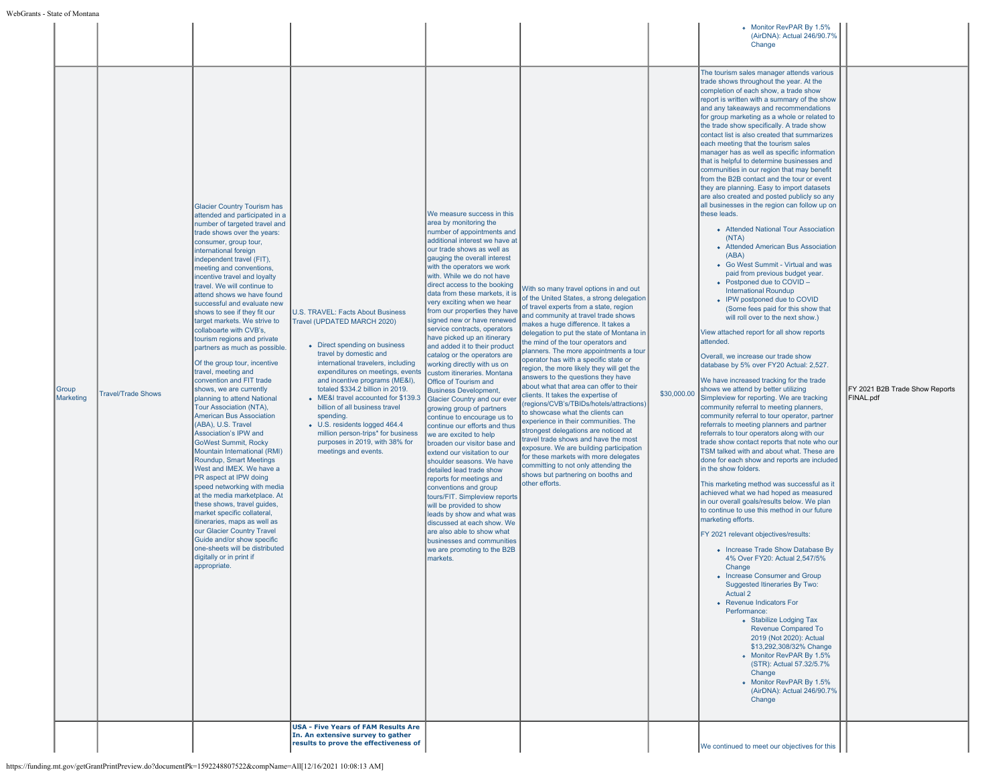| Group<br>Marketing | <b>Travel/Trade Shows</b> | <b>Glacier Country Tourism has</b><br>attended and participated in a<br>number of targeted travel and<br>trade shows over the years:<br>consumer, group tour,<br>international foreign<br>independent travel (FIT),<br>meeting and conventions,<br>incentive travel and loyalty<br>travel. We will continue to<br>attend shows we have found<br>successful and evaluate new<br>shows to see if they fit our<br>target markets. We strive to<br>collaboarte with CVB's,<br>tourism regions and private<br>partners as much as possible.<br>Of the group tour, incentive<br>travel, meeting and<br>convention and FIT trade<br>shows, we are currently<br>planning to attend National<br>Tour Association (NTA),<br><b>American Bus Association</b><br>(ABA), U.S. Travel<br>Association's IPW and<br><b>GoWest Summit, Rocky</b><br>Mountain International (RMI)<br>Roundup, Smart Meetings<br>West and IMEX. We have a<br>PR aspect at IPW doing<br>speed networking with media<br>at the media marketplace. At<br>these shows, travel guides,<br>market specific collateral,<br>itineraries, maps as well as<br>our Glacier Country Travel<br>Guide and/or show specific<br>one-sheets will be distributed<br>digitally or in print if<br>appropriate. | U.S. TRAVEL: Facts About Business<br>Travel (UPDATED MARCH 2020)<br>• Direct spending on business<br>travel by domestic and<br>international travelers, including<br>expenditures on meetings, events<br>and incentive programs (ME&I),<br>totaled \$334.2 billion in 2019.<br>• ME&I travel accounted for \$139.3<br>billion of all business travel<br>spending.<br>• U.S. residents logged 464.4<br>million person-trips* for business<br>purposes in 2019, with 38% for<br>meetings and events. | We measure success in this<br>area by monitoring the<br>number of appointments and<br>additional interest we have at<br>our trade shows as well as<br>gauging the overall interest<br>with the operators we work<br>with. While we do not have<br>direct access to the booking<br>data from these markets, it is<br>very exciting when we hear<br>from our properties they have<br>signed new or have renewed<br>service contracts, operators<br>have picked up an itinerary<br>and added it to their product<br>catalog or the operators are<br>working directly with us on<br>custom itineraries. Montana<br>Office of Tourism and<br><b>Business Development,</b><br><b>Glacier Country and our ever</b><br>growing group of partners<br>continue to encourage us to<br>continue our efforts and thus<br>we are excited to help<br>broaden our visitor base and<br>extend our visitation to our<br>shoulder seasons. We have<br>detailed lead trade show<br>reports for meetings and<br>conventions and group<br>tours/FIT. Simpleview reports<br>will be provided to show<br>leads by show and what was<br>discussed at each show. We<br>are also able to show what<br>businesses and communities<br>we are promoting to the B2B<br>markets. | With so many travel options in and out<br>of the United States, a strong delegation<br>of travel experts from a state, region<br>and community at travel trade shows<br>makes a huge difference. It takes a<br>delegation to put the state of Montana in<br>the mind of the tour operators and<br>planners. The more appointments a tour<br>operator has with a specific state or<br>region, the more likely they will get the<br>answers to the questions they have<br>about what that area can offer to their<br>clients. It takes the expertise of<br>(regions/CVB's/TBIDs/hotels/attractions)<br>to showcase what the clients can<br>experience in their communities. The<br>strongest delegations are noticed at<br>travel trade shows and have the most<br>exposure. We are building participation<br>for these markets with more delegates<br>committing to not only attending the<br>shows but partnering on booths and<br>other efforts. | \$30,000.00 | Change<br>The tourism sales manager attends various<br>trade shows throughout the year. At the<br>completion of each show, a trade show<br>report is written with a summary of the show<br>and any takeaways and recommendations<br>for group marketing as a whole or related to<br>the trade show specifically. A trade show<br>contact list is also created that summarizes<br>each meeting that the tourism sales<br>manager has as well as specific information<br>that is helpful to determine businesses and<br>communities in our region that may benefit<br>from the B2B contact and the tour or event<br>they are planning. Easy to import datasets<br>are also created and posted publicly so any<br>all businesses in the region can follow up on<br>these leads.<br>• Attended National Tour Association<br>(NTA)<br>• Attended American Bus Association<br>(ABA)<br>• Go West Summit - Virtual and was<br>paid from previous budget year.<br>• Postponed due to COVID -<br><b>International Roundup</b><br>• IPW postponed due to COVID<br>(Some fees paid for this show that<br>will roll over to the next show.)<br>View attached report for all show reports<br>attended.<br>Overall, we increase our trade show<br>database by 5% over FY20 Actual: 2,527.<br>We have increased tracking for the trade<br>shows we attend by better utilizing<br>Simpleview for reporting. We are tracking<br>community referral to meeting planners,<br>community referral to tour operator, partner<br>referrals to meeting planners and partner<br>referrals to tour operators along with our<br>trade show contact reports that note who our<br>TSM talked with and about what. These are<br>done for each show and reports are included<br>in the show folders.<br>This marketing method was successful as it<br>achieved what we had hoped as measured<br>in our overall goals/results below. We plan<br>to continue to use this method in our future<br>marketing efforts.<br>FY 2021 relevant objectives/results:<br>• Increase Trade Show Database By<br>4% Over FY20: Actual 2,547/5%<br>Change<br>• Increase Consumer and Group<br>Suggested Itineraries By Two:<br><b>Actual 2</b><br>• Revenue Indicators For<br>Performance:<br>• Stabilize Lodging Tax<br>Revenue Compared To<br>2019 (Not 2020): Actual | FY 2021 B2B Trade Show Reports<br>FINAL.pdf |
|--------------------|---------------------------|---------------------------------------------------------------------------------------------------------------------------------------------------------------------------------------------------------------------------------------------------------------------------------------------------------------------------------------------------------------------------------------------------------------------------------------------------------------------------------------------------------------------------------------------------------------------------------------------------------------------------------------------------------------------------------------------------------------------------------------------------------------------------------------------------------------------------------------------------------------------------------------------------------------------------------------------------------------------------------------------------------------------------------------------------------------------------------------------------------------------------------------------------------------------------------------------------------------------------------------------------------|----------------------------------------------------------------------------------------------------------------------------------------------------------------------------------------------------------------------------------------------------------------------------------------------------------------------------------------------------------------------------------------------------------------------------------------------------------------------------------------------------|--------------------------------------------------------------------------------------------------------------------------------------------------------------------------------------------------------------------------------------------------------------------------------------------------------------------------------------------------------------------------------------------------------------------------------------------------------------------------------------------------------------------------------------------------------------------------------------------------------------------------------------------------------------------------------------------------------------------------------------------------------------------------------------------------------------------------------------------------------------------------------------------------------------------------------------------------------------------------------------------------------------------------------------------------------------------------------------------------------------------------------------------------------------------------------------------------------------------------------------------------|---------------------------------------------------------------------------------------------------------------------------------------------------------------------------------------------------------------------------------------------------------------------------------------------------------------------------------------------------------------------------------------------------------------------------------------------------------------------------------------------------------------------------------------------------------------------------------------------------------------------------------------------------------------------------------------------------------------------------------------------------------------------------------------------------------------------------------------------------------------------------------------------------------------------------------------------------|-------------|--------------------------------------------------------------------------------------------------------------------------------------------------------------------------------------------------------------------------------------------------------------------------------------------------------------------------------------------------------------------------------------------------------------------------------------------------------------------------------------------------------------------------------------------------------------------------------------------------------------------------------------------------------------------------------------------------------------------------------------------------------------------------------------------------------------------------------------------------------------------------------------------------------------------------------------------------------------------------------------------------------------------------------------------------------------------------------------------------------------------------------------------------------------------------------------------------------------------------------------------------------------------------------------------------------------------------------------------------------------------------------------------------------------------------------------------------------------------------------------------------------------------------------------------------------------------------------------------------------------------------------------------------------------------------------------------------------------------------------------------------------------------------------------------------------------------------------------------------------------------------------------------------------------------------------------------------------------------------------------------------------------------------------------------------------------------------------------------------------------------------------------------------------------------------------------------------------------------------------------------------------------------------------------------------------------------------|---------------------------------------------|
|--------------------|---------------------------|---------------------------------------------------------------------------------------------------------------------------------------------------------------------------------------------------------------------------------------------------------------------------------------------------------------------------------------------------------------------------------------------------------------------------------------------------------------------------------------------------------------------------------------------------------------------------------------------------------------------------------------------------------------------------------------------------------------------------------------------------------------------------------------------------------------------------------------------------------------------------------------------------------------------------------------------------------------------------------------------------------------------------------------------------------------------------------------------------------------------------------------------------------------------------------------------------------------------------------------------------------|----------------------------------------------------------------------------------------------------------------------------------------------------------------------------------------------------------------------------------------------------------------------------------------------------------------------------------------------------------------------------------------------------------------------------------------------------------------------------------------------------|--------------------------------------------------------------------------------------------------------------------------------------------------------------------------------------------------------------------------------------------------------------------------------------------------------------------------------------------------------------------------------------------------------------------------------------------------------------------------------------------------------------------------------------------------------------------------------------------------------------------------------------------------------------------------------------------------------------------------------------------------------------------------------------------------------------------------------------------------------------------------------------------------------------------------------------------------------------------------------------------------------------------------------------------------------------------------------------------------------------------------------------------------------------------------------------------------------------------------------------------------|---------------------------------------------------------------------------------------------------------------------------------------------------------------------------------------------------------------------------------------------------------------------------------------------------------------------------------------------------------------------------------------------------------------------------------------------------------------------------------------------------------------------------------------------------------------------------------------------------------------------------------------------------------------------------------------------------------------------------------------------------------------------------------------------------------------------------------------------------------------------------------------------------------------------------------------------------|-------------|--------------------------------------------------------------------------------------------------------------------------------------------------------------------------------------------------------------------------------------------------------------------------------------------------------------------------------------------------------------------------------------------------------------------------------------------------------------------------------------------------------------------------------------------------------------------------------------------------------------------------------------------------------------------------------------------------------------------------------------------------------------------------------------------------------------------------------------------------------------------------------------------------------------------------------------------------------------------------------------------------------------------------------------------------------------------------------------------------------------------------------------------------------------------------------------------------------------------------------------------------------------------------------------------------------------------------------------------------------------------------------------------------------------------------------------------------------------------------------------------------------------------------------------------------------------------------------------------------------------------------------------------------------------------------------------------------------------------------------------------------------------------------------------------------------------------------------------------------------------------------------------------------------------------------------------------------------------------------------------------------------------------------------------------------------------------------------------------------------------------------------------------------------------------------------------------------------------------------------------------------------------------------------------------------------------------------|---------------------------------------------|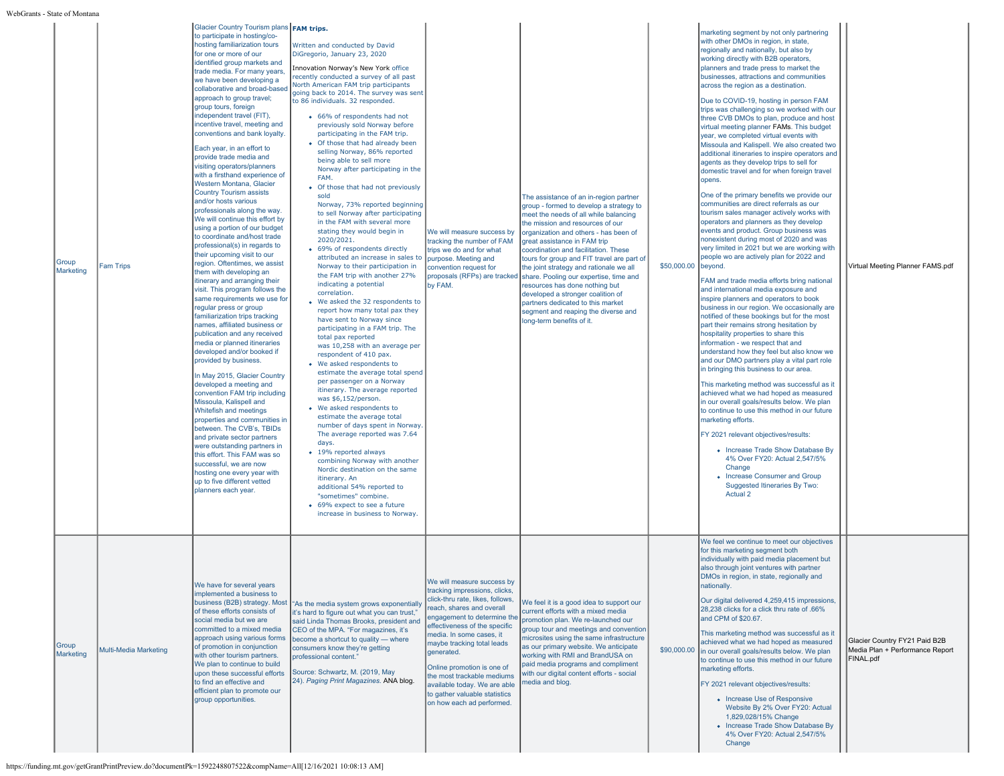| Group<br>Marketing | <b>Fam Trips</b>      | to participate in hosting/co-<br>hosting familiarization tours<br>for one or more of our<br>identified group markets and<br>trade media. For many years<br>we have been developing a<br>collaborative and broad-based<br>approach to group travel;<br>group tours, foreign<br>independent travel (FIT),<br>incentive travel, meeting and<br>conventions and bank loyalty.<br>Each year, in an effort to<br>provide trade media and<br>visiting operators/planners<br>with a firsthand experience of<br>Western Montana, Glacier<br><b>Country Tourism assists</b><br>and/or hosts various<br>professionals along the way.<br>We will continue this effort by<br>using a portion of our budget<br>to coordinate and/host trade<br>professional(s) in regards to<br>their upcoming visit to our<br>region. Oftentimes, we assist<br>them with developing an<br>itinerary and arranging their<br>visit. This program follows the<br>same requirements we use for<br>regular press or group<br>familiarization trips tracking<br>names, affiliated business or<br>publication and any received<br>media or planned itineraries<br>developed and/or booked if<br>provided by business.<br>In May 2015, Glacier Country<br>developed a meeting and<br>convention FAM trip including<br>Missoula, Kalispell and<br>Whitefish and meetings<br>properties and communities in<br>between. The CVB's, TBIDs<br>and private sector partners<br>were outstanding partners in<br>this effort. This FAM was so<br>successful, we are now<br>hosting one every year with<br>up to five different vetted<br>planners each year. | Written and conducted by David<br>DiGregorio, January 23, 2020<br>Innovation Norway's New York office<br>recently conducted a survey of all past<br>North American FAM trip participants<br>going back to 2014. The survey was sent<br>to 86 individuals. 32 responded.<br>• 66% of respondents had not<br>previously sold Norway before<br>participating in the FAM trip.<br>• Of those that had already been<br>selling Norway, 86% reported<br>being able to sell more<br>Norway after participating in the<br>FAM.<br>• Of those that had not previously<br>sold<br>Norway, 73% reported beginning<br>to sell Norway after participating<br>in the FAM with several more<br>stating they would begin in<br>2020/2021.<br>• 69% of respondents directly<br>attributed an increase in sales to<br>Norway to their participation in<br>the FAM trip with another 27%<br>indicating a potential<br>correlation.<br>• We asked the 32 respondents to<br>report how many total pax they<br>have sent to Norway since<br>participating in a FAM trip. The<br>total pax reported<br>was 10,258 with an average per<br>respondent of 410 pax.<br>• We asked respondents to<br>estimate the average total spend<br>per passenger on a Norway<br>itinerary. The average reported<br>was \$6,152/person.<br>• We asked respondents to<br>estimate the average total<br>number of days spent in Norway.<br>The average reported was 7.64<br>days.<br>• 19% reported always<br>combining Norway with another<br>Nordic destination on the same<br>itinerary. An<br>additional 54% reported to<br>"sometimes" combine.<br>• 69% expect to see a future<br>increase in business to Norway. | We will measure success by<br>tracking the number of FAM<br>trips we do and for what<br>purpose. Meeting and<br>convention request for<br>proposals (RFPs) are tracked<br>by FAM.                                                                                                                                                                                                                                              | The assistance of an in-region partner<br>group - formed to develop a strategy to<br>meet the needs of all while balancing<br>the mission and resources of our<br>organization and others - has been of<br>great assistance in FAM trip<br>coordination and facilitation. These<br>tours for group and FIT travel are part of<br>the joint strategy and rationale we all<br>share. Pooling our expertise, time and<br>resources has done nothing but<br>developed a stronger coalition of<br>partners dedicated to this market<br>segment and reaping the diverse and<br>long-term benefits of it. | \$50,000.00   beyond. | with other DMOs in region, in state.<br>regionally and nationally, but also by<br>working directly with B2B operators,<br>planners and trade press to market the<br>businesses, attractions and communities<br>across the region as a destination.<br>Due to COVID-19, hosting in person FAM<br>trips was challenging so we worked with our<br>three CVB DMOs to plan, produce and host<br>virtual meeting planner FAMs. This budget<br>year, we completed virtual events with<br>Missoula and Kalispell. We also created two<br>additional itineraries to inspire operators and<br>agents as they develop trips to sell for<br>domestic travel and for when foreign travel<br>opens.<br>One of the primary benefits we provide our<br>communities are direct referrals as our<br>tourism sales manager actively works with<br>operators and planners as they develop<br>events and product. Group business was<br>nonexistent during most of 2020 and was<br>very limited in 2021 but we are working with<br>people wo are actively plan for 2022 and<br>FAM and trade media efforts bring national<br>and international media exposure and<br>inspire planners and operators to book<br>business in our region. We occasionally are<br>notified of these bookings but for the most<br>part their remains strong hesitation by<br>hospitality properties to share this<br>information - we respect that and<br>understand how they feel but also know we<br>and our DMO partners play a vital part role<br>in bringing this business to our area.<br>This marketing method was successful as it<br>achieved what we had hoped as measured<br>in our overall goals/results below. We plan<br>to continue to use this method in our future<br>marketing efforts.<br>FY 2021 relevant objectives/results:<br>• Increase Trade Show Database By<br>4% Over FY20: Actual 2,547/5%<br>Change<br>• Increase Consumer and Group<br>Suggested Itineraries By Two:<br>Actual 2 | Virtual Meeting Planner FAMS.pdf                                              |
|--------------------|-----------------------|----------------------------------------------------------------------------------------------------------------------------------------------------------------------------------------------------------------------------------------------------------------------------------------------------------------------------------------------------------------------------------------------------------------------------------------------------------------------------------------------------------------------------------------------------------------------------------------------------------------------------------------------------------------------------------------------------------------------------------------------------------------------------------------------------------------------------------------------------------------------------------------------------------------------------------------------------------------------------------------------------------------------------------------------------------------------------------------------------------------------------------------------------------------------------------------------------------------------------------------------------------------------------------------------------------------------------------------------------------------------------------------------------------------------------------------------------------------------------------------------------------------------------------------------------------------------------------------------------------------|--------------------------------------------------------------------------------------------------------------------------------------------------------------------------------------------------------------------------------------------------------------------------------------------------------------------------------------------------------------------------------------------------------------------------------------------------------------------------------------------------------------------------------------------------------------------------------------------------------------------------------------------------------------------------------------------------------------------------------------------------------------------------------------------------------------------------------------------------------------------------------------------------------------------------------------------------------------------------------------------------------------------------------------------------------------------------------------------------------------------------------------------------------------------------------------------------------------------------------------------------------------------------------------------------------------------------------------------------------------------------------------------------------------------------------------------------------------------------------------------------------------------------------------------------------------------------------------------------------------------------------------------------------------------------------|--------------------------------------------------------------------------------------------------------------------------------------------------------------------------------------------------------------------------------------------------------------------------------------------------------------------------------------------------------------------------------------------------------------------------------|----------------------------------------------------------------------------------------------------------------------------------------------------------------------------------------------------------------------------------------------------------------------------------------------------------------------------------------------------------------------------------------------------------------------------------------------------------------------------------------------------------------------------------------------------------------------------------------------------|-----------------------|-----------------------------------------------------------------------------------------------------------------------------------------------------------------------------------------------------------------------------------------------------------------------------------------------------------------------------------------------------------------------------------------------------------------------------------------------------------------------------------------------------------------------------------------------------------------------------------------------------------------------------------------------------------------------------------------------------------------------------------------------------------------------------------------------------------------------------------------------------------------------------------------------------------------------------------------------------------------------------------------------------------------------------------------------------------------------------------------------------------------------------------------------------------------------------------------------------------------------------------------------------------------------------------------------------------------------------------------------------------------------------------------------------------------------------------------------------------------------------------------------------------------------------------------------------------------------------------------------------------------------------------------------------------------------------------------------------------------------------------------------------------------------------------------------------------------------------------------------------------------------------------------------------------------------------------------------------------------------|-------------------------------------------------------------------------------|
| Group<br>Marketing | Multi-Media Marketing | We have for several years<br>implemented a business to<br>business (B2B) strategy. Most<br>of these efforts consists of<br>social media but we are<br>committed to a mixed media<br>approach using various forms<br>of promotion in conjunction<br>with other tourism partners.<br>We plan to continue to build<br>upon these successful efforts<br>to find an effective and<br>efficient plan to promote our<br>group opportunities.                                                                                                                                                                                                                                                                                                                                                                                                                                                                                                                                                                                                                                                                                                                                                                                                                                                                                                                                                                                                                                                                                                                                                                          | "As the media system grows exponentially<br>it's hard to figure out what you can trust,"<br>said Linda Thomas Brooks, president and<br>CEO of the MPA. "For magazines, it's<br>become a shortcut to quality - where<br>consumers know they're getting<br>professional content."<br>Source: Schwartz, M. (2019, May<br>24). Paging Print Magazines. ANA blog.                                                                                                                                                                                                                                                                                                                                                                                                                                                                                                                                                                                                                                                                                                                                                                                                                                                                                                                                                                                                                                                                                                                                                                                                                                                                                                                   | We will measure success by<br>tracking impressions, clicks,<br>click-thru rate, likes, follows,<br>reach, shares and overall<br>engagement to determine the<br>effectiveness of the specific<br>media. In some cases, it<br>maybe tracking total leads<br>generated.<br>Online promotion is one of<br>the most trackable mediums<br>available today. We are able<br>to gather valuable statistics<br>on how each ad performed. | We feel it is a good idea to support our<br>current efforts with a mixed media<br>promotion plan. We re-launched our<br>group tour and meetings and convention<br>microsites using the same infrastructure<br>as our primary website. We anticipate<br>working with RMI and BrandUSA on<br>paid media programs and compliment<br>with our digital content efforts - social<br>nedia and blog.                                                                                                                                                                                                      | \$90,000.00           | We feel we continue to meet our objectives<br>for this marketing segment both<br>individually with paid media placement but<br>also through joint ventures with partner<br>DMOs in region, in state, regionally and<br>nationally.<br>Our digital delivered 4,259,415 impressions,<br>28,238 clicks for a click thru rate of .66%<br>and CPM of \$20.67.<br>This marketing method was successful as it<br>achieved what we had hoped as measured<br>in our overall goals/results below. We plan<br>to continue to use this method in our future<br>marketing efforts.<br>FY 2021 relevant objectives/results:<br>• Increase Use of Responsive<br>Website By 2% Over FY20: Actual<br>1,829,028/15% Change<br>• Increase Trade Show Database By<br>4% Over FY20: Actual 2,547/5%<br>Change                                                                                                                                                                                                                                                                                                                                                                                                                                                                                                                                                                                                                                                                                                                                                                                                                                                                                                                                                                                                                                                                                                                                                                              | Glacier Country FY21 Paid B2B<br>Media Plan + Performance Report<br>FINAL.pdf |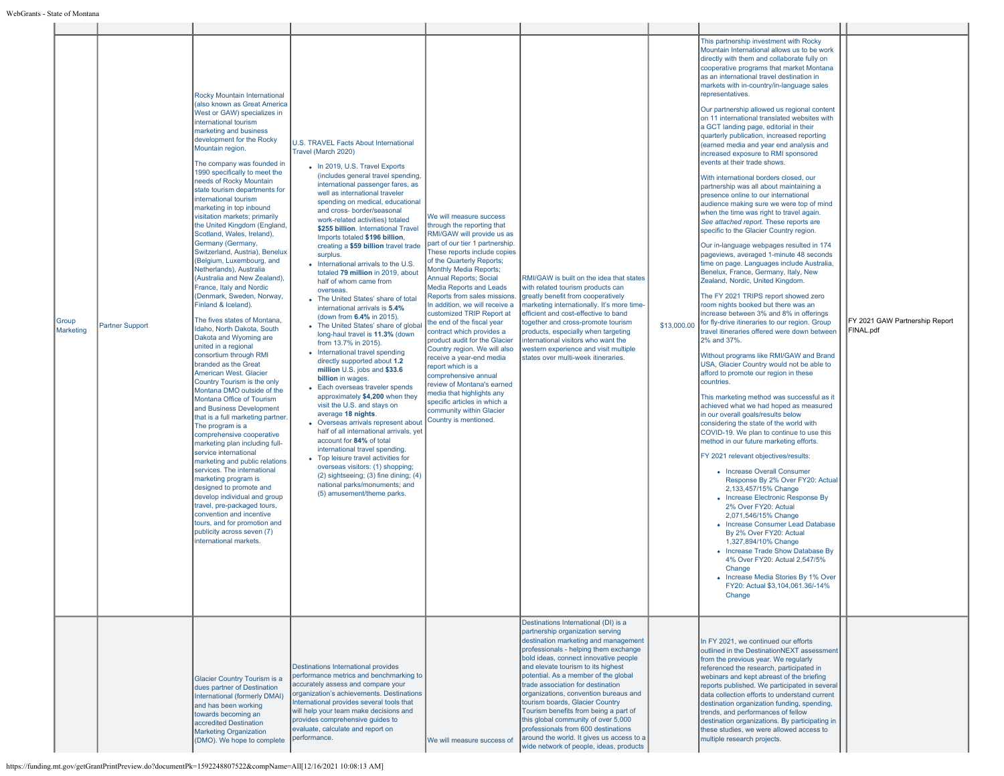| Group<br>Marketing | <b>Partner Support</b> | Rocky Mountain International<br>(also known as Great America<br>West or GAW) specializes in<br>international tourism<br>marketing and business<br>development for the Rocky<br>Mountain region.<br>The company was founded in<br>1990 specifically to meet the<br>needs of Rocky Mountain<br>state tourism departments for<br>international tourism<br>marketing in top inbound<br>visitation markets; primarily<br>the United Kingdom (England,<br>Scotland, Wales, Ireland),<br>Germany (Germany,<br>Switzerland, Austria), Benelux<br>(Belgium, Luxembourg, and<br>Netherlands), Australia<br>(Australia and New Zealand).<br>France, Italy and Nordic<br>(Denmark, Sweden, Norway,<br>Finland & Iceland).<br>The fives states of Montana,<br>Idaho, North Dakota, South<br>Dakota and Wyoming are<br>united in a regional<br>consortium through RMI<br>branded as the Great<br>American West. Glacier<br>Country Tourism is the only<br>Montana DMO outside of the<br>Montana Office of Tourism<br>and Business Development<br>that is a full marketing partner.<br>The program is a<br>comprehensive cooperative<br>marketing plan including full-<br>service international<br>marketing and public relations<br>services. The international<br>marketing program is<br>designed to promote and<br>develop individual and group<br>travel, pre-packaged tours,<br>convention and incentive<br>tours, and for promotion and<br>publicity across seven (7)<br>international markets. | U.S. TRAVEL Facts About International<br>Travel (March 2020)<br>• In 2019, U.S. Travel Exports<br>(includes general travel spending,<br>international passenger fares, as<br>well as international traveler<br>spending on medical, educational<br>and cross- border/seasonal<br>work-related activities) totaled<br>\$255 billion. International Travel<br>Imports totaled \$196 billion,<br>creating a \$59 billion travel trade<br>surplus.<br>• International arrivals to the U.S.<br>totaled 79 million in 2019, about<br>half of whom came from<br>overseas.<br>• The United States' share of total<br>international arrivals is 5.4%<br>(down from 6.4% in 2015).<br>• The United States' share of global<br>long-haul travel is 11.3% (down<br>from 13.7% in 2015).<br>• International travel spending<br>directly supported about 1.2<br>million U.S. jobs and \$33.6<br>billion in wages.<br>• Each overseas traveler spends<br>approximately \$4,200 when they<br>visit the U.S. and stays on<br>average 18 nights.<br>• Overseas arrivals represent about<br>half of all international arrivals, yet<br>account for 84% of total<br>international travel spending.<br>• Top leisure travel activities for<br>overseas visitors: (1) shopping;<br>$(2)$ sightseeing; $(3)$ fine dining; $(4)$<br>national parks/monuments; and<br>(5) amusement/theme parks. | We will measure success<br>through the reporting that<br>RMI/GAW will provide us as<br>part of our tier 1 partnership.<br>These reports include copies<br>of the Quarterly Reports;<br><b>Monthly Media Reports:</b><br><b>Annual Reports; Social</b><br><b>Media Reports and Leads</b><br>Reports from sales missions.<br>In addition, we will receive a<br>customized TRIP Report at<br>the end of the fiscal year<br>contract which provides a<br>product audit for the Glacier<br>Country region. We will also<br>receive a year-end media<br>report which is a<br>comprehensive annual<br>review of Montana's earned<br>media that highlights any<br>specific articles in which a<br>community within Glacier<br>Country is mentioned. | RMI/GAW is built on the idea that states<br>with related tourism products can<br>greatly benefit from cooperatively<br>marketing internationally. It's more time-<br>efficient and cost-effective to band<br>together and cross-promote tourism<br>products, especially when targeting<br>nternational visitors who want the<br>western experience and visit multiple<br>states over multi-week itineraries.<br>Destinations International (DI) is a                                                                                                                     | \$13,000.00 | This partnership investment with Rocky<br>Mountain International allows us to be work<br>directly with them and collaborate fully on<br>cooperative programs that market Montana<br>as an international travel destination in<br>markets with in-country/in-language sales<br>representatives.<br>Our partnership allowed us regional content<br>on 11 international translated websites with<br>a GCT landing page, editorial in their<br>quarterly publication, increased reporting<br>(earned media and year end analysis and<br>increased exposure to RMI sponsored<br>events at their trade shows.<br>With international borders closed, our<br>partnership was all about maintaining a<br>presence online to our international<br>audience making sure we were top of mind<br>when the time was right to travel again.<br>See attached report. These reports are<br>specific to the Glacier Country region.<br>Our in-language webpages resulted in 174<br>pageviews, averaged 1-minute 48 seconds<br>time on page. Languages include Australia,<br>Benelux, France, Germany, Italy, New<br>Zealand, Nordic, United Kingdom.<br>The FY 2021 TRIPS report showed zero<br>room nights booked but there was an<br>increase between 3% and 8% in offerings<br>for fly-drive itineraries to our region. Group<br>travel itineraries offered were down between<br>2% and 37%.<br>Without programs like RMI/GAW and Brand<br>USA, Glacier Country would not be able to<br>afford to promote our region in these<br>countries.<br>This marketing method was successful as it<br>achieved what we had hoped as measured<br>in our overall goals/results below<br>considering the state of the world with<br>COVID-19. We plan to continue to use this<br>method in our future marketing efforts.<br>FY 2021 relevant objectives/results:<br>• Increase Overall Consumer<br>Response By 2% Over FY20: Actual<br>2,133,457/15% Change<br>• Increase Electronic Response By<br>2% Over FY20: Actual<br>2,071,546/15% Change<br>• Increase Consumer Lead Database<br>By 2% Over FY20: Actual<br>1,327,894/10% Change<br>• Increase Trade Show Database By<br>4% Over FY20: Actual 2.547/5%<br>Change<br>• Increase Media Stories By 1% Over<br>FY20: Actual \$3.104.061.36/-14%<br>Change | FY 2021 GAW Partnership Report<br>FINAL.pdf |
|--------------------|------------------------|-----------------------------------------------------------------------------------------------------------------------------------------------------------------------------------------------------------------------------------------------------------------------------------------------------------------------------------------------------------------------------------------------------------------------------------------------------------------------------------------------------------------------------------------------------------------------------------------------------------------------------------------------------------------------------------------------------------------------------------------------------------------------------------------------------------------------------------------------------------------------------------------------------------------------------------------------------------------------------------------------------------------------------------------------------------------------------------------------------------------------------------------------------------------------------------------------------------------------------------------------------------------------------------------------------------------------------------------------------------------------------------------------------------------------------------------------------------------------------------------|-------------------------------------------------------------------------------------------------------------------------------------------------------------------------------------------------------------------------------------------------------------------------------------------------------------------------------------------------------------------------------------------------------------------------------------------------------------------------------------------------------------------------------------------------------------------------------------------------------------------------------------------------------------------------------------------------------------------------------------------------------------------------------------------------------------------------------------------------------------------------------------------------------------------------------------------------------------------------------------------------------------------------------------------------------------------------------------------------------------------------------------------------------------------------------------------------------------------------------------------------------------------------------------------------------------------------------------------------------------------------|---------------------------------------------------------------------------------------------------------------------------------------------------------------------------------------------------------------------------------------------------------------------------------------------------------------------------------------------------------------------------------------------------------------------------------------------------------------------------------------------------------------------------------------------------------------------------------------------------------------------------------------------------------------------------------------------------------------------------------------------|--------------------------------------------------------------------------------------------------------------------------------------------------------------------------------------------------------------------------------------------------------------------------------------------------------------------------------------------------------------------------------------------------------------------------------------------------------------------------------------------------------------------------------------------------------------------------|-------------|------------------------------------------------------------------------------------------------------------------------------------------------------------------------------------------------------------------------------------------------------------------------------------------------------------------------------------------------------------------------------------------------------------------------------------------------------------------------------------------------------------------------------------------------------------------------------------------------------------------------------------------------------------------------------------------------------------------------------------------------------------------------------------------------------------------------------------------------------------------------------------------------------------------------------------------------------------------------------------------------------------------------------------------------------------------------------------------------------------------------------------------------------------------------------------------------------------------------------------------------------------------------------------------------------------------------------------------------------------------------------------------------------------------------------------------------------------------------------------------------------------------------------------------------------------------------------------------------------------------------------------------------------------------------------------------------------------------------------------------------------------------------------------------------------------------------------------------------------------------------------------------------------------------------------------------------------------------------------------------------------------------------------------------------------------------------------------------------------------------------------------------------------------------------------------------------------------------------------------------------------------------------------------|---------------------------------------------|
|                    |                        | Glacier Country Tourism is a<br>dues partner of Destination<br>International (formerly DMAI)<br>and has been working<br>towards becoming an<br>accredited Destination<br><b>Marketing Organization</b><br>(DMO). We hope to complete                                                                                                                                                                                                                                                                                                                                                                                                                                                                                                                                                                                                                                                                                                                                                                                                                                                                                                                                                                                                                                                                                                                                                                                                                                                    | Destinations International provides<br>performance metrics and benchmarking to<br>accurately assess and compare your<br>organization's achievements. Destinations<br>International provides several tools that<br>will help your team make decisions and<br>provides comprehensive guides to<br>evaluate, calculate and report on<br>performance.                                                                                                                                                                                                                                                                                                                                                                                                                                                                                                                                                                                                                                                                                                                                                                                                                                                                                                                                                                                                                       | We will measure success of                                                                                                                                                                                                                                                                                                                                                                                                                                                                                                                                                                                                                                                                                                                  | partnership organization serving<br>destination marketing and management<br>professionals - helping them exchange<br>bold ideas, connect innovative people<br>and elevate tourism to its highest<br>potential. As a member of the global<br>trade association for destination<br>organizations, convention bureaus and<br>tourism boards, Glacier Country<br>Tourism benefits from being a part of<br>this global community of over 5,000<br>professionals from 600 destinations<br>around the world. It gives us access to a<br>wide network of people, ideas, products |             | In FY 2021, we continued our efforts<br>outlined in the DestinationNEXT assessment<br>from the previous year. We regularly<br>referenced the research, participated in<br>webinars and kept abreast of the briefing<br>reports published. We participated in several<br>data collection efforts to understand current<br>destination organization funding, spending,<br>trends, and performances of fellow<br>destination organizations. By participating in<br>these studies, we were allowed access to<br>multiple research projects.                                                                                                                                                                                                                                                                                                                                                                                                                                                                                                                                                                                                                                                                                                                                                                                                                                                                                                                                                                                                                                                                                                                                                                                                                                                                                                                                                                                                                                                                                                                                                                                                                                                                                                                                            |                                             |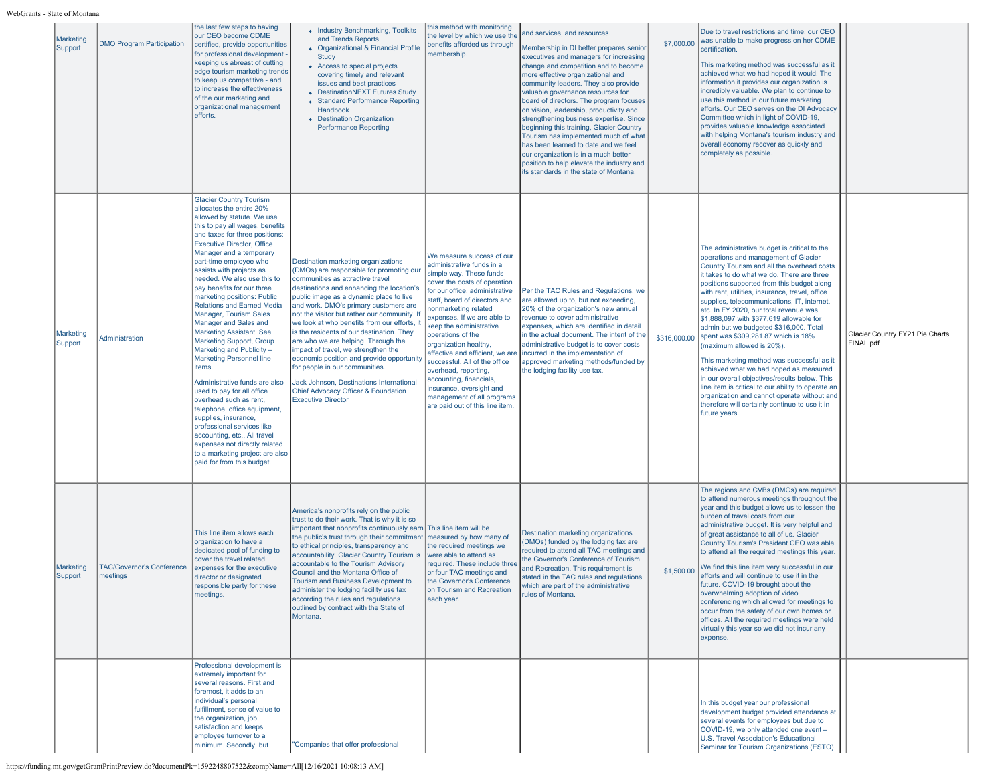| Marketing<br>Support | <b>DMO Program Participation</b>             | the last few steps to having<br>our CEO become CDME<br>certified, provide opportunities<br>for professional development<br>keeping us abreast of cutting<br>edge tourism marketing trends<br>to keep us competitive - and<br>to increase the effectiveness<br>of the our marketing and<br>organizational management<br>efforts.                                                                                                                                                                                                                                                                                                                                                                                                                                                                                                                                                                                          | • Industry Benchmarking, Toolkits<br>and Trends Reports<br>• Organizational & Financial Profile<br><b>Study</b><br>• Access to special projects<br>covering timely and relevant<br>issues and best practices<br>• DestinationNEXT Futures Study<br>• Standard Performance Reporting<br>Handbook<br>• Destination Organization<br><b>Performance Reporting</b>                                                                                                                                                                                                                                                                                                                  | this method with monitoring<br>the level by which we use the<br>benefits afforded us through<br>membership.                                                                                                                                                                                                                                                                                                                                                                                                                              | and services, and resources.<br>Membership in DI better prepares senior<br>executives and managers for increasing<br>change and competition and to become<br>more effective organizational and<br>community leaders. They also provide<br>valuable governance resources for<br>board of directors. The program focuses<br>on vision, leadership, productivity and<br>strengthening business expertise. Since<br>beginning this training, Glacier Country<br>Tourism has implemented much of what<br>has been learned to date and we feel<br>our organization is in a much better<br>position to help elevate the industry and<br>its standards in the state of Montana. | \$7,000.00   | Due to travel restrictions and time, our CEO<br>was unable to make progress on her CDME<br>certification.<br>This marketing method was successful as it<br>achieved what we had hoped it would. The<br>information it provides our organization is<br>incredibly valuable. We plan to continue to<br>use this method in our future marketing<br>efforts. Our CEO serves on the DI Advocacy<br>Committee which in light of COVID-19,<br>provides valuable knowledge associated<br>with helping Montana's tourism industry and<br>overall economy recover as quickly and<br>completely as possible.                                                                                                                                                                                                                                                     |                                              |
|----------------------|----------------------------------------------|--------------------------------------------------------------------------------------------------------------------------------------------------------------------------------------------------------------------------------------------------------------------------------------------------------------------------------------------------------------------------------------------------------------------------------------------------------------------------------------------------------------------------------------------------------------------------------------------------------------------------------------------------------------------------------------------------------------------------------------------------------------------------------------------------------------------------------------------------------------------------------------------------------------------------|--------------------------------------------------------------------------------------------------------------------------------------------------------------------------------------------------------------------------------------------------------------------------------------------------------------------------------------------------------------------------------------------------------------------------------------------------------------------------------------------------------------------------------------------------------------------------------------------------------------------------------------------------------------------------------|------------------------------------------------------------------------------------------------------------------------------------------------------------------------------------------------------------------------------------------------------------------------------------------------------------------------------------------------------------------------------------------------------------------------------------------------------------------------------------------------------------------------------------------|-------------------------------------------------------------------------------------------------------------------------------------------------------------------------------------------------------------------------------------------------------------------------------------------------------------------------------------------------------------------------------------------------------------------------------------------------------------------------------------------------------------------------------------------------------------------------------------------------------------------------------------------------------------------------|--------------|-------------------------------------------------------------------------------------------------------------------------------------------------------------------------------------------------------------------------------------------------------------------------------------------------------------------------------------------------------------------------------------------------------------------------------------------------------------------------------------------------------------------------------------------------------------------------------------------------------------------------------------------------------------------------------------------------------------------------------------------------------------------------------------------------------------------------------------------------------|----------------------------------------------|
| Marketing<br>Support | Administration                               | <b>Glacier Country Tourism</b><br>allocates the entire 20%<br>allowed by statute. We use<br>this to pay all wages, benefits<br>and taxes for three positions:<br><b>Executive Director, Office</b><br>Manager and a temporary<br>part-time employee who<br>assists with projects as<br>needed. We also use this to<br>pay benefits for our three<br>marketing positions: Public<br><b>Relations and Earned Media</b><br><b>Manager, Tourism Sales</b><br>Manager and Sales and<br>Marketing Assistant, See<br>Marketing Support, Group<br>Marketing and Publicity -<br>Marketing Personnel line<br>items.<br>Administrative funds are also<br>used to pay for all office<br>overhead such as rent.<br>telephone, office equipment,<br>supplies, insurance,<br>professional services like<br>accounting, etc All travel<br>expenses not directly related<br>to a marketing project are also<br>paid for from this budget. | Destination marketing organizations<br>(DMOs) are responsible for promoting our<br>communities as attractive travel<br>destinations and enhancing the location's<br>public image as a dynamic place to live<br>and work. DMO's primary customers are<br>not the visitor but rather our community. If<br>we look at who benefits from our efforts, it<br>is the residents of our destination. They<br>are who we are helping. Through the<br>impact of travel, we strengthen the<br>economic position and provide opportunity<br>for people in our communities.<br>Jack Johnson, Destinations International<br>Chief Advocacy Officer & Foundation<br><b>Executive Director</b> | We measure success of our<br>administrative funds in a<br>simple way. These funds<br>cover the costs of operation<br>for our office, administrative<br>staff, board of directors and<br>nonmarketing related<br>expenses. If we are able to<br>keep the administrative<br>operations of the<br>organization healthy,<br>effective and efficient, we are<br>successful. All of the office<br>overhead, reporting,<br>accounting, financials,<br>insurance, oversight and<br>management of all programs<br>are paid out of this line item. | Per the TAC Rules and Regulations, we<br>are allowed up to, but not exceeding,<br>20% of the organization's new annual<br>revenue to cover administrative<br>expenses, which are identified in detail<br>in the actual document. The intent of the<br>administrative budget is to cover costs<br>incurred in the implementation of<br>approved marketing methods/funded by<br>the lodging facility use tax.                                                                                                                                                                                                                                                             | \$316,000.00 | The administrative budget is critical to the<br>operations and management of Glacier<br>Country Tourism and all the overhead costs<br>it takes to do what we do. There are three<br>positions supported from this budget along<br>with rent, utilities, insurance, travel, office<br>supplies, telecommunications, IT, internet,<br>etc. In FY 2020, our total revenue was<br>\$1,888,097 with \$377,619 allowable for<br>admin but we budgeted \$316,000. Total<br>spent was \$309,281.87 which is 18%<br>(maximum allowed is 20%).<br>This marketing method was successful as it<br>achieved what we had hoped as measured<br>in our overall objectives/results below. This<br>line item is critical to our ability to operate an<br>organization and cannot operate without and<br>therefore will certainly continue to use it in<br>future years. | Glacier Country FY21 Pie Charts<br>FINAL.pdf |
| Marketing<br>Support | <b>TAC/Governor's Conference</b><br>meetings | This line item allows each<br>organization to have a<br>dedicated pool of funding to<br>cover the travel related<br>expenses for the executive<br>director or designated<br>responsible party for these<br>meetings.                                                                                                                                                                                                                                                                                                                                                                                                                                                                                                                                                                                                                                                                                                     | America's nonprofits rely on the public<br>trust to do their work. That is why it is so<br>important that nonprofits continuously earn<br>the public's trust through their commitment<br>to ethical principles, transparency and<br>accountability. Glacier Country Tourism is<br>accountable to the Tourism Advisory<br>Council and the Montana Office of<br>Tourism and Business Development to<br>administer the lodging facility use tax<br>according the rules and regulations<br>outlined by contract with the State of<br>Montana.                                                                                                                                      | This line item will be<br>measured by how many of<br>the required meetings we<br>were able to attend as<br>required. These include three<br>or four TAC meetings and<br>the Governor's Conference<br>on Tourism and Recreation<br>each year.                                                                                                                                                                                                                                                                                             | Destination marketing organizations<br>(DMOs) funded by the lodging tax are<br>required to attend all TAC meetings and<br>the Governor's Conference of Tourism<br>and Recreation. This requirement is<br>stated in the TAC rules and regulations<br>which are part of the administrative<br>rules of Montana.                                                                                                                                                                                                                                                                                                                                                           | \$1,500.00   | The regions and CVBs (DMOs) are required<br>to attend numerous meetings throughout the<br>year and this budget allows us to lessen the<br>burden of travel costs from our<br>administrative budget. It is very helpful and<br>of great assistance to all of us. Glacier<br>Country Tourism's President CEO was able<br>to attend all the required meetings this year.<br>We find this line item very successful in our<br>efforts and will continue to use it in the<br>future. COVID-19 brought about the<br>overwhelming adoption of video<br>conferencing which allowed for meetings to<br>occur from the safety of our own homes or<br>offices. All the required meetings were held<br>virtually this year so we did not incur any<br>expense.                                                                                                    |                                              |
|                      |                                              | Professional development is<br>extremely important for<br>several reasons. First and<br>foremost, it adds to an<br>individual's personal<br>fulfillment, sense of value to<br>the organization, job<br>satisfaction and keeps<br>employee turnover to a<br>minimum. Secondly, but                                                                                                                                                                                                                                                                                                                                                                                                                                                                                                                                                                                                                                        | "Companies that offer professional                                                                                                                                                                                                                                                                                                                                                                                                                                                                                                                                                                                                                                             |                                                                                                                                                                                                                                                                                                                                                                                                                                                                                                                                          |                                                                                                                                                                                                                                                                                                                                                                                                                                                                                                                                                                                                                                                                         |              | In this budget year our professional<br>development budget provided attendance at<br>several events for employees but due to<br>COVID-19, we only attended one event -<br>U.S. Travel Association's Educational<br>Seminar for Tourism Organizations (ESTO)                                                                                                                                                                                                                                                                                                                                                                                                                                                                                                                                                                                           |                                              |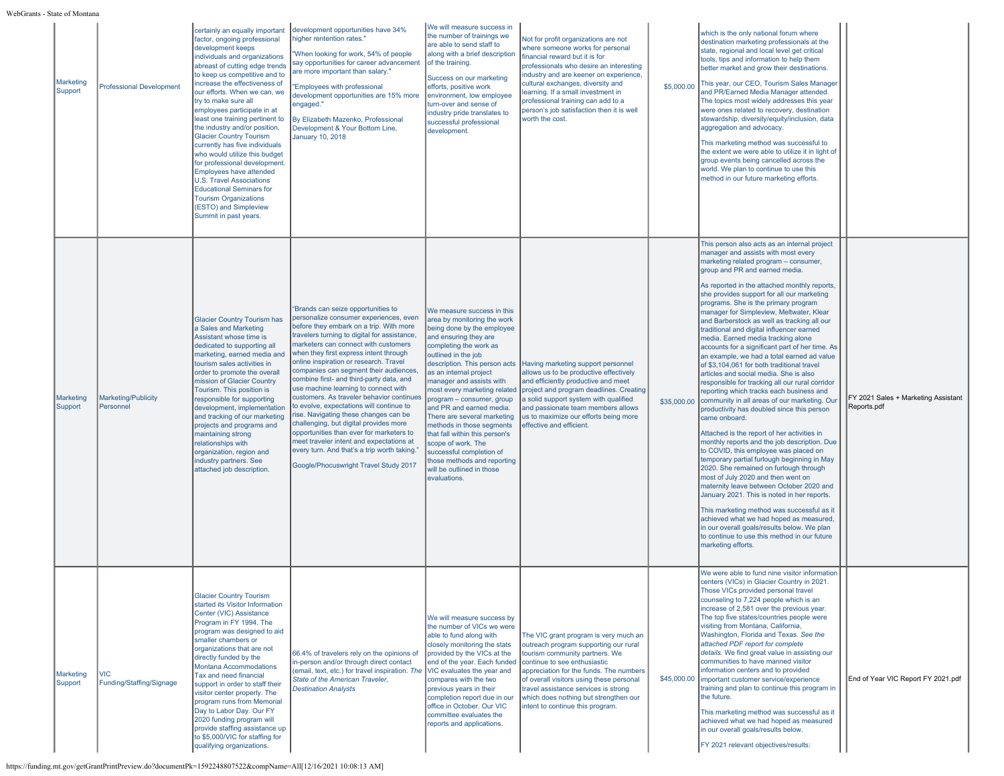| Marketing<br>Support | <b>Professional Development</b>  | certainly an equally important<br>factor, ongoing professional<br>development keeps<br>individuals and organizations<br>abreast of cutting edge trends<br>to keep us competitive and to<br>increase the effectiveness of<br>our efforts. When we can, we<br>try to make sure all<br>employees participate in at<br>least one training pertinent to<br>the industry and/or position.<br><b>Glacier Country Tourism</b><br>currently has five individuals<br>who would utilize this budget<br>for professional development.<br><b>Employees have attended</b><br><b>U.S. Travel Associations</b><br><b>Educational Seminars for</b><br><b>Tourism Organizations</b><br>(ESTO) and Simpleview<br>Summit in past years. | development opportunities have 34%<br>higher rentention rates."<br>"When looking for work, 54% of people<br>say opportunities for career advancement<br>are more important than salary."<br>"Employees with professional<br>development opportunities are 15% more<br>engaged."<br>By Elizabeth Mazenko, Professional<br>Development & Your Bottom Line,<br><b>January 10, 2018</b>                                                                                                                                                                                                                                                                                                                                                                                                            | We will measure success in<br>the number of trainings we<br>are able to send staff to<br>along with a brief description<br>of the training.<br>Success on our marketing<br>efforts, positive work<br>environment, low employee<br>turn-over and sense of<br>industry pride translates to<br>successful professional<br>development.                                                                                                                                                                                                                                           | Not for profit organizations are not<br>where someone works for personal<br>financial reward but it is for<br>professionals who desire an interesting<br>industry and are keener on experience,<br>cultural exchanges, diversity and<br>learning. If a small investment in<br>professional training can add to a<br>person's job satisfaction then it is well<br>worth the cost. | \$5,000.00  | which is the only national forum where<br>destination marketing professionals at the<br>state, regional and local level get critical<br>tools, tips and information to help them<br>better market and grow their destinations.<br>This year, our CEO, Tourism Sales Manager<br>and PR/Earned Media Manager attended.<br>The topics most widely addresses this year<br>were ones related to recovery, destination<br>stewardship, diversity/equity/inclusion, data<br>aggregation and advocacy.<br>This marketing method was successful to<br>the extent we were able to utilize it in light of<br>group events being cancelled across the<br>world. We plan to continue to use this<br>method in our future marketing efforts.                                                                                                                                                                                                                                                                                                                                                                                                                                                                                                                                                                                                                                                                                                                                            |                                                    |
|----------------------|----------------------------------|---------------------------------------------------------------------------------------------------------------------------------------------------------------------------------------------------------------------------------------------------------------------------------------------------------------------------------------------------------------------------------------------------------------------------------------------------------------------------------------------------------------------------------------------------------------------------------------------------------------------------------------------------------------------------------------------------------------------|------------------------------------------------------------------------------------------------------------------------------------------------------------------------------------------------------------------------------------------------------------------------------------------------------------------------------------------------------------------------------------------------------------------------------------------------------------------------------------------------------------------------------------------------------------------------------------------------------------------------------------------------------------------------------------------------------------------------------------------------------------------------------------------------|-------------------------------------------------------------------------------------------------------------------------------------------------------------------------------------------------------------------------------------------------------------------------------------------------------------------------------------------------------------------------------------------------------------------------------------------------------------------------------------------------------------------------------------------------------------------------------|----------------------------------------------------------------------------------------------------------------------------------------------------------------------------------------------------------------------------------------------------------------------------------------------------------------------------------------------------------------------------------|-------------|---------------------------------------------------------------------------------------------------------------------------------------------------------------------------------------------------------------------------------------------------------------------------------------------------------------------------------------------------------------------------------------------------------------------------------------------------------------------------------------------------------------------------------------------------------------------------------------------------------------------------------------------------------------------------------------------------------------------------------------------------------------------------------------------------------------------------------------------------------------------------------------------------------------------------------------------------------------------------------------------------------------------------------------------------------------------------------------------------------------------------------------------------------------------------------------------------------------------------------------------------------------------------------------------------------------------------------------------------------------------------------------------------------------------------------------------------------------------------|----------------------------------------------------|
| Marketing<br>Support | Marketing/Publicity<br>Personnel | <b>Glacier Country Tourism has</b><br>a Sales and Marketing<br>Assistant whose time is<br>dedicated to supporting all<br>marketing, earned media and<br>tourism sales activities in<br>order to promote the overall<br>mission of Glacier Country<br>Tourism. This position is<br>responsible for supporting<br>development, implementation<br>and tracking of our marketing<br>projects and programs and<br>maintaining strong<br>relationships with<br>organization, region and<br>industry partners. See<br>attached job description.                                                                                                                                                                            | "Brands can seize opportunities to<br>personalize consumer experiences, even<br>before they embark on a trip. With more<br>travelers turning to digital for assistance,<br>marketers can connect with customers<br>when they first express intent through<br>online inspiration or research. Travel<br>companies can segment their audiences,<br>combine first- and third-party data, and<br>use machine learning to connect with<br>customers. As traveler behavior continues<br>to evolve, expectations will continue to<br>rise. Navigating these changes can be<br>challenging, but digital provides more<br>opportunities than ever for marketers to<br>meet traveler intent and expectations at<br>every turn. And that's a trip worth taking."<br>Google/Phocuswright Travel Study 2017 | We measure success in this<br>area by monitoring the work<br>being done by the employee<br>and ensuring they are<br>completing the work as<br>outlined in the job<br>description. This person acts<br>as an internal project<br>manager and assists with<br>most every marketing related<br>program - consumer, group<br>and PR and earned media.<br>There are several marketing<br>methods in those segments<br>that fall within this person's<br>scope of work. The<br>successful completion of<br>those methods and reporting<br>will be outlined in those<br>evaluations. | Having marketing support personnel<br>allows us to be productive effectively<br>and efficiently productive and meet<br>project and program deadlines. Creating<br>a solid support system with qualified<br>and passionate team members allows<br>us to maximize our efforts being more<br>effective and efficient.                                                               | \$35,000.00 | This person also acts as an internal project<br>manager and assists with most every<br>marketing related program - consumer,<br>group and PR and earned media.<br>As reported in the attached monthly reports,<br>she provides support for all our marketing<br>programs. She is the primary program<br>manager for Simpleview, Meltwater, Klear<br>and Barberstock as well as tracking all our<br>traditional and digital influencer earned<br>media. Earned media tracking alone<br>accounts for a significant part of her time. As<br>an example, we had a total earned ad value<br>of \$3,104,061 for both traditional travel<br>articles and social media. She is also<br>responsible for tracking all our rural corridor<br>reporting which tracks each business and<br>community in all areas of our marketing. Our<br>productivity has doubled since this person<br>came onboard.<br>Attached is the report of her activities in<br>monthly reports and the job description. Due<br>to COVID, this employee was placed on<br>temporary partial furlough beginning in May<br>2020. She remained on furlough through<br>most of July 2020 and then went on<br>maternity leave between October 2020 and<br>January 2021. This is noted in her reports.<br>This marketing method was successful as it<br>achieved what we had hoped as measured,<br>in our overall goals/results below. We plan<br>to continue to use this method in our future<br>marketing efforts. | FY 2021 Sales + Marketing Assistant<br>Reports.pdf |
| Marketing<br>Support | VIC<br>Funding/Staffing/Signage  | <b>Glacier Country Tourism</b><br>started its Visitor Information<br>Center (VIC) Assistance<br>Program in FY 1994. The<br>program was designed to aid<br>smaller chambers or<br>organizations that are not<br>directly funded by the<br>Montana Accommodations<br>Tax and need financial<br>support in order to staff their<br>visitor center properly. The<br>program runs from Memorial<br>Day to Labor Day. Our FY<br>2020 funding program will<br>provide staffing assistance up<br>to \$5,000/VIC for staffing for<br>qualifying organizations.                                                                                                                                                               | 66.4% of travelers rely on the opinions of<br>in-person and/or through direct contact<br>(email, text, etc.) for travel inspiration. The<br>State of the American Traveler,<br><b>Destination Analysts</b>                                                                                                                                                                                                                                                                                                                                                                                                                                                                                                                                                                                     | We will measure success by<br>the number of VICs we were<br>able to fund along with<br>closely monitoring the stats<br>provided by the VICs at the<br>end of the year. Each funded<br>VIC evaluates the year and<br>compares with the two<br>previous years in their<br>completion report due in our<br>office in October, Our VIC<br>committee evaluates the<br>reports and applications.                                                                                                                                                                                    | The VIC grant program is very much an<br>outreach program supporting our rural<br>tourism community partners. We<br>continue to see enthusiastic<br>appreciation for the funds. The numbers<br>of overall visitors using these personal<br>travel assistance services is strong<br>which does nothing but strengthen our<br>intent to continue this program.                     | \$45,000.00 | We were able to fund nine visitor information<br>centers (VICs) in Glacier Country in 2021.<br>Those VICs provided personal travel<br>counseling to 7,224 people which is an<br>increase of 2,581 over the previous year.<br>The top five states/countries people were<br>visiting from Montana, California,<br>Washington, Florida and Texas. See the<br>attached PDF report for complete<br>details. We find great value in assisting our<br>communities to have manned visitor<br>information centers and to provided<br>important customer service/experience<br>training and plan to continue this program in<br>the future.<br>This marketing method was successful as it<br>achieved what we had hoped as measured<br>in our overall goals/results below.<br>FY 2021 relevant objectives/results:                                                                                                                                                                                                                                                                                                                                                                                                                                                                                                                                                                                                                                                                  | End of Year VIC Report FY 2021.pdf                 |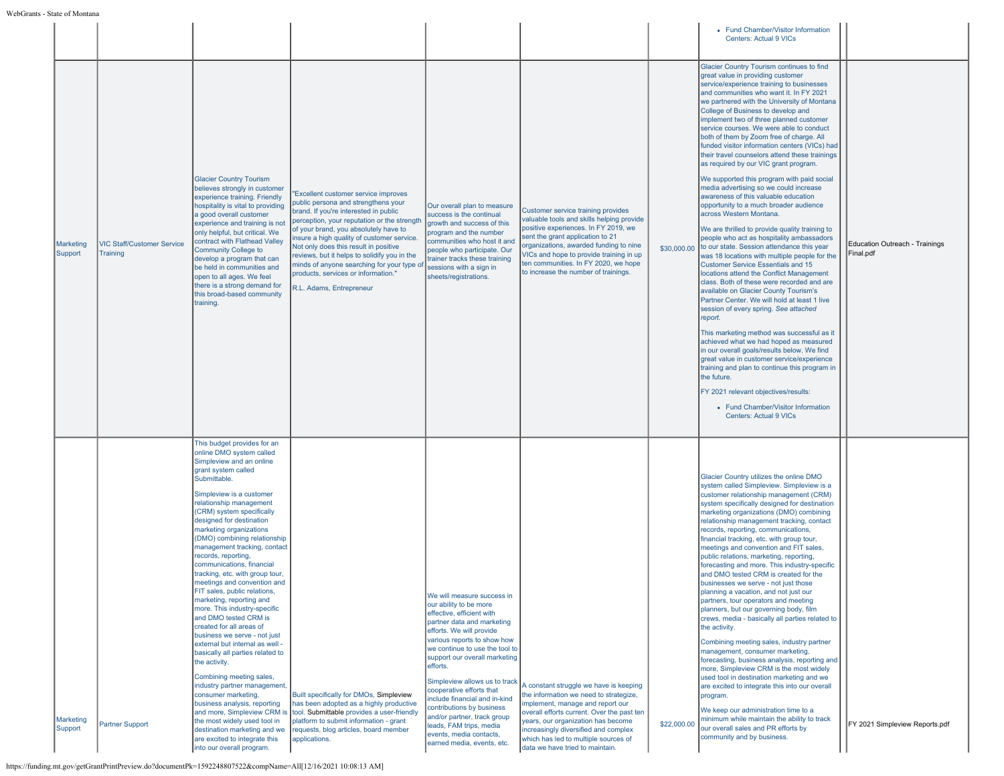|                      |                                               |                                                                                                                                                                                                                                                                                                                                                                                                                                                                                                                                                                                                                                                                                                                                                                                                                                                                                                                                                                                                                      |                                                                                                                                                                                                                                                                                                                                                                                                                                                                      |                                                                                                                                                                                                                                                                                                                                                                                                                                                                                                         |                                                                                                                                                                                                                                                                                                                                  |             | • Fund Chamber/Visitor Information<br><b>Centers: Actual 9 VICs</b>                                                                                                                                                                                                                                                                                                                                                                                                                                                                                                                                                                                                                                                                                                                                                                                                                                                                                                                                                                                                                                                                                                                                                                                                                                                                                                                                                                                                                                                                                                                            |                                             |
|----------------------|-----------------------------------------------|----------------------------------------------------------------------------------------------------------------------------------------------------------------------------------------------------------------------------------------------------------------------------------------------------------------------------------------------------------------------------------------------------------------------------------------------------------------------------------------------------------------------------------------------------------------------------------------------------------------------------------------------------------------------------------------------------------------------------------------------------------------------------------------------------------------------------------------------------------------------------------------------------------------------------------------------------------------------------------------------------------------------|----------------------------------------------------------------------------------------------------------------------------------------------------------------------------------------------------------------------------------------------------------------------------------------------------------------------------------------------------------------------------------------------------------------------------------------------------------------------|---------------------------------------------------------------------------------------------------------------------------------------------------------------------------------------------------------------------------------------------------------------------------------------------------------------------------------------------------------------------------------------------------------------------------------------------------------------------------------------------------------|----------------------------------------------------------------------------------------------------------------------------------------------------------------------------------------------------------------------------------------------------------------------------------------------------------------------------------|-------------|------------------------------------------------------------------------------------------------------------------------------------------------------------------------------------------------------------------------------------------------------------------------------------------------------------------------------------------------------------------------------------------------------------------------------------------------------------------------------------------------------------------------------------------------------------------------------------------------------------------------------------------------------------------------------------------------------------------------------------------------------------------------------------------------------------------------------------------------------------------------------------------------------------------------------------------------------------------------------------------------------------------------------------------------------------------------------------------------------------------------------------------------------------------------------------------------------------------------------------------------------------------------------------------------------------------------------------------------------------------------------------------------------------------------------------------------------------------------------------------------------------------------------------------------------------------------------------------------|---------------------------------------------|
| Marketing<br>Support | <b>VIC Staff/Customer Service</b><br>Training | <b>Glacier Country Tourism</b><br>believes strongly in customer<br>experience training. Friendly<br>hospitality is vital to providing<br>a good overall customer<br>experience and training is not<br>only helpful, but critical. We<br>contract with Flathead Valley<br><b>Community College to</b><br>develop a program that can<br>be held in communities and<br>open to all ages. We feel<br>there is a strong demand for<br>this broad-based community<br>training.                                                                                                                                                                                                                                                                                                                                                                                                                                                                                                                                             | "Excellent customer service improves<br>public persona and strengthens your<br>brand. If you're interested in public<br>perception, your reputation or the strength<br>of your brand, you absolutely have to<br>insure a high quality of customer service.<br>Not only does this result in positive<br>reviews, but it helps to solidify you in the<br>minds of anyone searching for your type of<br>products, services or information."<br>R.L. Adams, Entrepreneur | Our overall plan to measure<br>success is the continual<br>growth and success of this<br>program and the number<br>communities who host it and<br>people who participate. Our<br>trainer tracks these training<br>sessions with a sign in<br>sheets/registrations.                                                                                                                                                                                                                                      | Customer service training provides<br>valuable tools and skills helping provide<br>positive experiences. In FY 2019, we<br>sent the grant application to 21<br>organizations, awarded funding to nine<br>VICs and hope to provide training in up<br>ten communities. In FY 2020, we hope<br>to increase the number of trainings. | \$30,000.00 | Glacier Country Tourism continues to find<br>great value in providing customer<br>service/experience training to businesses<br>and communities who want it. In FY 2021<br>we partnered with the University of Montana<br>College of Business to develop and<br>implement two of three planned customer<br>service courses. We were able to conduct<br>both of them by Zoom free of charge. All<br>funded visitor information centers (VICs) had<br>their travel counselors attend these trainings<br>as required by our VIC grant program.<br>We supported this program with paid social<br>media advertising so we could increase<br>awareness of this valuable education<br>opportunity to a much broader audience<br>across Western Montana.<br>We are thrilled to provide quality training to<br>people who act as hospitality ambassadors<br>to our state. Session attendance this year<br>was 18 locations with multiple people for the<br><b>Customer Service Essentials and 15</b><br>locations attend the Conflict Management<br>class. Both of these were recorded and are<br>available on Glacier County Tourism's<br>Partner Center. We will hold at least 1 live<br>session of every spring. See attached<br>report.<br>This marketing method was successful as it<br>achieved what we had hoped as measured<br>in our overall goals/results below. We find<br>great value in customer service/experience<br>training and plan to continue this program in<br>the future.<br>FY 2021 relevant objectives/results:<br>• Fund Chamber/Visitor Information<br>Centers: Actual 9 VICs | Education Outreach - Trainings<br>Final.pdf |
| Marketing<br>Support | <b>Partner Support</b>                        | This budget provides for an<br>online DMO system called<br>Simpleview and an online<br>grant system called<br>Submittable.<br>Simpleview is a customer<br>relationship management<br>(CRM) system specifically<br>designed for destination<br>marketing organizations<br>(DMO) combining relationship<br>management tracking, contact<br>records, reporting,<br>communications, financial<br>tracking, etc. with group tour,<br>meetings and convention and<br>FIT sales, public relations,<br>marketing, reporting and<br>more. This industry-specific<br>and DMO tested CRM is<br>created for all areas of<br>business we serve - not just<br>external but internal as well -<br>basically all parties related to<br>the activity.<br>Combining meeting sales,<br>industry partner management,<br>consumer marketing,<br>business analysis, reporting<br>and more, Simpleview CRM is<br>the most widely used tool in<br>destination marketing and we<br>are excited to integrate this<br>into our overall program. | Built specifically for DMOs, Simpleview<br>has been adopted as a highly productive<br>tool. Submittable provides a user-friendly<br>platform to submit information - grant<br>requests, blog articles, board member<br>applications.                                                                                                                                                                                                                                 | We will measure success in<br>our ability to be more<br>effective, efficient with<br>partner data and marketing<br>efforts. We will provide<br>various reports to show how<br>we continue to use the tool to<br>support our overall marketing<br>efforts.<br>Simpleview allows us to track<br>cooperative efforts that<br>include financial and in-kind<br>contributions by business<br>and/or partner, track group<br>leads, FAM trips, media<br>events, media contacts,<br>earned media, events, etc. | A constant struggle we have is keeping<br>the information we need to strategize,<br>implement, manage and report our<br>overall efforts current. Over the past ten<br>years, our organization has become<br>increasingly diversified and complex<br>which has led to multiple sources of<br>data we have tried to maintain.      | \$22,000.00 | Glacier Country utilizes the online DMO<br>system called Simpleview. Simpleview is a<br>customer relationship management (CRM)<br>system specifically designed for destination<br>marketing organizations (DMO) combining<br>relationship management tracking, contact<br>records, reporting, communications,<br>financial tracking, etc. with group tour,<br>meetings and convention and FIT sales,<br>public relations, marketing, reporting,<br>forecasting and more. This industry-specific<br>and DMO tested CRM is created for the<br>businesses we serve - not just those<br>planning a vacation, and not just our<br>partners, tour operators and meeting<br>planners, but our governing body, film<br>crews, media - basically all parties related to<br>the activity.<br>Combining meeting sales, industry partner<br>management, consumer marketing,<br>forecasting, business analysis, reporting and<br>more, Simpleview CRM is the most widely<br>used tool in destination marketing and we<br>are excited to integrate this into our overall<br>program.<br>We keep our administration time to a<br>minimum while maintain the ability to track<br>our overall sales and PR efforts by<br>community and by business.                                                                                                                                                                                                                                                                                                                                                             | FY 2021 Simpleview Reports.pdf              |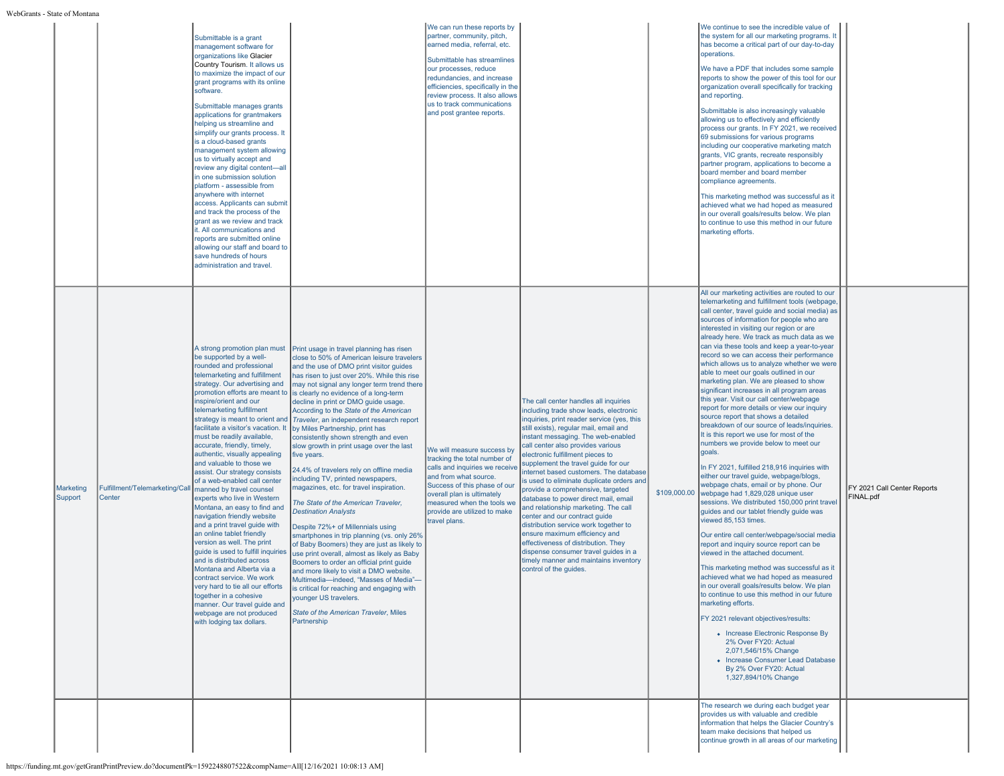| is - State of Montar |                                          |                                                                                                                                                                                                                                                                                                                                                                                                                                                                                                                                                                                                                                                                                                                                                                                                                                                                                                                                                                                                                               |                                                                                                                                                                                                                                                                                                                                                                                                                                                                                                                                                                                                                                                                                                                                                                                                                                                                                                                                                                                                                                                                                                                                                                                               |                                                                                                                                                                                                                                                                                                                   |                                                                                                                                                                                                                                                                                                                                                                                                                                                                                                                                                                                                                                                                                                                                                                                                        |                                                                                                                                                                                                                                                                                                                                                                                                                                                                                                                                                                                                                                                                                                                                                                                                                                                                                                                                                                                                                                                                                                                                                                                                                                                                                                                                                                                                                                                                                                                                                                                                                                                                                                                              |                                          |
|----------------------|------------------------------------------|-------------------------------------------------------------------------------------------------------------------------------------------------------------------------------------------------------------------------------------------------------------------------------------------------------------------------------------------------------------------------------------------------------------------------------------------------------------------------------------------------------------------------------------------------------------------------------------------------------------------------------------------------------------------------------------------------------------------------------------------------------------------------------------------------------------------------------------------------------------------------------------------------------------------------------------------------------------------------------------------------------------------------------|-----------------------------------------------------------------------------------------------------------------------------------------------------------------------------------------------------------------------------------------------------------------------------------------------------------------------------------------------------------------------------------------------------------------------------------------------------------------------------------------------------------------------------------------------------------------------------------------------------------------------------------------------------------------------------------------------------------------------------------------------------------------------------------------------------------------------------------------------------------------------------------------------------------------------------------------------------------------------------------------------------------------------------------------------------------------------------------------------------------------------------------------------------------------------------------------------|-------------------------------------------------------------------------------------------------------------------------------------------------------------------------------------------------------------------------------------------------------------------------------------------------------------------|--------------------------------------------------------------------------------------------------------------------------------------------------------------------------------------------------------------------------------------------------------------------------------------------------------------------------------------------------------------------------------------------------------------------------------------------------------------------------------------------------------------------------------------------------------------------------------------------------------------------------------------------------------------------------------------------------------------------------------------------------------------------------------------------------------|------------------------------------------------------------------------------------------------------------------------------------------------------------------------------------------------------------------------------------------------------------------------------------------------------------------------------------------------------------------------------------------------------------------------------------------------------------------------------------------------------------------------------------------------------------------------------------------------------------------------------------------------------------------------------------------------------------------------------------------------------------------------------------------------------------------------------------------------------------------------------------------------------------------------------------------------------------------------------------------------------------------------------------------------------------------------------------------------------------------------------------------------------------------------------------------------------------------------------------------------------------------------------------------------------------------------------------------------------------------------------------------------------------------------------------------------------------------------------------------------------------------------------------------------------------------------------------------------------------------------------------------------------------------------------------------------------------------------------|------------------------------------------|
|                      |                                          | Submittable is a grant<br>management software for<br>organizations like Glacier<br>Country Tourism. It allows us<br>to maximize the impact of our<br>grant programs with its online<br>software.<br>Submittable manages grants<br>applications for grantmakers<br>helping us streamline and<br>simplify our grants process. It<br>is a cloud-based grants<br>management system allowing<br>us to virtually accept and<br>review any digital content-all<br>in one submission solution<br>platform - assessible from<br>anywhere with internet<br>access. Applicants can submit<br>and track the process of the<br>grant as we review and track<br>it. All communications and<br>reports are submitted online<br>allowing our staff and board to<br>save hundreds of hours<br>administration and travel                                                                                                                                                                                                                        |                                                                                                                                                                                                                                                                                                                                                                                                                                                                                                                                                                                                                                                                                                                                                                                                                                                                                                                                                                                                                                                                                                                                                                                               | We can run these reports by<br>partner, community, pitch,<br>earned media, referral, etc.<br>Submittable has streamlines<br>our processes, reduce<br>redundancies, and increase<br>efficiencies, specifically in the<br>review process. It also allows<br>us to track communications<br>and post grantee reports. |                                                                                                                                                                                                                                                                                                                                                                                                                                                                                                                                                                                                                                                                                                                                                                                                        | We continue to see the incredible value of<br>the system for all our marketing programs. If<br>has become a critical part of our day-to-day<br>operations.<br>We have a PDF that includes some sample<br>reports to show the power of this tool for our<br>organization overall specifically for tracking<br>and reporting.<br>Submittable is also increasingly valuable<br>allowing us to effectively and efficiently<br>process our grants. In FY 2021, we received<br>69 submissions for various programs<br>including our cooperative marketing match<br>grants, VIC grants, recreate responsibly<br>partner program, applications to become a<br>board member and board member<br>compliance agreements.<br>This marketing method was successful as it<br>achieved what we had hoped as measured<br>in our overall goals/results below. We plan<br>to continue to use this method in our future<br>marketing efforts.                                                                                                                                                                                                                                                                                                                                                                                                                                                                                                                                                                                                                                                                                                                                                                                                   |                                          |
| Marketing<br>Support | Fulfillment/Telemarketing/Call<br>Center | A strong promotion plan must<br>be supported by a well-<br>rounded and professional<br>telemarketing and fulfillment<br>strategy. Our advertising and<br>promotion efforts are meant to<br>inspire/orient and our<br>telemarketing fulfillment<br>strategy is meant to orient and<br>facilitate a visitor's vacation. It<br>must be readily available,<br>accurate, friendly, timely,<br>authentic, visually appealing<br>and valuable to those we<br>assist. Our strategy consists<br>of a web-enabled call center<br>manned by travel counsel<br>experts who live in Western<br>Montana, an easy to find and<br>navigation friendly website<br>and a print travel guide with<br>an online tablet friendly<br>version as well. The print<br>quide is used to fulfill inquiries<br>and is distributed across<br>Montana and Alberta via a<br>contract service. We work<br>very hard to tie all our efforts<br>together in a cohesive<br>manner. Our travel guide and<br>webpage are not produced<br>with lodging tax dollars. | Print usage in travel planning has risen<br>close to 50% of American leisure travelers<br>and the use of DMO print visitor guides<br>has risen to just over 20%. While this rise<br>may not signal any longer term trend there<br>is clearly no evidence of a long-term<br>decline in print or DMO guide usage.<br>According to the State of the American<br>Traveler, an independent research report<br>by Miles Partnership, print has<br>consistently shown strength and even<br>slow growth in print usage over the last<br>five years.<br>24.4% of travelers rely on offline media<br>including TV, printed newspapers,<br>magazines, etc. for travel inspiration.<br>The State of the American Traveler,<br><b>Destination Analysts</b><br>Despite 72%+ of Millennials using<br>smartphones in trip planning (vs. only 26%<br>of Baby Boomers) they are just as likely to<br>use print overall, almost as likely as Baby<br>Boomers to order an official print quide<br>and more likely to visit a DMO website.<br>Multimedia-indeed, "Masses of Media"-<br>is critical for reaching and engaging with<br>younger US travelers.<br>State of the American Traveler, Miles<br>Partnership | We will measure success by<br>tracking the total number of<br>calls and inquiries we receive<br>and from what source.<br>Success of this phase of our<br>overall plan is ultimately<br>measured when the tools we<br>provide are utilized to make<br>travel plans.                                                | The call center handles all inquiries<br>including trade show leads, electronic<br>inquiries, print reader service (yes, this<br>still exists), regular mail, email and<br>instant messaging. The web-enabled<br>call center also provides various<br>electronic fulfillment pieces to<br>supplement the travel guide for our<br>internet based customers. The database<br>is used to eliminate duplicate orders and<br>provide a comprehensive, targeted<br>database to power direct mail, email<br>and relationship marketing. The call<br>center and our contract guide<br>distribution service work together to<br>ensure maximum efficiency and<br>effectiveness of distribution. They<br>dispense consumer travel guides in a<br>timely manner and maintains inventory<br>control of the guides. | All our marketing activities are routed to our<br>telemarketing and fulfillment tools (webpage)<br>call center, travel guide and social media) as<br>sources of information for people who are<br>interested in visiting our region or are<br>already here. We track as much data as we<br>can via these tools and keep a year-to-year<br>record so we can access their performance<br>which allows us to analyze whether we were<br>able to meet our goals outlined in our<br>marketing plan. We are pleased to show<br>significant increases in all program areas<br>this year. Visit our call center/webpage<br>report for more details or view our inquiry<br>source report that shows a detailed<br>breakdown of our source of leads/inquiries.<br>It is this report we use for most of the<br>numbers we provide below to meet our<br>goals.<br>In FY 2021, fulfilled 218,916 inquiries with<br>either our travel guide, webpage/blogs,<br>webpage chats, email or by phone. Our<br>\$109,000.00 webpage had 1,829,028 unique user<br>sessions. We distributed 150,000 print travel<br>quides and our tablet friendly quide was<br>viewed 85,153 times.<br>Our entire call center/webpage/social media<br>report and inquiry source report can be<br>viewed in the attached document<br>This marketing method was successful as it<br>achieved what we had hoped as measured<br>in our overall goals/results below. We plan<br>to continue to use this method in our future<br>marketing efforts.<br>FY 2021 relevant objectives/results:<br>• Increase Electronic Response By<br>2% Over FY20: Actual<br>2,071,546/15% Change<br>• Increase Consumer Lead Database<br>By 2% Over FY20: Actual<br>1,327,894/10% Change | FY 2021 Call Center Reports<br>FINAL.pdf |
|                      |                                          |                                                                                                                                                                                                                                                                                                                                                                                                                                                                                                                                                                                                                                                                                                                                                                                                                                                                                                                                                                                                                               |                                                                                                                                                                                                                                                                                                                                                                                                                                                                                                                                                                                                                                                                                                                                                                                                                                                                                                                                                                                                                                                                                                                                                                                               |                                                                                                                                                                                                                                                                                                                   |                                                                                                                                                                                                                                                                                                                                                                                                                                                                                                                                                                                                                                                                                                                                                                                                        | The research we during each budget year<br>provides us with valuable and credible<br>information that helps the Glacier Country's<br>team make decisions that helped us<br>continue growth in all areas of our marketing                                                                                                                                                                                                                                                                                                                                                                                                                                                                                                                                                                                                                                                                                                                                                                                                                                                                                                                                                                                                                                                                                                                                                                                                                                                                                                                                                                                                                                                                                                     |                                          |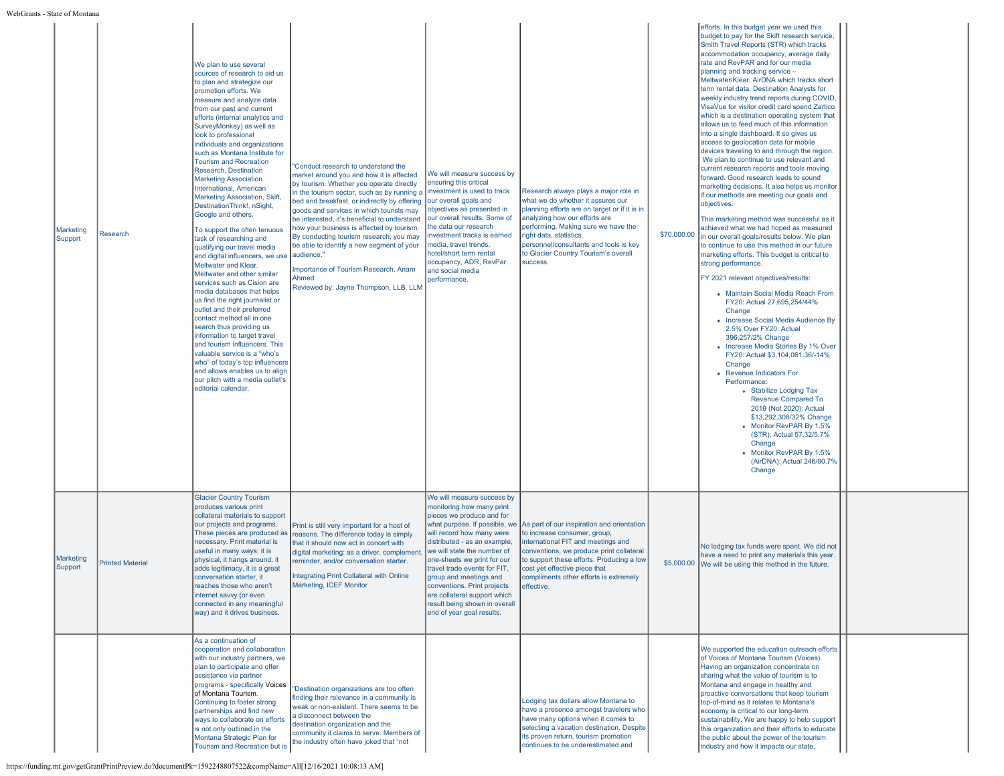| Marketing<br>Support | Research                | We plan to use several<br>sources of research to aid us<br>to plan and strategize our<br>promotion efforts. We<br>measure and analyze data<br>from our past and current<br>efforts (internal analytics and<br>SurveyMonkey) as well as<br>look to professional<br>individuals and organizations<br>such as Montana Institute for<br><b>Tourism and Recreation</b><br>Research, Destination<br><b>Marketing Association</b><br>International, American<br>Marketing Association, Skift,<br>DestinationThink!, nSight,<br>Google and others.<br>To support the often tenuous<br>task of researching and<br>qualifying our travel media<br>and digital influencers, we use<br>Meltwater and Klear.<br>Meltwater and other similar<br>services such as Cision are<br>media databases that helps<br>us find the right journalist or<br>outlet and their preferred<br>contact method all in one<br>search thus providing us<br>information to target travel<br>and tourism influencers. This<br>valuable service is a "who's<br>who" of today's top influencers<br>and allows enables us to align<br>our pitch with a media outlet's<br>editorial calendar. | "Conduct research to understand the<br>market around you and how it is affected<br>by tourism. Whether you operate directly<br>in the tourism sector, such as by running a linvestment is used to track<br>bed and breakfast, or indirectly by offering  our overall goals and<br>goods and services in which tourists may<br>be interested, it's beneficial to understand<br>how your business is affected by tourism.<br>By conducting tourism research, you may<br>be able to identify a new segment of your<br>audience."<br>Importance of Tourism Research, Anam<br>Ahmed<br>Reviewed by: Jayne Thompson, LLB, LLM | We will measure success by<br>ensuring this critical<br>objectives as presented in<br>our overall results. Some of<br>the data our research<br>investment tracks is earned<br>media, travel trends,<br>hotel/short term rental<br>occupancy, ADR, RevPar<br>and social media<br>performance.                                                                                                           | Research always plays a major role in<br>what we do whether it assures our<br>planning efforts are on target or if it is in<br>analyzing how our efforts are<br>performing. Making sure we have the<br>right data, statistics,<br>personnel/consultants and tools is key<br>to Glacier Country Tourism's overall<br>success.     | \$70,000.00 | efforts. In this budget year we used this<br>budget to pay for the Skift research service,<br>Smith Travel Reports (STR) which tracks<br>accommodation occupancy, average daily<br>rate and RevPAR and for our media<br>planning and tracking service -<br>Meltwater/Klear, AirDNA which tracks short<br>term rental data, Destination Analysts for<br>weekly industry trend reports during COVID,<br>VisaVue for visitor credit card spend Zartico<br>which is a destination operating system that<br>allows us to feed much of this information<br>into a single dashboard. It so gives us<br>access to geolocation data for mobile<br>devices traveling to and through the region.<br>We plan to continue to use relevant and<br>current research reports and tools moving<br>forward. Good research leads to sound<br>marketing decisions. It also helps us monitor<br>if our methods are meeting our goals and<br>objectives.<br>This marketing method was successful as it<br>achieved what we had hoped as measured<br>in our overall goals/results below. We plan<br>to continue to use this method in our future<br>marketing efforts. This budget is critical to<br>strong performance.<br>FY 2021 relevant objectives/results:<br>• Maintain Social Media Reach From<br>FY20: Actual 27.695.254/44%<br>Change<br>• Increase Social Media Audience By<br>2.5% Over FY20: Actual<br>396,257/2% Change<br>• Increase Media Stories By 1% Over<br>FY20: Actual \$3.104.061.36/-14%<br>Change<br>• Revenue Indicators For<br>Performance:<br>• Stabilize Lodging Tax<br><b>Revenue Compared To</b><br>2019 (Not 2020): Actual<br>\$13,292,308/32% Change<br>Monitor RevPAR By 1.5%<br>(STR): Actual 57.32/5.7%<br>Change<br>Monitor RevPAR By 1.5%<br>(AirDNA): Actual 246/90.7%<br>Change |  |
|----------------------|-------------------------|-------------------------------------------------------------------------------------------------------------------------------------------------------------------------------------------------------------------------------------------------------------------------------------------------------------------------------------------------------------------------------------------------------------------------------------------------------------------------------------------------------------------------------------------------------------------------------------------------------------------------------------------------------------------------------------------------------------------------------------------------------------------------------------------------------------------------------------------------------------------------------------------------------------------------------------------------------------------------------------------------------------------------------------------------------------------------------------------------------------------------------------------------------|-------------------------------------------------------------------------------------------------------------------------------------------------------------------------------------------------------------------------------------------------------------------------------------------------------------------------------------------------------------------------------------------------------------------------------------------------------------------------------------------------------------------------------------------------------------------------------------------------------------------------|--------------------------------------------------------------------------------------------------------------------------------------------------------------------------------------------------------------------------------------------------------------------------------------------------------------------------------------------------------------------------------------------------------|----------------------------------------------------------------------------------------------------------------------------------------------------------------------------------------------------------------------------------------------------------------------------------------------------------------------------------|-------------|--------------------------------------------------------------------------------------------------------------------------------------------------------------------------------------------------------------------------------------------------------------------------------------------------------------------------------------------------------------------------------------------------------------------------------------------------------------------------------------------------------------------------------------------------------------------------------------------------------------------------------------------------------------------------------------------------------------------------------------------------------------------------------------------------------------------------------------------------------------------------------------------------------------------------------------------------------------------------------------------------------------------------------------------------------------------------------------------------------------------------------------------------------------------------------------------------------------------------------------------------------------------------------------------------------------------------------------------------------------------------------------------------------------------------------------------------------------------------------------------------------------------------------------------------------------------------------------------------------------------------------------------------------------------------------------------------------------------------------------------------------------------------------------------------|--|
| Marketing<br>Support | <b>Printed Material</b> | <b>Glacier Country Tourism</b><br>produces various print<br>collateral materials to support<br>our projects and programs.<br>These pieces are produced as<br>necessary. Print material is<br>useful in many ways; it is<br>physical, it hangs around, it<br>adds legitimacy, it is a great<br>conversation starter, it<br>reaches those who aren't<br>internet savvy (or even<br>connected in any meaningful<br>way) and it drives business.                                                                                                                                                                                                                                                                                                                                                                                                                                                                                                                                                                                                                                                                                                          | Print is still very important for a host of<br>reasons. The difference today is simply<br>that it should now act in concert with<br>digital marketing: as a driver, complement<br>reminder, and/or conversation starter.<br>Integrating Print Collateral with Online<br>Marketing, ICEF Monitor                                                                                                                                                                                                                                                                                                                         | We will measure success by<br>monitoring how many print<br>pieces we produce and for<br>will record how many were<br>distributed - as an example.<br>we will state the number of<br>one-sheets we print for our<br>travel trade events for FIT,<br>group and meetings and<br>conventions. Print projects<br>are collateral support which<br>result being shown in overall<br>end of year goal results. | what purpose. If possible, we As part of our inspiration and orientation<br>to increase consumer, group,<br>International FIT and meetings and<br>conventions, we produce print collateral<br>to support these efforts. Producing a low<br>cost vet effective piece that<br>compliments other efforts is extremely<br>effective. |             | No lodging tax funds were spent. We did not<br>have a need to print any materials this year.<br>\$5,000.00 We will be using this method in the future.                                                                                                                                                                                                                                                                                                                                                                                                                                                                                                                                                                                                                                                                                                                                                                                                                                                                                                                                                                                                                                                                                                                                                                                                                                                                                                                                                                                                                                                                                                                                                                                                                                           |  |
|                      |                         | As a continuation of<br>cooperation and collaboration<br>with our industry partners, we<br>plan to participate and offer<br>assistance via partner<br>programs - specifically Voices<br>of Montana Tourism.<br>Continuing to foster strong<br>partnerships and find new<br>ways to collaborate on efforts<br>is not only outlined in the<br>Montana Strategic Plan for<br>Tourism and Recreation but is                                                                                                                                                                                                                                                                                                                                                                                                                                                                                                                                                                                                                                                                                                                                               | "Destination organizations are too often<br>finding their relevance in a community is<br>weak or non-existent. There seems to be<br>a disconnect between the<br>destination organization and the<br>community it claims to serve. Members of<br>the industry often have joked that "not                                                                                                                                                                                                                                                                                                                                 |                                                                                                                                                                                                                                                                                                                                                                                                        | Lodging tax dollars allow Montana to<br>have a presence amongst travelers who<br>have many options when it comes to<br>selecting a vacation destination. Despite<br>its proven return, tourism promotion<br>continues to be underestimated and                                                                                   |             | We supported the education outreach efforts<br>of Voices of Montana Tourism (Voices).<br>Having an organization concentrate on<br>sharing what the value of tourism is to<br>Montana and engage in healthy and<br>proactive conversations that keep tourism<br>top-of-mind as it relates to Montana's<br>economy is critical to our long-term<br>sustainability. We are happy to help support<br>this organization and their efforts to educate<br>the public about the power of the tourism<br>industry and how it impacts our state,                                                                                                                                                                                                                                                                                                                                                                                                                                                                                                                                                                                                                                                                                                                                                                                                                                                                                                                                                                                                                                                                                                                                                                                                                                                           |  |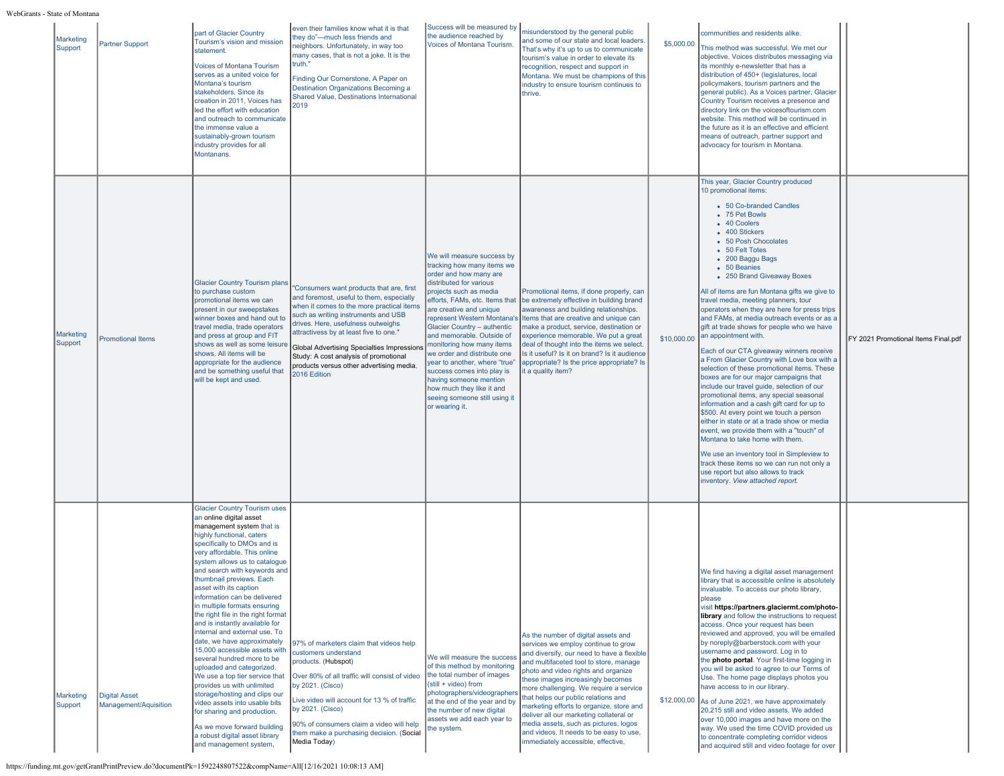| Marketing<br>Support | <b>Partner Support</b>                        | part of Glacier Country<br>Tourism's vision and mission<br>statement.<br><b>Voices of Montana Tourism</b><br>serves as a united voice for<br>Montana's tourism<br>stakeholders. Since its<br>creation in 2011, Voices has<br>led the effort with education<br>and outreach to communicate<br>the immense value a<br>sustainably-grown tourism<br>industry provides for all<br>Montanans.                                                                                                                                                                                                                                                                                                                                                                                                                                                                                       | even their families know what it is that<br>they do"-much less friends and<br>neighbors. Unfortunately, in way too<br>many cases, that is not a joke. It is the<br>truth."<br>Finding Our Cornerstone, A Paper on<br>Destination Organizations Becoming a<br>Shared Value. Destinations International<br>2019                                                                                              | Success will be measured by<br>the audience reached by<br>Voices of Montana Tourism.                                                                                                                                                                                                                                                                                                                                                                                                                                                 | misunderstood by the general public<br>and some of our state and local leaders.<br>That's why it's up to us to communicate<br>tourism's value in order to elevate its<br>recognition, respect and support in<br>Montana. We must be champions of this<br>industry to ensure tourism continues to<br>thrive.                                                                                                                                                                                                                                      | \$5,000.00  | communities and residents alike.<br>This method was successful. We met our<br>objective. Voices distributes messaging via<br>its monthly e-newsletter that has a<br>distribution of 450+ (legislatures, local<br>policymakers, tourism partners and the<br>general public). As a Voices partner, Glacier<br>Country Tourism receives a presence and<br>directory link on the voicesoftourism.com<br>website. This method will be continued in<br>the future as it is an effective and efficient<br>means of outreach, partner support and<br>advocacy for tourism in Montana.                                                                                                                                                                                                                                                                                                                                                                                                                                                                                                                                                                                                                   |                                     |
|----------------------|-----------------------------------------------|--------------------------------------------------------------------------------------------------------------------------------------------------------------------------------------------------------------------------------------------------------------------------------------------------------------------------------------------------------------------------------------------------------------------------------------------------------------------------------------------------------------------------------------------------------------------------------------------------------------------------------------------------------------------------------------------------------------------------------------------------------------------------------------------------------------------------------------------------------------------------------|------------------------------------------------------------------------------------------------------------------------------------------------------------------------------------------------------------------------------------------------------------------------------------------------------------------------------------------------------------------------------------------------------------|--------------------------------------------------------------------------------------------------------------------------------------------------------------------------------------------------------------------------------------------------------------------------------------------------------------------------------------------------------------------------------------------------------------------------------------------------------------------------------------------------------------------------------------|--------------------------------------------------------------------------------------------------------------------------------------------------------------------------------------------------------------------------------------------------------------------------------------------------------------------------------------------------------------------------------------------------------------------------------------------------------------------------------------------------------------------------------------------------|-------------|-------------------------------------------------------------------------------------------------------------------------------------------------------------------------------------------------------------------------------------------------------------------------------------------------------------------------------------------------------------------------------------------------------------------------------------------------------------------------------------------------------------------------------------------------------------------------------------------------------------------------------------------------------------------------------------------------------------------------------------------------------------------------------------------------------------------------------------------------------------------------------------------------------------------------------------------------------------------------------------------------------------------------------------------------------------------------------------------------------------------------------------------------------------------------------------------------|-------------------------------------|
| Marketing<br>Support | Promotional Items                             | <b>Glacier Country Tourism plans</b><br>to purchase custom<br>promotional items we can<br>present in our sweepstakes<br>winner boxes and hand out to<br>travel media, trade operators<br>and press at group and FIT<br>shows as well as some leisure<br>shows. All items will be<br>appropriate for the audience<br>and be something useful that<br>will be kept and used.                                                                                                                                                                                                                                                                                                                                                                                                                                                                                                     | "Consumers want products that are, first<br>and foremost, useful to them, especially<br>when it comes to the more practical items<br>such as writing instruments and USB<br>drives. Here, usefulness outweighs<br>attractivess by at least five to one."<br>Global Advertising Specialties Impression<br>Study: A cost analysis of promotional<br>products versus other advertising media,<br>2016 Edition | We will measure success by<br>tracking how many items we<br>order and how many are<br>distributed for various<br>projects such as media<br>efforts, FAMs, etc. Items that<br>are creative and unique<br>represent Western Montana's<br>Glacier Country - authentic<br>and memorable. Outside of<br>monitoring how many items<br>we order and distribute one<br>year to another, where "true"<br>success comes into play is<br>having someone mention<br>how much they like it and<br>seeing someone still using it<br>or wearing it. | Promotional items, if done properly, can<br>be extremely effective in building brand<br>awareness and building relationships.<br>Items that are creative and unique can<br>nake a product, service, destination or<br>experience memorable. We put a great<br>deal of thought into the items we select.<br>Is it useful? Is it on brand? Is it audience<br>appropriate? Is the price appropriate? Is<br>it a quality item?                                                                                                                       | \$10,000.00 | This year, Glacier Country produced<br>10 promotional items:<br>• 50 Co-branded Candles<br>• 75 Pet Bowls<br>• 40 Coolers<br>• 400 Stickers<br>• 50 Posh Chocolates<br>• 50 Felt Totes<br>• 200 Baggu Bags<br>• 50 Beanies<br>• 250 Brand Giveaway Boxes<br>All of items are fun Montana gifts we give to<br>travel media, meeting planners, tour<br>operators when they are here for press trips<br>and FAMs, at media outreach events or as a<br>gift at trade shows for people who we have<br>an appointment with.<br>Each of our CTA giveaway winners receive<br>a From Glacier Country with Love box with a<br>selection of these promotional items. These<br>boxes are for our major campaigns that<br>include our travel guide, selection of our<br>promotional items, any special seasonal<br>information and a cash gift card for up to<br>\$500. At every point we touch a person<br>either in state or at a trade show or media<br>event, we provide them with a "touch" of<br>Montana to take home with them.<br>We use an inventory tool in Simpleview to<br>track these items so we can run not only a<br>use report but also allows to track<br>inventory. View attached report. | FY 2021 Promotional Items Final.pdf |
| Marketing<br>Support | <b>Digital Asset</b><br>Management/Aquisition | <b>Glacier Country Tourism uses</b><br>an online digital asset<br>management system that is<br>highly functional, caters<br>specifically to DMOs and is<br>very affordable. This online<br>system allows us to catalogue<br>and search with keywords and<br>thumbnail previews. Each<br>asset with its caption<br>information can be delivered<br>in multiple formats ensuring<br>the right file in the right format<br>and is instantly available for<br>internal and external use. To<br>date, we have approximately<br>15,000 accessible assets with<br>several hundred more to be<br>uploaded and categorized.<br>We use a top tier service that<br>provides us with unlimited<br>storage/hosting and clips our<br>video assets into usable bits<br>for sharing and production.<br>As we move forward building<br>a robust digital asset library<br>and management system, | 97% of marketers claim that videos help<br>customers understand<br>products. (Hubspot)<br>Over 80% of all traffic will consist of video<br>by 2021. (Cisco)<br>Live video will account for 13 % of traffic<br>by 2021. (Cisco)<br>90% of consumers claim a video will help<br>them make a purchasing decision. (Social<br>Media Today)                                                                     | We will measure the success<br>of this method by monitoring<br>the total number of images<br>(still + video) from<br>photographers/videographers<br>at the end of the year and by<br>the number of new digital<br>assets we add each year to<br>the system.                                                                                                                                                                                                                                                                          | As the number of digital assets and<br>services we employ continue to grow<br>and diversify, our need to have a flexible<br>and multifaceted tool to store, manage<br>photo and video rights and organize<br>these images increasingly becomes<br>more challenging. We require a service<br>that helps our public relations and<br>narketing efforts to organize, store and<br>deliver all our marketing collateral or<br>media assets, such as pictures, logos<br>and videos. It needs to be easy to use,<br>immediately accessible, effective, | \$12,000.00 | We find having a digital asset management<br>library that is accessible online is absolutely<br>valuable. To access our photo library<br>please<br>visit https://partners.glaciermt.com/photo-<br>library and follow the instructions to request<br>access. Once your request has been<br>reviewed and approved, you will be emailed<br>by noreply@barberstock.com with your<br>username and password. Log in to<br>the photo portal. Your first-time logging in<br>you will be asked to agree to our Terms of<br>Use. The home page displays photos you<br>have access to in our library.<br>As of June 2021, we have approximately<br>20,215 still and video assets. We added<br>over 10,000 images and have more on the<br>way. We used the time COVID provided us<br>to concentrate completing corridor videos<br>and acquired still and video footage for over                                                                                                                                                                                                                                                                                                                             |                                     |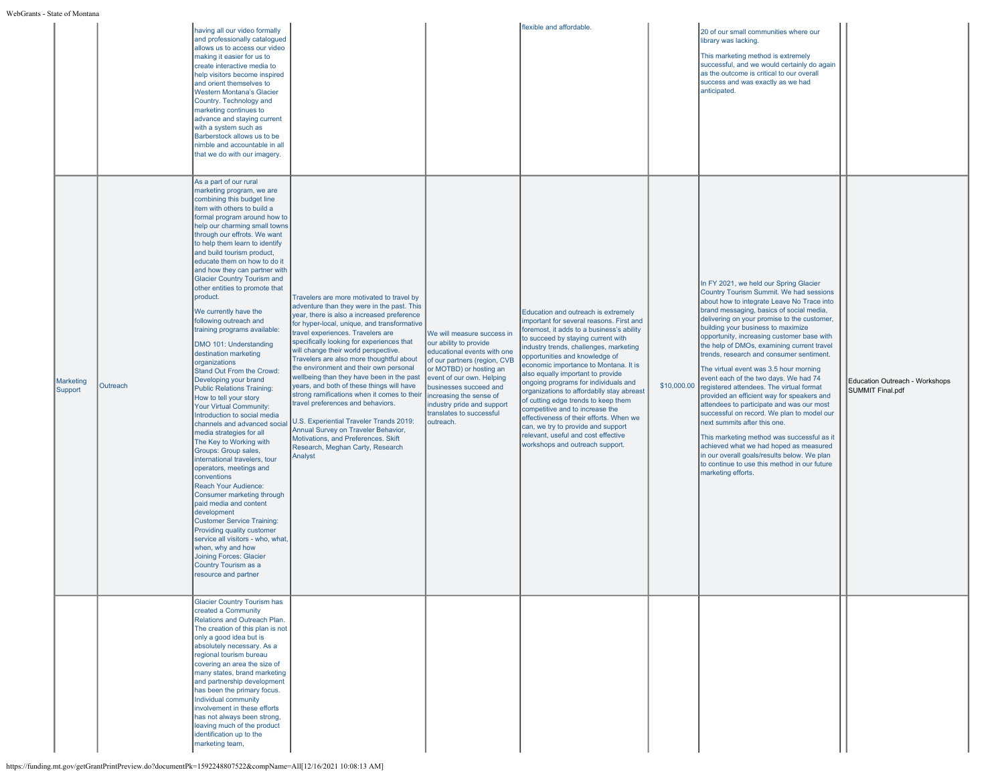|                      |          | having all our video formally<br>and professionally catalogued<br>allows us to access our video<br>making it easier for us to<br>create interactive media to<br>help visitors become inspired<br>and orient themselves to<br>Western Montana's Glacier<br>Country. Technology and<br>marketing continues to<br>advance and staying current<br>with a system such as<br>Barberstock allows us to be<br>nimble and accountable in all<br>that we do with our imagery.                                                                                                                                                                                                                                                                                                                                                                                                                                                                                                                                                                                                                                                                                                                                                                                                                  |                                                                                                                                                                                                                                                                                                                                                                                                                                                                                                                                                                                                                                                                                                                                                            |                                                                                                                                                                                                                                                                                                         | flexible and affordable                                                                                                                                                                                                                                                                                                                                                                                                                                                                                                                                                                                                                                |             | 20 of our small communities where our<br>library was lacking.<br>This marketing method is extremely<br>successful, and we would certainly do again<br>as the outcome is critical to our overall<br>success and was exactly as we had<br>anticipated.                                                                                                                                                                                                                                                                                                                                                                                                                                                                                                                                                                                                                                                                          |                                                           |
|----------------------|----------|--------------------------------------------------------------------------------------------------------------------------------------------------------------------------------------------------------------------------------------------------------------------------------------------------------------------------------------------------------------------------------------------------------------------------------------------------------------------------------------------------------------------------------------------------------------------------------------------------------------------------------------------------------------------------------------------------------------------------------------------------------------------------------------------------------------------------------------------------------------------------------------------------------------------------------------------------------------------------------------------------------------------------------------------------------------------------------------------------------------------------------------------------------------------------------------------------------------------------------------------------------------------------------------|------------------------------------------------------------------------------------------------------------------------------------------------------------------------------------------------------------------------------------------------------------------------------------------------------------------------------------------------------------------------------------------------------------------------------------------------------------------------------------------------------------------------------------------------------------------------------------------------------------------------------------------------------------------------------------------------------------------------------------------------------------|---------------------------------------------------------------------------------------------------------------------------------------------------------------------------------------------------------------------------------------------------------------------------------------------------------|--------------------------------------------------------------------------------------------------------------------------------------------------------------------------------------------------------------------------------------------------------------------------------------------------------------------------------------------------------------------------------------------------------------------------------------------------------------------------------------------------------------------------------------------------------------------------------------------------------------------------------------------------------|-------------|-------------------------------------------------------------------------------------------------------------------------------------------------------------------------------------------------------------------------------------------------------------------------------------------------------------------------------------------------------------------------------------------------------------------------------------------------------------------------------------------------------------------------------------------------------------------------------------------------------------------------------------------------------------------------------------------------------------------------------------------------------------------------------------------------------------------------------------------------------------------------------------------------------------------------------|-----------------------------------------------------------|
| Marketing<br>Support | Outreach | As a part of our rural<br>marketing program, we are<br>combining this budget line<br>item with others to build a<br>formal program around how to<br>help our charming small towns<br>through our effrots. We want<br>to help them learn to identify<br>and build tourism product,<br>educate them on how to do it<br>and how they can partner with<br><b>Glacier Country Tourism and</b><br>other entities to promote that<br>product.<br>We currently have the<br>following outreach and<br>training programs available:<br>DMO 101: Understanding<br>destination marketing<br>organizations<br>Stand Out From the Crowd:<br>Developing your brand<br><b>Public Relations Training:</b><br>How to tell your story<br>Your Virtual Community:<br>Introduction to social media<br>channels and advanced socia<br>media strategies for all<br>The Key to Working with<br>Groups: Group sales,<br>international travelers, tour<br>operators, meetings and<br>conventions<br>Reach Your Audience:<br>Consumer marketing through<br>paid media and content<br>development<br><b>Customer Service Training:</b><br>Providing quality customer<br>service all visitors - who, what,<br>when, why and how<br><b>Joining Forces: Glacier</b><br>Country Tourism as a<br>resource and partner | Travelers are more motivated to travel by<br>adventure than they were in the past. This<br>year, there is also a increased preference<br>for hyper-local, unique, and transformative<br>travel experiences. Travelers are<br>specifically looking for experiences that<br>will change their world perspective.<br>Travelers are also more thoughtful about<br>the environment and their own personal<br>wellbeing than they have been in the past<br>years, and both of these things will have<br>strong ramifications when it comes to their<br>travel preferences and behaviors.<br>U.S. Experiential Traveler Trands 2019:<br>Annual Survey on Traveler Behavior,<br>Motivations, and Preferences. Skift<br>Research, Meghan Carty, Research<br>Analyst | We will measure success in<br>our ability to provide<br>educational events with one<br>of our partners (region, CVB<br>or MOTBD) or hosting an<br>event of our own. Helping<br>businesses succeed and<br>increasing the sense of<br>industry pride and support<br>translates to successful<br>outreach. | Education and outreach is extremely<br>important for several reasons. First and<br>foremost, it adds to a business's ability<br>to succeed by staying current with<br>industry trends, challenges, marketing<br>opportunities and knowledge of<br>economic importance to Montana. It is<br>also equally important to provide<br>ongoing programs for individuals and<br>organizations to affordablly stay abreast<br>of cutting edge trends to keep them<br>competitive and to increase the<br>effectiveness of their efforts. When we<br>can, we try to provide and support<br>relevant, useful and cost effective<br>workshops and outreach support. | \$10,000.00 | In FY 2021, we held our Spring Glacier<br>Country Tourism Summit. We had sessions<br>about how to integrate Leave No Trace into<br>brand messaging, basics of social media,<br>delivering on your promise to the customer,<br>building your business to maximize<br>opportunity, increasing customer base with<br>the help of DMOs, examining current travel<br>trends, research and consumer sentiment.<br>The virtual event was 3.5 hour morning<br>event each of the two days. We had 74<br>registered attendees. The virtual format<br>provided an efficient way for speakers and<br>attendees to participate and was our most<br>successful on record. We plan to model our<br>next summits after this one.<br>This marketing method was successful as it<br>achieved what we had hoped as measured<br>in our overall goals/results below. We plan<br>to continue to use this method in our future<br>marketing efforts. | Education Outreach - Workshops<br><b>SUMMIT Final.pdf</b> |
|                      |          | <b>Glacier Country Tourism has</b><br>created a Community<br>Relations and Outreach Plan.<br>The creation of this plan is not<br>only a good idea but is<br>absolutely necessary. As a<br>regional tourism bureau<br>covering an area the size of<br>many states, brand marketing<br>and partnership development<br>has been the primary focus.<br>Individual community<br>involvement in these efforts<br>has not always been strong,<br>leaving much of the product<br>identification up to the<br>marketing team,                                                                                                                                                                                                                                                                                                                                                                                                                                                                                                                                                                                                                                                                                                                                                                 |                                                                                                                                                                                                                                                                                                                                                                                                                                                                                                                                                                                                                                                                                                                                                            |                                                                                                                                                                                                                                                                                                         |                                                                                                                                                                                                                                                                                                                                                                                                                                                                                                                                                                                                                                                        |             |                                                                                                                                                                                                                                                                                                                                                                                                                                                                                                                                                                                                                                                                                                                                                                                                                                                                                                                               |                                                           |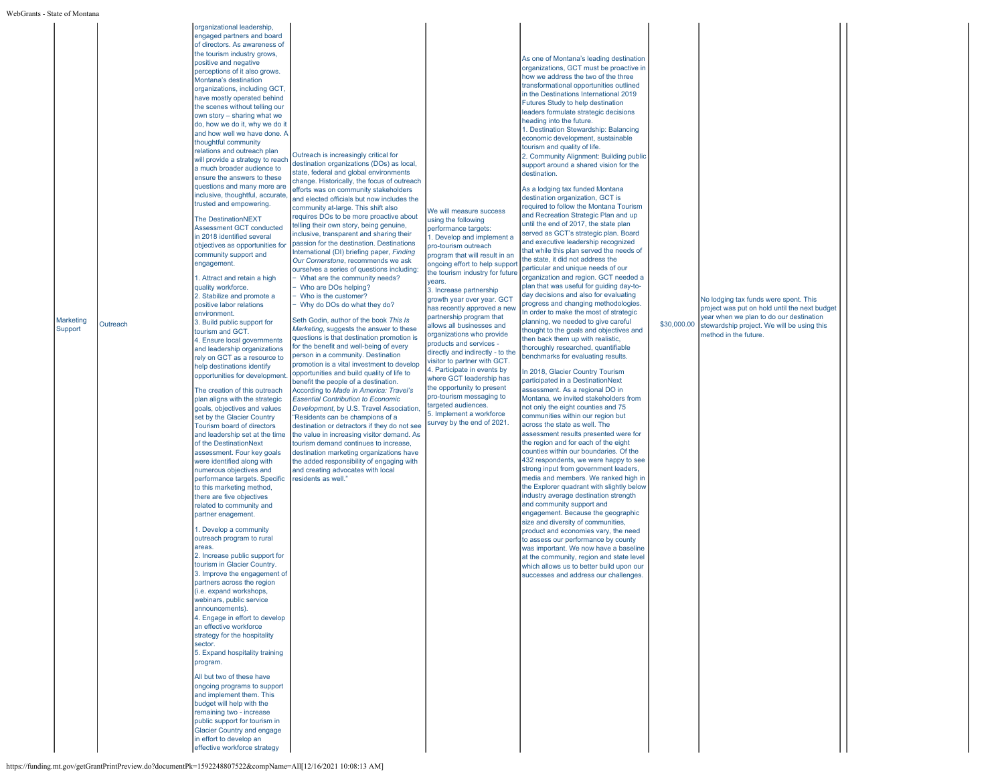| Marketing<br>Support | Outreach | organizational leadership,<br>engaged partners and board<br>of directors. As awareness of<br>the tourism industry grows,<br>positive and negative<br>perceptions of it also grows.<br>Montana's destination<br>organizations, including GCT,<br>have mostly operated behind<br>the scenes without telling our<br>own story - sharing what we<br>do, how we do it, why we do it<br>and how well we have done. A<br>thoughtful community<br>relations and outreach plan<br>will provide a strategy to reach<br>a much broader audience to<br>ensure the answers to these<br>questions and many more are<br>inclusive, thoughtful, accurate<br>trusted and empowering.<br>The DestinationNEXT<br><b>Assessment GCT conducted</b><br>in 2018 identified several<br>objectives as opportunities for<br>community support and<br>engagement.<br>1. Attract and retain a high<br>quality workforce.<br>2. Stabilize and promote a<br>positive labor relations<br>environment.<br>3. Build public support for<br>tourism and GCT.<br>4. Ensure local governments<br>and leadership organizations<br>rely on GCT as a resource to<br>help destinations identify<br>opportunities for developmen<br>The creation of this outreach<br>plan aligns with the strategic<br>goals, objectives and values<br>set by the Glacier Country<br>Tourism board of directors<br>and leadership set at the time<br>of the DestinationNext<br>assessment. Four key goals<br>were identified along with<br>numerous objectives and<br>performance targets. Specific<br>to this marketing method,<br>there are five objectives<br>related to community and<br>partner enagement.<br>1. Develop a community<br>outreach program to rural<br>areas.<br>2. Increase public support for<br>tourism in Glacier Country.<br>3. Improve the engagement of<br>partners across the region<br>i.e. expand workshops.<br>webinars, public service<br>announcements).<br>4. Engage in effort to develop<br>an effective workforce<br>strategy for the hospitality<br>sector.<br>5. Expand hospitality training<br>program.<br>All but two of these have<br>ongoing programs to support<br>and implement them. This<br>budget will help with the<br>remaining two - increase<br>public support for tourism in<br>Glacier Country and engage<br>in effort to develop an<br>effective workforce strategy | Outreach is increasingly critical for<br>destination organizations (DOs) as local,<br>state, federal and global environments<br>change. Historically, the focus of outreach<br>efforts was on community stakeholders<br>and elected officials but now includes the<br>community at-large. This shift also<br>requires DOs to be more proactive about<br>telling their own story, being genuine,<br>inclusive, transparent and sharing their<br>passion for the destination. Destinations<br>International (DI) briefing paper, Finding<br>Our Cornerstone, recommends we ask<br>ourselves a series of questions including:<br>- What are the community needs?<br>- Who are DOs helping?<br>- Who is the customer?<br>- Why do DOs do what they do?<br>Seth Godin, author of the book This Is<br>Marketing, suggests the answer to these<br>questions is that destination promotion is<br>for the benefit and well-being of every<br>person in a community. Destination<br>promotion is a vital investment to develop<br>opportunities and build quality of life to<br>benefit the people of a destination.<br>According to Made in America: Travel's<br><b>Essential Contribution to Economic</b><br>Development, by U.S. Travel Association,<br>"Residents can be champions of a<br>destination or detractors if they do not see<br>the value in increasing visitor demand. As<br>tourism demand continues to increase,<br>destination marketing organizations have<br>the added responsibility of engaging with<br>and creating advocates with local<br>residents as well." | We will measure success<br>using the following<br>performance targets:<br>1. Develop and implement a<br>pro-tourism outreach<br>program that will result in an<br>ongoing effort to help support<br>the tourism industry for future<br>years.<br>3. Increase partnership<br>growth year over year. GCT<br>has recently approved a new<br>partnership program that<br>allows all businesses and<br>organizations who provide<br>products and services -<br>directly and indirectly - to the<br>visitor to partner with GCT.<br>4. Participate in events by<br>where GCT leadership has<br>the opportunity to present<br>pro-tourism messaging to<br>targeted audiences.<br>5. Implement a workforce<br>survey by the end of 2021. | As one of Montana's leading destination<br>organizations, GCT must be proactive in<br>how we address the two of the three<br>transformational opportunities outlined<br>in the Destinations International 2019<br>Futures Study to help destination<br>leaders formulate strategic decisions<br>heading into the future.<br>1. Destination Stewardship: Balancing<br>economic development, sustainable<br>tourism and quality of life.<br>2. Community Alignment: Building public<br>support around a shared vision for the<br>destination.<br>As a lodging tax funded Montana<br>destination organization, GCT is<br>required to follow the Montana Tourism<br>and Recreation Strategic Plan and up<br>until the end of 2017, the state plan<br>served as GCT's strategic plan. Board<br>and executive leadership recognized<br>that while this plan served the needs of<br>the state, it did not address the<br>particular and unique needs of our<br>organization and region. GCT needed a<br>plan that was useful for guiding day-to-<br>day decisions and also for evaluating<br>progress and changing methodologies.<br>In order to make the most of strategic<br>planning, we needed to give careful<br>thought to the goals and objectives and<br>then back them up with realistic,<br>thoroughly researched, quantifiable<br>benchmarks for evaluating results.<br>In 2018, Glacier Country Tourism<br>participated in a DestinationNext<br>assessment. As a regional DO in<br>Montana, we invited stakeholders from<br>not only the eight counties and 75<br>communities within our region but<br>across the state as well. The<br>assessment results presented were for<br>the region and for each of the eight<br>counties within our boundaries. Of the<br>432 respondents, we were happy to see<br>strong input from government leaders,<br>media and members. We ranked high in<br>the Explorer quadrant with slightly below<br>industry average destination strength<br>and community support and<br>engagement. Because the geographic<br>size and diversity of communities,<br>product and economies vary, the need<br>to assess our performance by county<br>was important. We now have a baseline<br>at the community, region and state level<br>which allows us to better build upon our<br>successes and address our challenges. | \$30,000.00 | No lodging tax funds were spent. This<br>project was put on hold until the next budget<br>year when we plan to do our destination<br>stewardship project. We will be using this<br>method in the future. |  |
|----------------------|----------|----------------------------------------------------------------------------------------------------------------------------------------------------------------------------------------------------------------------------------------------------------------------------------------------------------------------------------------------------------------------------------------------------------------------------------------------------------------------------------------------------------------------------------------------------------------------------------------------------------------------------------------------------------------------------------------------------------------------------------------------------------------------------------------------------------------------------------------------------------------------------------------------------------------------------------------------------------------------------------------------------------------------------------------------------------------------------------------------------------------------------------------------------------------------------------------------------------------------------------------------------------------------------------------------------------------------------------------------------------------------------------------------------------------------------------------------------------------------------------------------------------------------------------------------------------------------------------------------------------------------------------------------------------------------------------------------------------------------------------------------------------------------------------------------------------------------------------------------------------------------------------------------------------------------------------------------------------------------------------------------------------------------------------------------------------------------------------------------------------------------------------------------------------------------------------------------------------------------------------------------------------------------------------------------------------------------------------------------------------------|-------------------------------------------------------------------------------------------------------------------------------------------------------------------------------------------------------------------------------------------------------------------------------------------------------------------------------------------------------------------------------------------------------------------------------------------------------------------------------------------------------------------------------------------------------------------------------------------------------------------------------------------------------------------------------------------------------------------------------------------------------------------------------------------------------------------------------------------------------------------------------------------------------------------------------------------------------------------------------------------------------------------------------------------------------------------------------------------------------------------------------------------------------------------------------------------------------------------------------------------------------------------------------------------------------------------------------------------------------------------------------------------------------------------------------------------------------------------------------------------------------------------------------------------------------------------------------|----------------------------------------------------------------------------------------------------------------------------------------------------------------------------------------------------------------------------------------------------------------------------------------------------------------------------------------------------------------------------------------------------------------------------------------------------------------------------------------------------------------------------------------------------------------------------------------------------------------------------------------------------------------------------------------------------------------------------------|--------------------------------------------------------------------------------------------------------------------------------------------------------------------------------------------------------------------------------------------------------------------------------------------------------------------------------------------------------------------------------------------------------------------------------------------------------------------------------------------------------------------------------------------------------------------------------------------------------------------------------------------------------------------------------------------------------------------------------------------------------------------------------------------------------------------------------------------------------------------------------------------------------------------------------------------------------------------------------------------------------------------------------------------------------------------------------------------------------------------------------------------------------------------------------------------------------------------------------------------------------------------------------------------------------------------------------------------------------------------------------------------------------------------------------------------------------------------------------------------------------------------------------------------------------------------------------------------------------------------------------------------------------------------------------------------------------------------------------------------------------------------------------------------------------------------------------------------------------------------------------------------------------------------------------------------------------------------------------------------------------------------------------------------------------------------------------------------------------------------------------------------------------------------------------------------------------------------------------------------------------------------------------------------------------------------------------------------------------|-------------|----------------------------------------------------------------------------------------------------------------------------------------------------------------------------------------------------------|--|
|----------------------|----------|----------------------------------------------------------------------------------------------------------------------------------------------------------------------------------------------------------------------------------------------------------------------------------------------------------------------------------------------------------------------------------------------------------------------------------------------------------------------------------------------------------------------------------------------------------------------------------------------------------------------------------------------------------------------------------------------------------------------------------------------------------------------------------------------------------------------------------------------------------------------------------------------------------------------------------------------------------------------------------------------------------------------------------------------------------------------------------------------------------------------------------------------------------------------------------------------------------------------------------------------------------------------------------------------------------------------------------------------------------------------------------------------------------------------------------------------------------------------------------------------------------------------------------------------------------------------------------------------------------------------------------------------------------------------------------------------------------------------------------------------------------------------------------------------------------------------------------------------------------------------------------------------------------------------------------------------------------------------------------------------------------------------------------------------------------------------------------------------------------------------------------------------------------------------------------------------------------------------------------------------------------------------------------------------------------------------------------------------------------------|-------------------------------------------------------------------------------------------------------------------------------------------------------------------------------------------------------------------------------------------------------------------------------------------------------------------------------------------------------------------------------------------------------------------------------------------------------------------------------------------------------------------------------------------------------------------------------------------------------------------------------------------------------------------------------------------------------------------------------------------------------------------------------------------------------------------------------------------------------------------------------------------------------------------------------------------------------------------------------------------------------------------------------------------------------------------------------------------------------------------------------------------------------------------------------------------------------------------------------------------------------------------------------------------------------------------------------------------------------------------------------------------------------------------------------------------------------------------------------------------------------------------------------------------------------------------------------|----------------------------------------------------------------------------------------------------------------------------------------------------------------------------------------------------------------------------------------------------------------------------------------------------------------------------------------------------------------------------------------------------------------------------------------------------------------------------------------------------------------------------------------------------------------------------------------------------------------------------------------------------------------------------------------------------------------------------------|--------------------------------------------------------------------------------------------------------------------------------------------------------------------------------------------------------------------------------------------------------------------------------------------------------------------------------------------------------------------------------------------------------------------------------------------------------------------------------------------------------------------------------------------------------------------------------------------------------------------------------------------------------------------------------------------------------------------------------------------------------------------------------------------------------------------------------------------------------------------------------------------------------------------------------------------------------------------------------------------------------------------------------------------------------------------------------------------------------------------------------------------------------------------------------------------------------------------------------------------------------------------------------------------------------------------------------------------------------------------------------------------------------------------------------------------------------------------------------------------------------------------------------------------------------------------------------------------------------------------------------------------------------------------------------------------------------------------------------------------------------------------------------------------------------------------------------------------------------------------------------------------------------------------------------------------------------------------------------------------------------------------------------------------------------------------------------------------------------------------------------------------------------------------------------------------------------------------------------------------------------------------------------------------------------------------------------------------------------|-------------|----------------------------------------------------------------------------------------------------------------------------------------------------------------------------------------------------------|--|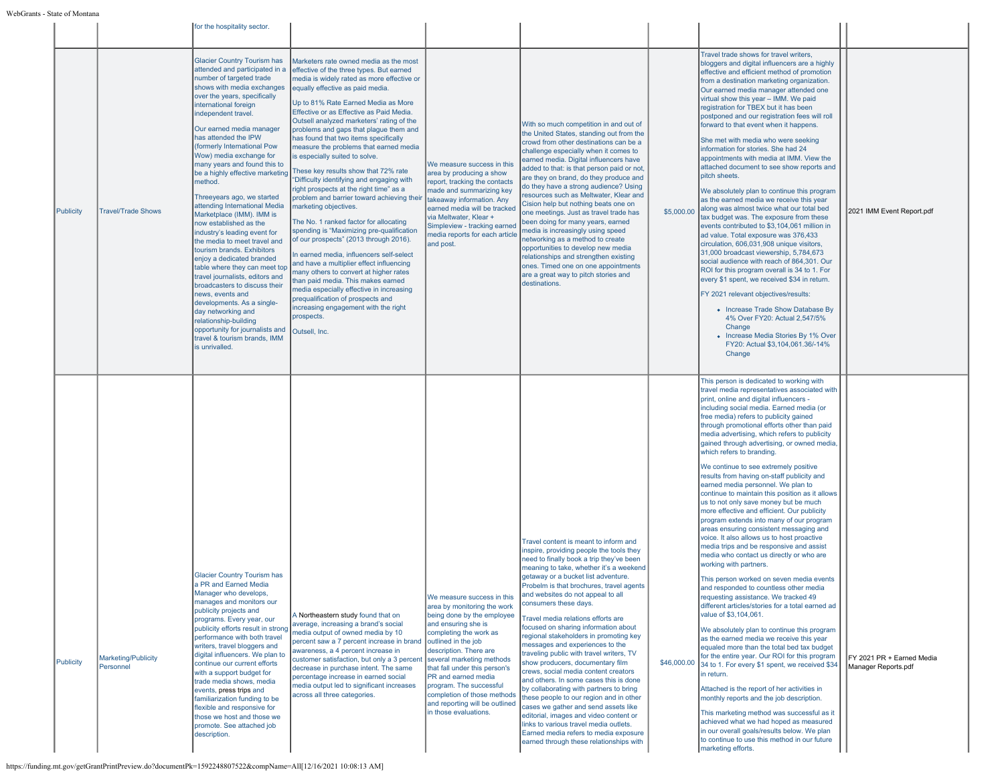|           |                                  | for the hospitality sector.                                                                                                                                                                                                                                                                                                                                                                                                                                                                                                                                                                                                                                                                                                                                                                                                                                                                                                                            |                                                                                                                                                                                                                                                                                                                                                                                                                                                                                                                                                                                                                                                                                                                                                                                                                                                                                                                                                                                                                                                                                                                                             |                                                                                                                                                                                                                                                                                                                                                                                                     |                                                                                                                                                                                                                                                                                                                                                                                                                                                                                                                                                                                                                                                                                                                                                                                                                                                                                                                                                              |             |                                                                                                                                                                                                                                                                                                                                                                                                                                                                                                                                                                                                                                                                                                                                                                                                                                                                                                                                                                                                                                                                                                                                                                                                                                                                                                                                                                                                                                                                                                                                                                                                                                                                                                                  |                                                  |
|-----------|----------------------------------|--------------------------------------------------------------------------------------------------------------------------------------------------------------------------------------------------------------------------------------------------------------------------------------------------------------------------------------------------------------------------------------------------------------------------------------------------------------------------------------------------------------------------------------------------------------------------------------------------------------------------------------------------------------------------------------------------------------------------------------------------------------------------------------------------------------------------------------------------------------------------------------------------------------------------------------------------------|---------------------------------------------------------------------------------------------------------------------------------------------------------------------------------------------------------------------------------------------------------------------------------------------------------------------------------------------------------------------------------------------------------------------------------------------------------------------------------------------------------------------------------------------------------------------------------------------------------------------------------------------------------------------------------------------------------------------------------------------------------------------------------------------------------------------------------------------------------------------------------------------------------------------------------------------------------------------------------------------------------------------------------------------------------------------------------------------------------------------------------------------|-----------------------------------------------------------------------------------------------------------------------------------------------------------------------------------------------------------------------------------------------------------------------------------------------------------------------------------------------------------------------------------------------------|--------------------------------------------------------------------------------------------------------------------------------------------------------------------------------------------------------------------------------------------------------------------------------------------------------------------------------------------------------------------------------------------------------------------------------------------------------------------------------------------------------------------------------------------------------------------------------------------------------------------------------------------------------------------------------------------------------------------------------------------------------------------------------------------------------------------------------------------------------------------------------------------------------------------------------------------------------------|-------------|------------------------------------------------------------------------------------------------------------------------------------------------------------------------------------------------------------------------------------------------------------------------------------------------------------------------------------------------------------------------------------------------------------------------------------------------------------------------------------------------------------------------------------------------------------------------------------------------------------------------------------------------------------------------------------------------------------------------------------------------------------------------------------------------------------------------------------------------------------------------------------------------------------------------------------------------------------------------------------------------------------------------------------------------------------------------------------------------------------------------------------------------------------------------------------------------------------------------------------------------------------------------------------------------------------------------------------------------------------------------------------------------------------------------------------------------------------------------------------------------------------------------------------------------------------------------------------------------------------------------------------------------------------------------------------------------------------------|--------------------------------------------------|
| Publicity | <b>Travel/Trade Shows</b>        | <b>Glacier Country Tourism has</b><br>attended and participated in a<br>number of targeted trade<br>shows with media exchanges<br>over the years, specifically<br>international foreign<br>independent travel.<br>Our earned media manager<br>has attended the IPW<br>(formerly International Pow<br>Wow) media exchange for<br>many years and found this to<br>be a highly effective marketing<br>method.<br>Threeyears ago, we started<br>attending International Media<br>Marketplace (IMM). IMM is<br>now established as the<br>industry's leading event for<br>the media to meet travel and<br>tourism brands. Exhibitors<br>enjoy a dedicated branded<br>table where they can meet top<br>travel journalists, editors and<br>broadcasters to discuss their<br>news, events and<br>developments. As a single-<br>day networking and<br>relationship-building<br>opportunity for journalists and<br>travel & tourism brands. IMM<br>is unrivalled. | Marketers rate owned media as the most<br>effective of the three types. But earned<br>media is widely rated as more effective or<br>equally effective as paid media.<br>Up to 81% Rate Earned Media as More<br>Effective or as Effective as Paid Media.<br>Outsell analyzed marketers' rating of the<br>problems and gaps that plague them and<br>has found that two items specifically<br>measure the problems that earned media<br>is especially suited to solve.<br>These key results show that 72% rate<br>"Difficulty identifying and engaging with<br>right prospects at the right time" as a<br>problem and barrier toward achieving their<br>marketing objectives.<br>The No. 1 ranked factor for allocating<br>spending is "Maximizing pre-qualification<br>of our prospects" (2013 through 2016).<br>In earned media, influencers self-select<br>and have a multiplier effect influencing<br>many others to convert at higher rates<br>than paid media. This makes earned<br>media especially effective in increasing<br>prequalification of prospects and<br>increasing engagement with the right<br>prospects.<br>Outsell, Inc. | We measure success in this<br>area by producing a show<br>report, tracking the contacts<br>made and summarizing key<br>takeaway information. Any<br>earned media will be tracked<br>via Meltwater, Klear +<br>Simpleview - tracking earned<br>media reports for each article<br>and post.                                                                                                           | With so much competition in and out of<br>the United States, standing out from the<br>crowd from other destinations can be a<br>challenge especially when it comes to<br>earned media. Digital influencers have<br>added to that: is that person paid or not,<br>are they on brand, do they produce and<br>do they have a strong audience? Using<br>resources such as Meltwater, Klear and<br>Cision help but nothing beats one on<br>one meetings. Just as travel trade has<br>been doing for many years, earned<br>nedia is increasingly using speed<br>networking as a method to create<br>opportunities to develop new media<br>relationships and strengthen existing<br>ones. Timed one on one appointments<br>are a great way to pitch stories and<br>destinations.                                                                                                                                                                                    | \$5,000.00  | Travel trade shows for travel writers.<br>bloggers and digital influencers are a highly<br>effective and efficient method of promotion<br>from a destination marketing organization.<br>Our earned media manager attended one<br>virtual show this year - IMM. We paid<br>registration for TBEX but it has been<br>postponed and our registration fees will roll<br>forward to that event when it happens.<br>She met with media who were seeking<br>information for stories. She had 24<br>appointments with media at IMM. View the<br>attached document to see show reports and<br>pitch sheets.<br>We absolutely plan to continue this program<br>as the earned media we receive this year<br>along was almost twice what our total bed<br>tax budget was. The exposure from these<br>events contributed to \$3,104,061 million in<br>ad value. Total exposure was 376,433<br>circulation, 606,031,908 unique visitors,<br>31,000 broadcast viewership, 5,784,673<br>social audience with reach of 864,301. Our<br>ROI for this program overall is 34 to 1. For<br>every \$1 spent, we received \$34 in return.<br>FY 2021 relevant objectives/results:<br>• Increase Trade Show Database By<br>4% Over FY20: Actual 2,547/5%<br>Change<br>• Increase Media Stories By 1% Over<br>FY20: Actual \$3,104,061.36/-14%<br>Change                                                                                                                                                                                                                                                                                                                                                                                  | 2021 IMM Event Report.pdf                        |
| Publicity | Marketing/Publicity<br>Personnel | <b>Glacier Country Tourism has</b><br>a PR and Earned Media<br>Manager who develops,<br>manages and monitors our<br>publicity projects and<br>programs. Every year, our<br>publicity efforts result in strong<br>performance with both travel<br>writers, travel bloggers and<br>digital influencers. We plan to<br>continue our current efforts<br>with a support budget for<br>trade media shows, media<br>events, press trips and<br>familiarization funding to be<br>flexible and responsive for<br>those we host and those we<br>promote. See attached job<br>description.                                                                                                                                                                                                                                                                                                                                                                        | A Northeastern study found that on<br>average, increasing a brand's social<br>media output of owned media by 10<br>percent saw a 7 percent increase in brand<br>awareness, a 4 percent increase in<br>customer satisfaction, but only a 3 percent<br>decrease in purchase intent. The same<br>percentage increase in earned social<br>media output led to significant increases<br>across all three categories.                                                                                                                                                                                                                                                                                                                                                                                                                                                                                                                                                                                                                                                                                                                             | We measure success in this<br>area by monitoring the work<br>being done by the employee<br>and ensuring she is<br>completing the work as<br>outlined in the job<br>description. There are<br>several marketing methods<br>that fall under this person's<br>PR and earned media<br>program. The successful<br>completion of those methods<br>and reporting will be outlined<br>in those evaluations. | Travel content is meant to inform and<br>inspire, providing people the tools they<br>need to finally book a trip they've been<br>meaning to take, whether it's a weekend<br>getaway or a bucket list adventure.<br>Probelm is that brochures, travel agents<br>and websites do not appeal to all<br>consumers these days.<br>Travel media relations efforts are<br>focused on sharing information about<br>regional stakeholders in promoting key<br>messages and experiences to the<br>traveling public with travel writers, TV<br>show producers, documentary film<br>crews, social media content creators<br>and others. In some cases this is done<br>by collaborating with partners to bring<br>these people to our region and in other<br>cases we gather and send assets like<br>editorial, images and video content or<br>links to various travel media outlets.<br>Earned media refers to media exposure<br>earned through these relationships with | \$46,000.00 | This person is dedicated to working with<br>travel media representatives associated with<br>print, online and digital influencers -<br>including social media. Earned media (or<br>free media) refers to publicity gained<br>through promotional efforts other than paid<br>media advertising, which refers to publicity<br>gained through advertising, or owned media,<br>which refers to branding.<br>We continue to see extremely positive<br>results from having on-staff publicity and<br>earned media personnel. We plan to<br>continue to maintain this position as it allows<br>us to not only save money but be much<br>more effective and efficient. Our publicity<br>program extends into many of our program<br>areas ensuring consistent messaging and<br>voice. It also allows us to host proactive<br>media trips and be responsive and assist<br>media who contact us directly or who are<br>working with partners.<br>This person worked on seven media events<br>ind responded to countless other media<br>requesting assistance. We tracked 49<br>different articles/stories for a total earned ad<br>value of \$3,104,061.<br>We absolutely plan to continue this program<br>as the earned media we receive this year<br>equaled more than the total bed tax budget<br>for the entire year. Our ROI for this program<br>34 to 1. For every \$1 spent, we received \$34<br>in return.<br>Attached is the report of her activities in<br>monthly reports and the job description.<br>This marketing method was successful as it<br>achieved what we had hoped as measured<br>in our overall goals/results below. We plan<br>to continue to use this method in our future<br>marketing efforts. | FY 2021 PR + Earned Media<br>Manager Reports.pdf |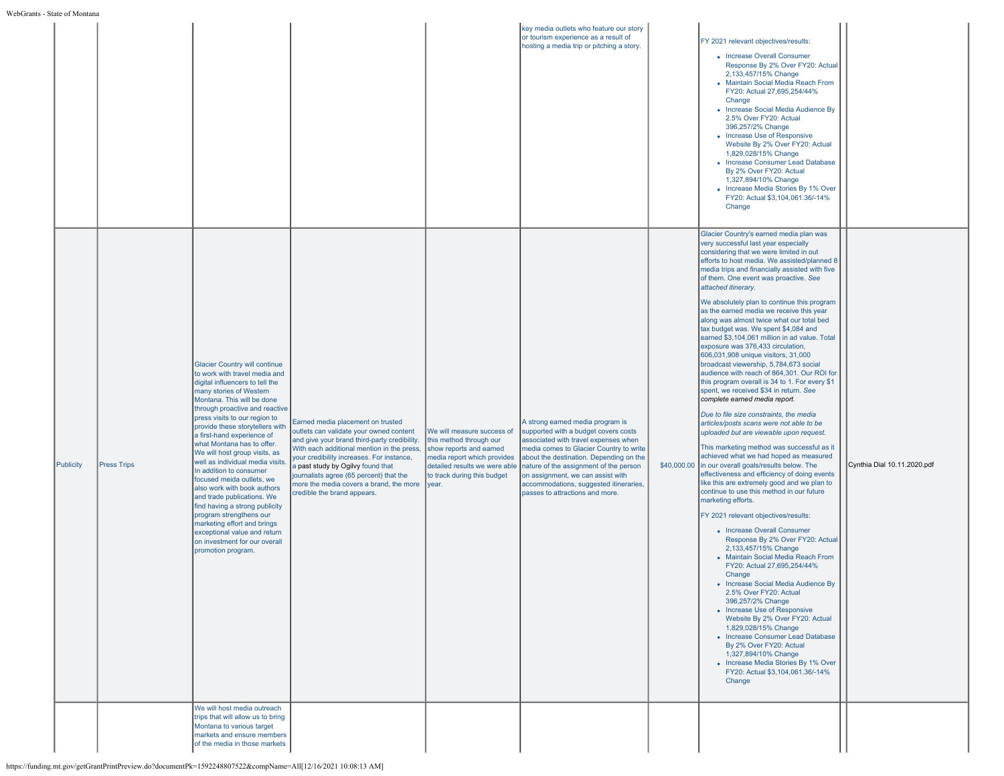|           |                    |                                                                                                                                                                                                                                                                                                                                                                                                                                                                                                                                                                                                                                                                                                                                                |                                                                                                                                                                                                                                                                                                                                                                                  |                                                                                                                                                                                          | key media outlets who feature our story<br>or tourism experience as a result of<br>hosting a media trip or pitching a story.                                                                                                                                                                                                                                       | FY 2021 relevant objectives/results:<br>• Increase Overall Consumer<br>Response By 2% Over FY20: Actual<br>2,133,457/15% Change<br>• Maintain Social Media Reach From<br>FY20: Actual 27,695,254/44%<br>Change<br>• Increase Social Media Audience By<br>2.5% Over FY20: Actual<br>396,257/2% Change<br>• Increase Use of Responsive<br>Website By 2% Over FY20: Actual<br>1,829,028/15% Change<br>• Increase Consumer Lead Database<br>By 2% Over FY20: Actual<br>1,327,894/10% Change<br>• Increase Media Stories By 1% Over<br>FY20: Actual \$3,104,061.36/-14%<br>Change                                                                                                                                                                                                                                                                                                                                                                                                                                                                                                                                                                                                                                                                                                                                                                                                                                                                                                                                                                                                                                                                                                                                                                                                                                                                                       |                             |
|-----------|--------------------|------------------------------------------------------------------------------------------------------------------------------------------------------------------------------------------------------------------------------------------------------------------------------------------------------------------------------------------------------------------------------------------------------------------------------------------------------------------------------------------------------------------------------------------------------------------------------------------------------------------------------------------------------------------------------------------------------------------------------------------------|----------------------------------------------------------------------------------------------------------------------------------------------------------------------------------------------------------------------------------------------------------------------------------------------------------------------------------------------------------------------------------|------------------------------------------------------------------------------------------------------------------------------------------------------------------------------------------|--------------------------------------------------------------------------------------------------------------------------------------------------------------------------------------------------------------------------------------------------------------------------------------------------------------------------------------------------------------------|--------------------------------------------------------------------------------------------------------------------------------------------------------------------------------------------------------------------------------------------------------------------------------------------------------------------------------------------------------------------------------------------------------------------------------------------------------------------------------------------------------------------------------------------------------------------------------------------------------------------------------------------------------------------------------------------------------------------------------------------------------------------------------------------------------------------------------------------------------------------------------------------------------------------------------------------------------------------------------------------------------------------------------------------------------------------------------------------------------------------------------------------------------------------------------------------------------------------------------------------------------------------------------------------------------------------------------------------------------------------------------------------------------------------------------------------------------------------------------------------------------------------------------------------------------------------------------------------------------------------------------------------------------------------------------------------------------------------------------------------------------------------------------------------------------------------------------------------------------------------|-----------------------------|
| Publicity | <b>Press Trips</b> | <b>Glacier Country will continue</b><br>to work with travel media and<br>digital influencers to tell the<br>many stories of Western<br>Montana. This will be done<br>through proactive and reactive<br>press visits to our region to<br>provide these storytellers with<br>a first-hand experience of<br>what Montana has to offer.<br>We will host group visits, as<br>well as individual media visits<br>In addition to consumer<br>focused meida outlets, we<br>also work with book authors<br>and trade publications. We<br>find having a strong publicity<br>program strengthens our<br>marketing effort and brings<br>exceptional value and return<br>on investment for our overall<br>promotion program.<br>We will host media outreach | Earned media placement on trusted<br>outlets can validate your owned content<br>and give your brand third-party credibility<br>With each additional mention in the press,<br>your credibility increases. For instance,<br>a past study by Ogilvy found that<br>journalists agree (65 percent) that the<br>more the media covers a brand, the more<br>credible the brand appears. | We will measure success of<br>this method through our<br>show reports and earned<br>media report which provides<br>detailed results we were able<br>to track during this budget<br>vear. | A strong earned media program is<br>supported with a budget covers costs<br>associated with travel expenses when<br>media comes to Glacier Country to write<br>about the destination. Depending on the<br>nature of the assignment of the person<br>on assignment, we can assist with<br>accommodations, suggested itineraries,<br>passes to attractions and more. | Glacier Country's earned media plan was<br>very successful last year especially<br>considering that we were limited in out<br>efforts to host media. We assisted/planned 8<br>media trips and financially assisted with five<br>of them. One event was proactive. See<br>attached itinerary.<br>We absolutely plan to continue this program<br>as the earned media we receive this year<br>along was almost twice what our total bed<br>tax budget was. We spent \$4,084 and<br>earned \$3,104,061 million in ad value. Total<br>exposure was 376.433 circulation.<br>606,031,908 unique visitors, 31,000<br>broadcast viewership, 5,784,673 social<br>audience with reach of 864.301. Our ROI for<br>this program overall is 34 to 1. For every \$1<br>spent, we received \$34 in return. See<br>complete earned media report.<br>Due to file size constraints, the media<br>articles/posts scans were not able to be<br>uploaded but are viewable upon request.<br>This marketing method was successful as it<br>achieved what we had hoped as measured<br>\$40,000.00 in our overall goals/results below. The<br>effectiveness and efficiency of doing events<br>like this are extremely good and we plan to<br>continue to use this method in our future<br>marketing efforts.<br>FY 2021 relevant objectives/results:<br>• Increase Overall Consumer<br>Response By 2% Over FY20: Actual<br>2,133,457/15% Change<br>• Maintain Social Media Reach From<br>FY20: Actual 27,695,254/44%<br>Change<br>• Increase Social Media Audience By<br>2.5% Over FY20: Actual<br>396.257/2% Change<br>• Increase Use of Responsive<br>Website By 2% Over FY20: Actual<br>1.829.028/15% Change<br>• Increase Consumer Lead Database<br>By 2% Over FY20: Actual<br>1,327,894/10% Change<br>• Increase Media Stories By 1% Over<br>FY20: Actual \$3,104,061.36/-14%<br>Change | Cynthia Dial 10.11.2020.pdf |
|           |                    | trips that will allow us to bring<br>Montana to various target<br>markets and ensure members<br>of the media in those markets                                                                                                                                                                                                                                                                                                                                                                                                                                                                                                                                                                                                                  |                                                                                                                                                                                                                                                                                                                                                                                  |                                                                                                                                                                                          |                                                                                                                                                                                                                                                                                                                                                                    |                                                                                                                                                                                                                                                                                                                                                                                                                                                                                                                                                                                                                                                                                                                                                                                                                                                                                                                                                                                                                                                                                                                                                                                                                                                                                                                                                                                                                                                                                                                                                                                                                                                                                                                                                                                                                                                                    |                             |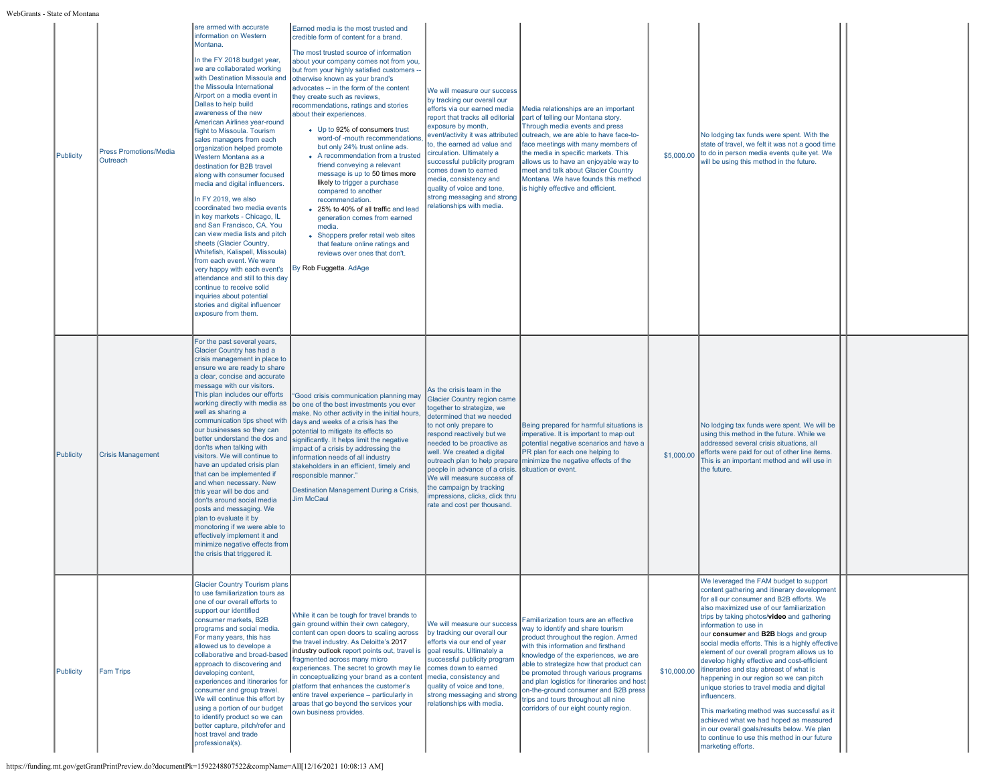| Publicity | <b>Press Promotions/Media</b><br>Outreach | are armed with accurate<br>information on Western<br>Montana.<br>In the FY 2018 budget year,<br>we are collaborated working<br>with Destination Missoula and<br>the Missoula International<br>Airport on a media event in<br>Dallas to help build<br>awareness of the new<br>American Airlines year-round<br>flight to Missoula. Tourism<br>sales managers from each<br>organization helped promote<br>Western Montana as a<br>destination for B2B travel<br>along with consumer focused<br>media and digital influencers.<br>In FY 2019, we also<br>coordinated two media events<br>in key markets - Chicago, IL<br>and San Francisco, CA. You<br>can view media lists and pitch<br>sheets (Glacier Country,<br>Whitefish, Kalispell, Missoula)<br>from each event. We were<br>very happy with each event's<br>attendance and still to this day<br>continue to receive solid<br>inquiries about potential<br>stories and digital influencer<br>exposure from them. | Earned media is the most trusted and<br>credible form of content for a brand.<br>The most trusted source of information<br>about your company comes not from you,<br>but from your highly satisfied customers --<br>otherwise known as your brand's<br>advocates -- in the form of the content<br>they create such as reviews,<br>recommendations, ratings and stories<br>about their experiences.<br>• Up to 92% of consumers trust<br>word-of-mouth recommendation<br>but only 24% trust online ads.<br>• A recommendation from a trusted<br>friend conveying a relevant<br>message is up to 50 times more<br>likely to trigger a purchase<br>compared to another<br>recommendation.<br>• 25% to 40% of all traffic and lead<br>generation comes from earned<br>media.<br>• Shoppers prefer retail web sites<br>that feature online ratings and<br>reviews over ones that don't.<br>By Rob Fuggetta. AdAge | We will measure our success<br>by tracking our overall our<br>efforts via our earned media<br>report that tracks all editorial<br>exposure by month,<br>event/activity it was attributed<br>to, the earned ad value and<br>circulation. Ultimately a<br>successful publicity program<br>comes down to earned<br>media, consistency and<br>quality of voice and tone,<br>strong messaging and strong<br>relationships with media.     | Media relationships are an important<br>part of telling our Montana story.<br>Through media events and press<br>outreach, we are able to have face-to-<br>face meetings with many members of<br>the media in specific markets. This<br>allows us to have an enjoyable way to<br>meet and talk about Glacier Country<br>Montana. We have founds this method<br>is highly effective and efficient.                                                             | \$5,000.00  | No lodging tax funds were spent. With the<br>state of travel, we felt it was not a good time<br>to do in person media events quite yet. We<br>will be using this method in the future.                                                                                                                                                                                                                                                                                                                                                                                                                                                                                                                                                                                                                           |  |
|-----------|-------------------------------------------|---------------------------------------------------------------------------------------------------------------------------------------------------------------------------------------------------------------------------------------------------------------------------------------------------------------------------------------------------------------------------------------------------------------------------------------------------------------------------------------------------------------------------------------------------------------------------------------------------------------------------------------------------------------------------------------------------------------------------------------------------------------------------------------------------------------------------------------------------------------------------------------------------------------------------------------------------------------------|--------------------------------------------------------------------------------------------------------------------------------------------------------------------------------------------------------------------------------------------------------------------------------------------------------------------------------------------------------------------------------------------------------------------------------------------------------------------------------------------------------------------------------------------------------------------------------------------------------------------------------------------------------------------------------------------------------------------------------------------------------------------------------------------------------------------------------------------------------------------------------------------------------------|--------------------------------------------------------------------------------------------------------------------------------------------------------------------------------------------------------------------------------------------------------------------------------------------------------------------------------------------------------------------------------------------------------------------------------------|--------------------------------------------------------------------------------------------------------------------------------------------------------------------------------------------------------------------------------------------------------------------------------------------------------------------------------------------------------------------------------------------------------------------------------------------------------------|-------------|------------------------------------------------------------------------------------------------------------------------------------------------------------------------------------------------------------------------------------------------------------------------------------------------------------------------------------------------------------------------------------------------------------------------------------------------------------------------------------------------------------------------------------------------------------------------------------------------------------------------------------------------------------------------------------------------------------------------------------------------------------------------------------------------------------------|--|
| Publicity | <b>Crisis Management</b>                  | For the past several years,<br>Glacier Country has had a<br>crisis management in place to<br>ensure we are ready to share<br>a clear, concise and accurate<br>message with our visitors.<br>This plan includes our efforts<br>working directly with media as<br>well as sharing a<br>communication tips sheet with<br>our businesses so they can<br>better understand the dos and<br>don'ts when talking with<br>visitors. We will continue to<br>have an updated crisis plan<br>that can be implemented if<br>and when necessary. New<br>this year will be dos and<br>don'ts around social media<br>posts and messaging. We<br>plan to evaluate it by<br>monotoring if we were able to<br>effectively implement it and<br>minimize negative effects from<br>the crisis that triggered it.                                                                                                                                                                          | Good crisis communication planning may<br>be one of the best investments you ever<br>make. No other activity in the initial hours<br>days and weeks of a crisis has the<br>potential to mitigate its effects so<br>significantly. It helps limit the negative<br>impact of a crisis by addressing the<br>information needs of all industry<br>stakeholders in an efficient, timely and<br>responsible manner."<br>Destination Management During a Crisis,<br><b>Jim McCaul</b>                                                                                                                                                                                                                                                                                                                                                                                                                               | As the crisis team in the<br>Glacier Country region came<br>together to strategize, we<br>determined that we needed<br>to not only prepare to<br>respond reactively but we<br>needed to be proactive as<br>well. We created a digital<br>outreach plan to help prepare<br>people in advance of a crisis.<br>We will measure success of<br>the campaign by tracking<br>impressions, clicks, click thru<br>rate and cost per thousand. | Being prepared for harmful situations is<br>imperative. It is important to map out<br>potential negative scenarios and have a<br>PR plan for each one helping to<br>minimize the negative effects of the<br>situation or event.                                                                                                                                                                                                                              | \$1,000.00  | No lodging tax funds were spent. We will be<br>using this method in the future. While we<br>addressed several crisis situations, all<br>efforts were paid for out of other line items.<br>This is an important method and will use in<br>the future.                                                                                                                                                                                                                                                                                                                                                                                                                                                                                                                                                             |  |
| Publicity | <b>Fam Trips</b>                          | <b>Glacier Country Tourism plans</b><br>to use familiarization tours as<br>one of our overall efforts to<br>support our identified<br>consumer markets, B2B<br>programs and social media.<br>For many years, this has<br>allowed us to develope a<br>collaborative and broad-based<br>approach to discovering and<br>developing content,<br>experiences and itineraries for<br>consumer and group travel.<br>We will continue this effort by<br>using a portion of our budget<br>to identify product so we can<br>better capture, pitch/refer and<br>host travel and trade<br>professional(s).                                                                                                                                                                                                                                                                                                                                                                      | While it can be tough for travel brands to<br>gain ground within their own category,<br>content can open doors to scaling across<br>the travel industry. As Deloitte's 2017<br>industry outlook report points out, travel is<br>fragmented across many micro<br>experiences. The secret to growth may lie<br>in conceptualizing your brand as a content<br>platform that enhances the customer's<br>entire travel experience - particularly in<br>areas that go beyond the services your<br>own business provides.                                                                                                                                                                                                                                                                                                                                                                                           | We will measure our success<br>by tracking our overall our<br>efforts via our end of year<br>Igoal results. Ultimately a<br>successful publicity program<br>comes down to earned<br>nedia, consistency and<br>quality of voice and tone,<br>strong messaging and strong<br>relationships with media.                                                                                                                                 | Familiarization tours are an effective<br>way to identify and share tourism<br>product throughout the region. Armed<br>with this information and firsthand<br>knowledge of the experiences, we are<br>able to strategize how that product can<br>be promoted through various programs<br>and plan logistics for itineraries and host<br>on-the-ground consumer and B2B press<br>trips and tours throughout all nine<br>corridors of our eight county region. | \$10,000.00 | We leveraged the FAM budget to support<br>content gathering and itinerary development<br>for all our consumer and B2B efforts. We<br>also maximized use of our familiarization<br>trips by taking photos/video and gathering<br>information to use in<br>our consumer and B2B blogs and group<br>social media efforts. This is a highly effective<br>element of our overall program allows us to<br>develop highly effective and cost-efficient<br>itineraries and stay abreast of what is<br>happening in our region so we can pitch<br>unique stories to travel media and digital<br>influencers.<br>This marketing method was successful as it<br>achieved what we had hoped as measured<br>in our overall goals/results below. We plan<br>to continue to use this method in our future<br>marketing efforts. |  |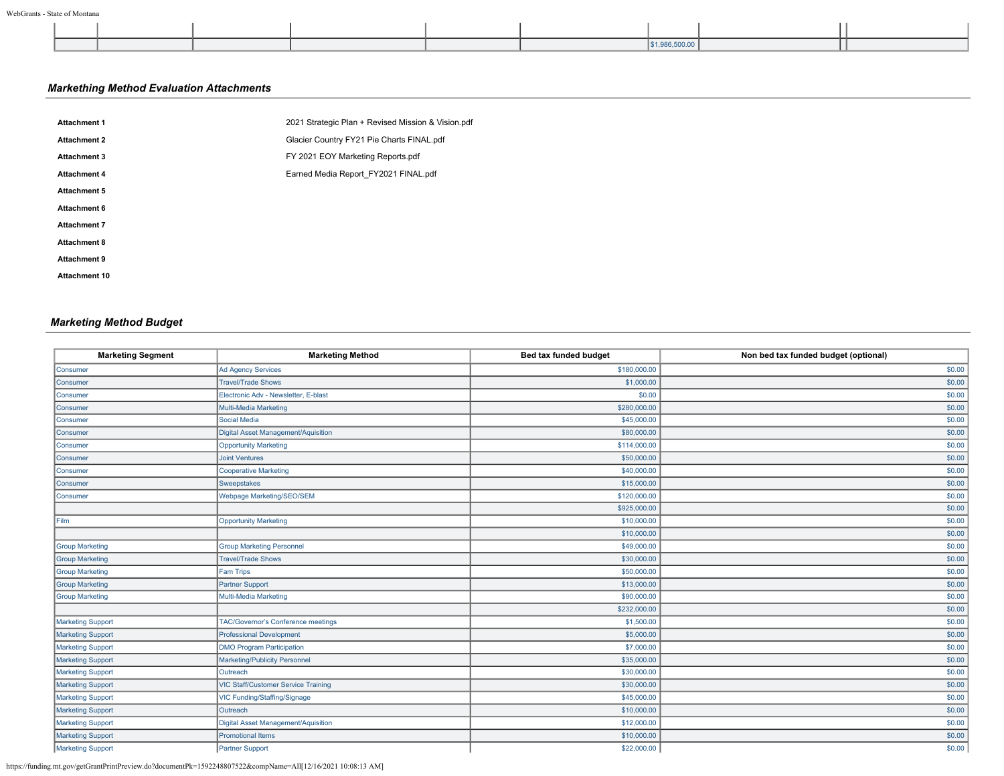|  |  |  | .<br>\$19865 |  |
|--|--|--|--------------|--|

## *Markething Method Evaluation Attachments*

| <b>Attachment 1</b>  | 2021 Strategic Plan + Revised Mission & Vision.pdf |
|----------------------|----------------------------------------------------|
| <b>Attachment 2</b>  | Glacier Country FY21 Pie Charts FINAL.pdf          |
| <b>Attachment 3</b>  | FY 2021 EOY Marketing Reports.pdf                  |
| <b>Attachment 4</b>  | Earned Media Report_FY2021 FINAL.pdf               |
| <b>Attachment 5</b>  |                                                    |
| Attachment 6         |                                                    |
| <b>Attachment 7</b>  |                                                    |
| <b>Attachment 8</b>  |                                                    |
| <b>Attachment 9</b>  |                                                    |
| <b>Attachment 10</b> |                                                    |
|                      |                                                    |

# *Marketing Method Budget*

| <b>Marketing Segment</b> | <b>Marketing Method</b>                    | Bed tax funded budget | Non bed tax funded budget (optional) |
|--------------------------|--------------------------------------------|-----------------------|--------------------------------------|
| Consumer                 | <b>Ad Agency Services</b>                  | \$180,000.00          | \$0.00                               |
| Consumer                 | <b>Travel/Trade Shows</b>                  | \$1,000.00            | \$0.00                               |
| <b>Consumer</b>          | Electronic Adv - Newsletter, E-blast       | \$0.00                | \$0.00                               |
| Consumer                 | Multi-Media Marketing                      | \$280,000.00          | \$0.00                               |
| Consumer                 | Social Media                               | \$45,000.00           | \$0.00                               |
| Consumer                 | Digital Asset Management/Aquisition        | \$80,000.00           | \$0.00                               |
| Consumer                 | <b>Opportunity Marketing</b>               | \$114,000.00          | \$0.00                               |
| Consumer                 | <b>Joint Ventures</b>                      | \$50,000.00           | \$0.00                               |
| Consumer                 | <b>Cooperative Marketing</b>               | \$40,000.00           | \$0.00                               |
| Consumer                 | Sweepstakes                                | \$15,000.00           | \$0.00                               |
| Consumer                 | Webpage Marketing/SEO/SEM                  | \$120,000.00          | \$0.00                               |
|                          |                                            | \$925,000.00          | \$0.00                               |
| Film                     | <b>Opportunity Marketing</b>               | \$10,000.00           | \$0.00                               |
|                          |                                            | \$10,000.00           | \$0.00                               |
| <b>Group Marketing</b>   | <b>Group Marketing Personnel</b>           | \$49,000.00           | \$0.00                               |
| <b>Group Marketing</b>   | <b>Travel/Trade Shows</b>                  | \$30,000.00           | \$0.00                               |
| <b>Group Marketing</b>   | <b>Fam Trips</b>                           | \$50,000.00           | \$0.00                               |
| <b>Group Marketing</b>   | <b>Partner Support</b>                     | \$13,000.00           | \$0.00                               |
| <b>Group Marketing</b>   | Multi-Media Marketing                      | \$90,000.00           | \$0.00                               |
|                          |                                            | \$232,000.00          | \$0.00                               |
| <b>Marketing Support</b> | <b>TAC/Governor's Conference meetings</b>  | \$1,500.00            | \$0.00                               |
| <b>Marketing Support</b> | <b>Professional Development</b>            | \$5,000.00            | \$0.00                               |
| <b>Marketing Support</b> | <b>DMO Program Participation</b>           | \$7,000.00            | \$0.00                               |
| <b>Marketing Support</b> | <b>Marketing/Publicity Personnel</b>       | \$35,000.00           | \$0.00                               |
| <b>Marketing Support</b> | Outreach                                   | \$30,000.00           | \$0.00                               |
| <b>Marketing Support</b> | <b>VIC Staff/Customer Service Training</b> | \$30,000.00           | \$0.00                               |
| <b>Marketing Support</b> | VIC Funding/Staffing/Signage               | \$45,000.00           | \$0.00                               |
| <b>Marketing Support</b> | Outreach                                   | \$10,000.00           | \$0.00                               |
| Marketing Support        | Digital Asset Management/Aquisition        | \$12,000.00           | \$0.00                               |
| <b>Marketing Support</b> | <b>Promotional Items</b>                   | \$10,000.00           | \$0.00                               |
| <b>Marketing Support</b> | <b>Partner Support</b>                     | \$22,000.00           | \$0.00                               |